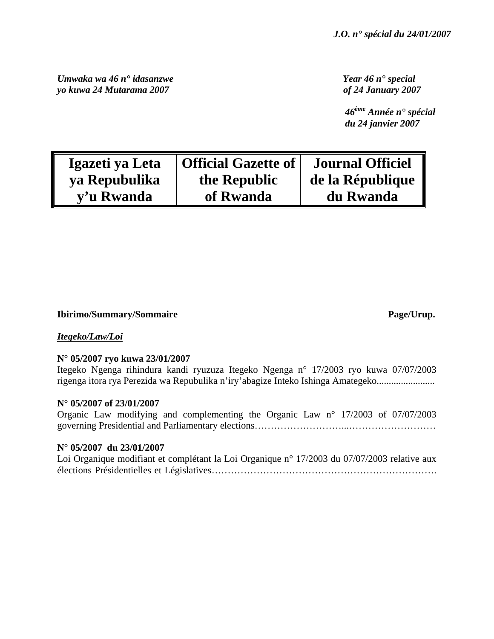*Umwaka wa 46 n° idasanzwe Year 46 n° special yo kuwa 24 Mutarama 2007 of 24 January 2007* 

 *46ème Année n° spécial du 24 janvier 2007* 

| Igazeti ya Leta | Official Gazette of | <b>Journal Officiel</b> |
|-----------------|---------------------|-------------------------|
| ya Repubulika   | the Republic        | de la République        |
| y'u Rwanda      | of Rwanda           | du Rwanda               |

## **Ibirimo/Summary/Sommaire Page/Urup.**

# *Itegeko/Law/Loi*

## **N° 05/2007 ryo kuwa 23/01/2007**

Itegeko Ngenga rihindura kandi ryuzuza Itegeko Ngenga n° 17/2003 ryo kuwa 07/07/2003 rigenga itora rya Perezida wa Repubulika n'iry'abagize Inteko Ishinga Amategeko........................

## **N° 05/2007 of 23/01/2007**

Organic Law modifying and complementing the Organic Law n° 17/2003 of 07/07/2003 governing Presidential and Parliamentary elections………………………………………………………………………………

## **N° 05/2007 du 23/01/2007**

| Loi Organique modifiant et complétant la Loi Organique n° 17/2003 du 07/07/2003 relative aux |  |  |
|----------------------------------------------------------------------------------------------|--|--|
|                                                                                              |  |  |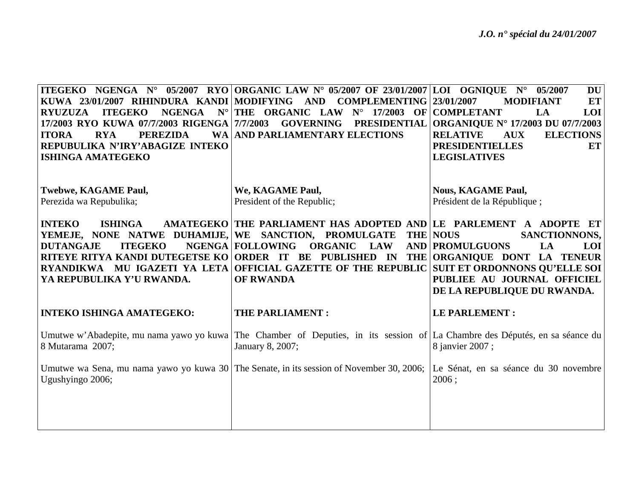|                                                                                                                 | <b>ITEGEKO NGENGA N° 05/2007 RYO ORGANIC LAW N° 05/2007 OF 23/01/2007 LOI OGNIQUE N° 05/2007</b>                                                | <b>DU</b>                                                               |
|-----------------------------------------------------------------------------------------------------------------|-------------------------------------------------------------------------------------------------------------------------------------------------|-------------------------------------------------------------------------|
|                                                                                                                 | KUWA 23/01/2007 RIHINDURA KANDI MODIFYING AND COMPLEMENTING 23/01/2007                                                                          | <b>MODIFIANT</b><br><b>ET</b>                                           |
| $N^{\circ}$<br><b>RYUZUZA</b><br><b>ITEGEKO</b><br><b>NGENGA</b><br>17/2003 RYO KUWA 07/7/2003 RIGENGA 7/7/2003 | THE ORGANIC LAW<br>$N^{\circ}$ 17/2003 OF COMPLETANT<br><b>GOVERNING</b><br><b>PRESIDENTIAL</b>                                                 | LA<br>LOI<br><b>ORGANIQUE N° 17/2003 DU 07/7/2003</b>                   |
| <b>ITORA</b><br><b>RYA</b><br><b>PEREZIDA</b>                                                                   | <b>WA AND PARLIAMENTARY ELECTIONS</b>                                                                                                           | <b>RELATIVE</b><br><b>AUX</b><br><b>ELECTIONS</b>                       |
| REPUBULIKA N'IRY'ABAGIZE INTEKO                                                                                 |                                                                                                                                                 | <b>PRESIDENTIELLES</b><br>ET                                            |
| <b>ISHINGA AMATEGEKO</b>                                                                                        |                                                                                                                                                 | <b>LEGISLATIVES</b>                                                     |
|                                                                                                                 |                                                                                                                                                 |                                                                         |
| <b>Twebwe, KAGAME Paul,</b>                                                                                     | We, KAGAME Paul,                                                                                                                                | <b>Nous, KAGAME Paul,</b>                                               |
| Perezida wa Repubulika;                                                                                         | President of the Republic;                                                                                                                      | Président de la République;                                             |
|                                                                                                                 |                                                                                                                                                 |                                                                         |
| <b>INTEKO</b><br><b>ISHINGA</b>                                                                                 | AMATEGEKO THE PARLIAMENT HAS ADOPTED AND LE PARLEMENT A ADOPTE ET                                                                               |                                                                         |
| YEMEJE, NONE NATWE DUHAMIJE, WE SANCTION, PROMULGATE<br><b>ITEGEKO</b><br><b>DUTANGAJE</b>                      | <b>NGENGA   FOLLOWING</b><br><b>ORGANIC</b><br><b>LAW</b>                                                                                       | <b>THE NOUS</b><br>SANCTIONNONS,<br><b>AND PROMULGUONS</b><br>LA<br>LOI |
| RITEYE RITYA KANDI DUTEGETSE KO ORDER IT BE PUBLISHED IN                                                        |                                                                                                                                                 | THE ORGANIQUE DONT LA TENEUR                                            |
|                                                                                                                 |                                                                                                                                                 |                                                                         |
|                                                                                                                 | RYANDIKWA MU IGAZETI YA LETA OFFICIAL GAZETTE OF THE REPUBLIC SUIT ET ORDONNONS QU'ELLE SOI                                                     |                                                                         |
| YA REPUBULIKA Y'U RWANDA.                                                                                       | <b>OF RWANDA</b>                                                                                                                                | PUBLIEE AU JOURNAL OFFICIEL                                             |
|                                                                                                                 |                                                                                                                                                 | DE LA REPUBLIQUE DU RWANDA.                                             |
| <b>INTEKO ISHINGA AMATEGEKO:</b>                                                                                | THE PARLIAMENT:                                                                                                                                 | <b>LE PARLEMENT:</b>                                                    |
|                                                                                                                 |                                                                                                                                                 |                                                                         |
| 8 Mutarama 2007;                                                                                                | Umutwe w'Abadepite, mu nama yawo yo kuwa The Chamber of Deputies, in its session of La Chambre des Députés, en sa séance du<br>January 8, 2007; | 8 janvier 2007;                                                         |
|                                                                                                                 |                                                                                                                                                 |                                                                         |
|                                                                                                                 | Umutwe wa Sena, mu nama yawo yo kuwa 30 The Senate, in its session of November 30, 2006;                                                        | Le Sénat, en sa séance du 30 novembre                                   |
| Ugushyingo 2006;                                                                                                |                                                                                                                                                 | 2006;                                                                   |
|                                                                                                                 |                                                                                                                                                 |                                                                         |
|                                                                                                                 |                                                                                                                                                 |                                                                         |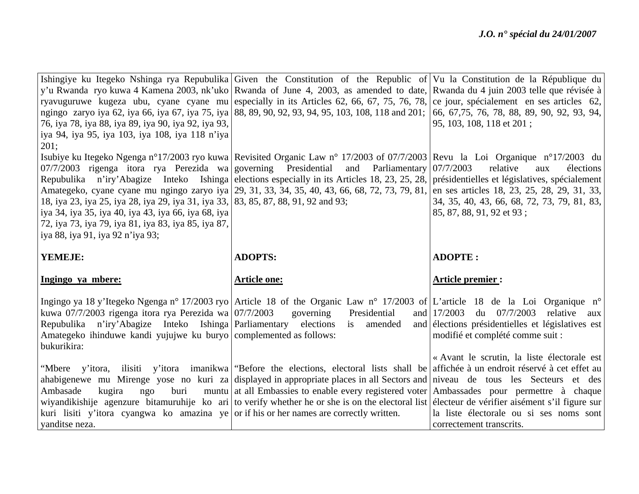|                                                                                                           | Ishingiye ku Itegeko Nshinga rya Repubulika Given the Constitution of the Republic of Vu la Constitution de la République du                               |                                                                     |
|-----------------------------------------------------------------------------------------------------------|------------------------------------------------------------------------------------------------------------------------------------------------------------|---------------------------------------------------------------------|
|                                                                                                           | y'u Rwanda ryo kuwa 4 Kamena 2003, nk'uko Rwanda of June 4, 2003, as amended to date, Rwanda du 4 juin 2003 telle que révisée à                            |                                                                     |
|                                                                                                           | ryavuguruwe kugeza ubu, cyane cyane mu especially in its Articles 62, 66, 67, 75, 76, 78, ce jour, spécialement en ses articles 62,                        |                                                                     |
|                                                                                                           | ngingo zaryo iya 62, iya 66, iya 67, iya 75, iya 88, 89, 90, 92, 93, 94, 95, 103, 108, 118 and 201;                                                        | 66, 67, 75, 76, 78, 88, 89, 90, 92, 93, 94,                         |
| 76, iya 78, iya 88, iya 89, iya 90, iya 92, iya 93,                                                       |                                                                                                                                                            | 95, 103, 108, 118 et 201;                                           |
| iya 94, iya 95, iya 103, iya 108, iya 118 n'iya<br>201;                                                   |                                                                                                                                                            |                                                                     |
|                                                                                                           | Isubiye ku Itegeko Ngenga n°17/2003 ryo kuwa Revisited Organic Law n° 17/2003 of 07/7/2003 Revu la Loi Organique n°17/2003 du                              |                                                                     |
| 07/7/2003 rigenga itora rya Perezida wa governing Presidential                                            | and Parliamentary $07/7/2003$                                                                                                                              | relative<br>élections<br>aux                                        |
|                                                                                                           | Repubulika n'iry'Abagize Inteko Ishinga elections especially in its Articles 18, 23, 25, 28, présidentielles et législatives, spécialement                 |                                                                     |
|                                                                                                           | Amategeko, cyane cyane mu ngingo zaryo iya 29, 31, 33, 34, 35, 40, 43, 66, 68, 72, 73, 79, 81, en ses articles 18, 23, 25, 28, 29, 31, 33,                 |                                                                     |
| 18, iya 23, iya 25, iya 28, iya 29, iya 31, iya 33, 83, 85, 87, 88, 91, 92 and 93;                        |                                                                                                                                                            | 34, 35, 40, 43, 66, 68, 72, 73, 79, 81, 83,                         |
| iya 34, iya 35, iya 40, iya 43, iya 66, iya 68, iya                                                       |                                                                                                                                                            | 85, 87, 88, 91, 92 et 93;                                           |
| 72, iya 73, iya 79, iya 81, iya 83, iya 85, iya 87,                                                       |                                                                                                                                                            |                                                                     |
| iya 88, iya 91, iya 92 n'iya 93;                                                                          |                                                                                                                                                            |                                                                     |
|                                                                                                           |                                                                                                                                                            |                                                                     |
|                                                                                                           |                                                                                                                                                            |                                                                     |
| YEMEJE:                                                                                                   | <b>ADOPTS:</b>                                                                                                                                             | <b>ADOPTE:</b>                                                      |
| Ingingo ya mbere:                                                                                         | <b>Article one:</b>                                                                                                                                        | <b>Article premier:</b>                                             |
|                                                                                                           |                                                                                                                                                            |                                                                     |
| kuwa 07/7/2003 rigenga itora rya Perezida wa $07/7/2003$                                                  | Ingingo ya 18 y'Itegeko Ngenga n° 17/2003 ryo Article 18 of the Organic Law n° 17/2003 of L'article 18 de la Loi Organique n°<br>governing<br>Presidential | du 07/7/2003<br>and $17/2003$<br>relative<br>aux                    |
| n'iry'Abagize Inteko Ishinga Parliamentary<br>Repubulika                                                  | elections<br>amended<br>is                                                                                                                                 | and élections présidentielles et législatives est                   |
| Amategeko ihinduwe kandi yujujwe ku buryo complemented as follows:                                        |                                                                                                                                                            | modifié et complété comme suit :                                    |
| bukurikira:                                                                                               |                                                                                                                                                            |                                                                     |
|                                                                                                           |                                                                                                                                                            | « Avant le scrutin, la liste électorale est                         |
|                                                                                                           | "Mbere y'itora, ilisiti y'itora imanikwa "Before the elections, electoral lists shall be affichée à un endroit réservé à cet effet au                      |                                                                     |
|                                                                                                           | ahabigenewe mu Mirenge yose no kuri za displayed in appropriate places in all Sectors and niveau de tous les Secteurs et des                               |                                                                     |
| buri<br>Ambasade<br>kugira<br>ngo                                                                         | muntu at all Embassies to enable every registered voter Ambassades pour permettre à chaque                                                                 |                                                                     |
|                                                                                                           | wiyandikishije agenzure bitamuruhije ko ari to verify whether he or she is on the electoral list electeur de vérifier aisément s'il figure sur             |                                                                     |
| kuri lisiti y'itora cyangwa ko amazina ye or if his or her names are correctly written.<br>vanditse neza. |                                                                                                                                                            | la liste électorale ou si ses noms sont<br>correctement transcrits. |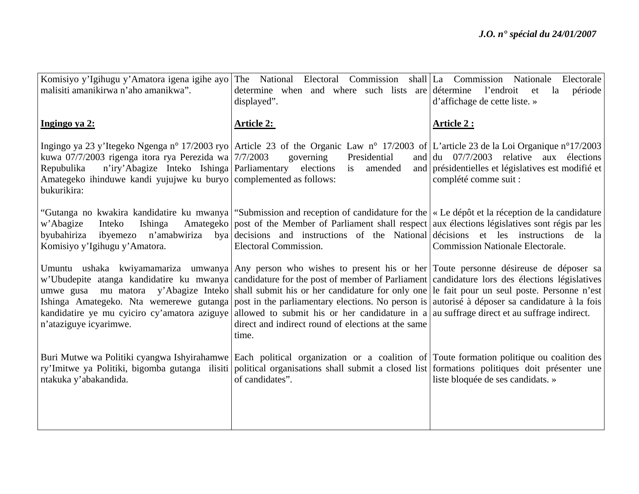| Komisiyo y'Igihugu y'Amatora igena igihe ayo<br>malisiti amanikirwa n'aho amanikwa".                                                                                                                   | The National Electoral Commission shall La Commission Nationale<br>determine when and where such lists are détermine                                                                                                                                                                                                                                                                                                                                                                                                                                                                                                                                                                                                                                  | Electorale<br>l'endroit<br>période<br>et<br>la                                                                                                     |
|--------------------------------------------------------------------------------------------------------------------------------------------------------------------------------------------------------|-------------------------------------------------------------------------------------------------------------------------------------------------------------------------------------------------------------------------------------------------------------------------------------------------------------------------------------------------------------------------------------------------------------------------------------------------------------------------------------------------------------------------------------------------------------------------------------------------------------------------------------------------------------------------------------------------------------------------------------------------------|----------------------------------------------------------------------------------------------------------------------------------------------------|
|                                                                                                                                                                                                        | displayed".                                                                                                                                                                                                                                                                                                                                                                                                                                                                                                                                                                                                                                                                                                                                           | d'affichage de cette liste. »                                                                                                                      |
| Ingingo ya 2:                                                                                                                                                                                          | <b>Article 2:</b>                                                                                                                                                                                                                                                                                                                                                                                                                                                                                                                                                                                                                                                                                                                                     | <b>Article 2:</b>                                                                                                                                  |
| kuwa 07/7/2003 rigenga itora rya Perezida wa 7/7/2003<br>n'iry'Abagize Inteko Ishinga Parliamentary<br>Repubulika<br>Amategeko ihinduwe kandi yujujwe ku buryo complemented as follows:<br>bukurikira: | Ingingo ya 23 y'Itegeko Ngenga nº 17/2003 ryo Article 23 of the Organic Law nº 17/2003 of L'article 23 de la Loi Organique nº17/2003<br>governing<br>Presidential<br>elections is<br>amended                                                                                                                                                                                                                                                                                                                                                                                                                                                                                                                                                          | and $\left  \frac{du}{dt} \right $ 07/7/2003 relative aux élections<br>and présidentielles et législatives est modifié et<br>complété comme suit : |
| Ishinga<br>w'Abagize<br>Inteko<br>byubahiriza<br>ibyemezo<br>Komisiyo y'Igihugu y'Amatora.                                                                                                             | "Gutanga no kwakira kandidatire ku mwanya   "Submission and reception of candidature for the   « Le dépôt et la réception de la candidature<br>Amategeko   post of the Member of Parliament shall respect   aux élections législatives sont régis par les<br>n'amabwiriza by a decisions and instructions of the National décisions et les instructions de<br>Electoral Commission.                                                                                                                                                                                                                                                                                                                                                                   | - la<br><b>Commission Nationale Electorale.</b>                                                                                                    |
| n'ataziguye icyarimwe.                                                                                                                                                                                 | Umuntu ushaka kwiyamamariza umwanya Any person who wishes to present his or her Toute personne désireuse de déposer sa<br>w'Ubudepite atanga kandidatire ku mwanya candidature for the post of member of Parliament candidature lors des élections législatives<br>umwe gusa mu matora y'Abagize Inteko shall submit his or her candidature for only one le fait pour un seul poste. Personne n'est<br>Ishinga Amategeko. Nta wemerewe gutanga post in the parliamentary elections. No person is autorisé à déposer sa candidature à la fois<br>kandidatire ye mu cyiciro cy'amatora aziguye allowed to submit his or her candidature in a au suffrage direct et au suffrage indirect.<br>direct and indirect round of elections at the same<br>time. |                                                                                                                                                    |
| ntakuka y'abakandida.                                                                                                                                                                                  | Buri Mutwe wa Politiki cyangwa Ishyirahamwe Each political organization or a coalition of Toute formation politique ou coalition des<br>ry'Imitwe ya Politiki, bigomba gutanga ilisiti political organisations shall submit a closed list formations politiques doit présenter une<br>of candidates".                                                                                                                                                                                                                                                                                                                                                                                                                                                 | liste bloquée de ses candidats. »                                                                                                                  |
|                                                                                                                                                                                                        |                                                                                                                                                                                                                                                                                                                                                                                                                                                                                                                                                                                                                                                                                                                                                       |                                                                                                                                                    |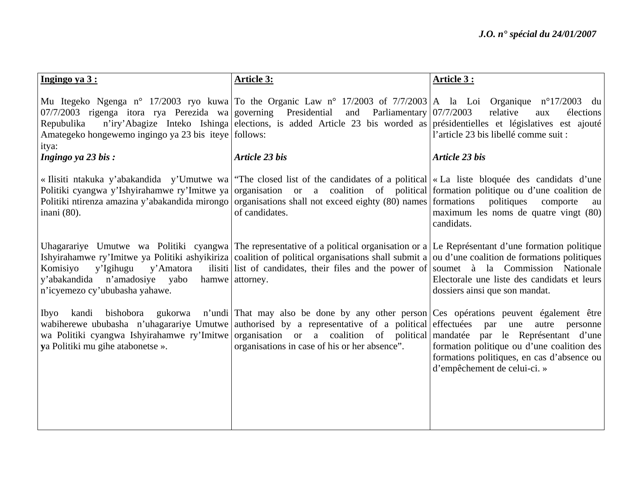| Ingingo ya 3:                                                                                                                                 | <b>Article 3:</b>                                                                                                                                                                                                                                                                                                                                                                                      | Article 3:                                                                                                                                           |
|-----------------------------------------------------------------------------------------------------------------------------------------------|--------------------------------------------------------------------------------------------------------------------------------------------------------------------------------------------------------------------------------------------------------------------------------------------------------------------------------------------------------------------------------------------------------|------------------------------------------------------------------------------------------------------------------------------------------------------|
| 07/7/2003 rigenga itora rya Perezida wa governing Presidential<br>Repubulika<br>Amategeko hongewemo ingingo ya 23 bis iteye follows:<br>itya: | Mu Itegeko Ngenga n° 17/2003 ryo kuwa To the Organic Law n° 17/2003 of 7/7/2003 A la Loi Organique n°17/2003 du<br>and<br>Parliamentary 07/7/2003<br>n'iry'Abagize Inteko Ishinga elections, is added Article 23 bis worded as présidentielles et législatives est ajouté                                                                                                                              | relative<br>élections<br>aux<br>l'article 23 bis libellé comme suit :                                                                                |
| Ingingo ya 23 bis:                                                                                                                            | <b>Article 23 bis</b>                                                                                                                                                                                                                                                                                                                                                                                  | <b>Article 23 bis</b>                                                                                                                                |
| inani (80).                                                                                                                                   | «Ilisiti ntakuka y'abakandida y'Umutwe wa "The closed list of the candidates of a political  « La liste bloquée des candidats d'une<br>Politiki cyangwa y'Ishyirahamwe ry'Imitwe ya organisation or a coalition of political formation politique ou d'une coalition de<br>Politiki ntirenza amazina y'abakandida mirongo organisations shall not exceed eighty (80) names formations<br>of candidates. | politiques<br>comporte<br>au<br>maximum les noms de quatre vingt (80)<br>candidats.                                                                  |
| Komisiyo<br>y'Igihugu<br>y'Amatora<br>y'abakandida<br>n'amadosiye yabo<br>n'icyemezo cy'ububasha yahawe.                                      | Unagarariye Umutwe wa Politiki cyangwa The representative of a political organisation or a Le Représentant d'une formation politique<br>Ishyirahamwe ry'Imitwe ya Politiki ashyikiriza coalition of political organisations shall submit a ou d'une coalition de formations politiques<br>ilisiti list of candidates, their files and the power of soumet à la Commission Nationale<br>hamwe attorney. | Electorale une liste des candidats et leurs<br>dossiers ainsi que son mandat.                                                                        |
| Ibyo<br>kandi<br>ya Politiki mu gihe atabonetse ».                                                                                            | bishobora gukorwa n'undi That may also be done by any other person Ces opérations peuvent également être<br>wabiherewe ububasha n'uhagarariye Umutwe authorised by a representative of a political effectuées par<br>wa Politiki cyangwa Ishyirahamwe ry'Imitwe organisation or a coalition of political mandatée par le Représentant d'une<br>organisations in case of his or her absence".           | une<br>autre<br>personne<br>formation politique ou d'une coalition des<br>formations politiques, en cas d'absence ou<br>d'empêchement de celui-ci. » |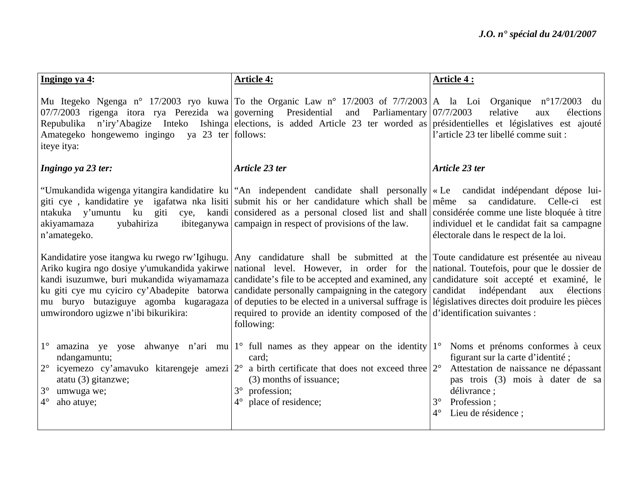| Ingingo ya 4:                                                                                                                                                                    | <b>Article 4:</b>                                                                                                                                                                                                                                                                                                                                                                                                                                                                                                                                                                                                                                                                                                                                                                        | Article 4 :                                                                                                                                                                                                                          |
|----------------------------------------------------------------------------------------------------------------------------------------------------------------------------------|------------------------------------------------------------------------------------------------------------------------------------------------------------------------------------------------------------------------------------------------------------------------------------------------------------------------------------------------------------------------------------------------------------------------------------------------------------------------------------------------------------------------------------------------------------------------------------------------------------------------------------------------------------------------------------------------------------------------------------------------------------------------------------------|--------------------------------------------------------------------------------------------------------------------------------------------------------------------------------------------------------------------------------------|
| $07/7/2003$ rigenga itora rya Perezida wa governing Presidential<br>Amategeko hongewemo ingingo ya 23 ter follows:<br>iteye itya:                                                | Mu Itegeko Ngenga nº 17/2003 ryo kuwa To the Organic Law nº 17/2003 of 7/7/2003 A la Loi Organique nº17/2003 du<br>and<br>Parliamentary $07/7/2003$<br>Repubulika n'iry'Abagize Inteko Ishinga elections, is added Article 23 ter worded as présidentielles et législatives est ajouté                                                                                                                                                                                                                                                                                                                                                                                                                                                                                                   | relative<br>élections<br>aux<br>l'article 23 ter libellé comme suit :                                                                                                                                                                |
| Ingingo ya 23 ter:                                                                                                                                                               | Article 23 ter                                                                                                                                                                                                                                                                                                                                                                                                                                                                                                                                                                                                                                                                                                                                                                           | Article 23 ter                                                                                                                                                                                                                       |
| yubahiriza<br>akiyamamaza<br>n'amategeko.                                                                                                                                        | "Umukandida wigenga yitangira kandidatire ku   "An independent candidate shall personally   « Le candidat indépendant dépose lui-<br>giti cye, kandidatire ye igafatwa nka lisiti submit his or her candidature which shall be même sa candidature. Celle-ci<br>ntakuka y'umuntu ku giti cye, kandi considered as a personal closed list and shall considérée comme une liste bloquée à titre<br>ibiteganywa campaign in respect of provisions of the law.                                                                                                                                                                                                                                                                                                                               | est<br>individuel et le candidat fait sa campagne<br>électorale dans le respect de la loi.                                                                                                                                           |
| umwirondoro ugizwe n'ibi bikurikira:                                                                                                                                             | Kandidatire yose itangwa ku rwego rw'Igihugu. Any candidature shall be submitted at the Toute candidature est présentée au niveau<br>Ariko kugira ngo dosiye y'umukandida yakirwe   national level. However, in order for the   national. Toutefois, pour que le dossier de  <br>kandi isuzumwe, buri mukandida wiyamamaza candidate's file to be accepted and examined, any candidature soit accepté et examiné, le<br>ku giti cye mu cyiciro cy'Abadepite batorwa candidate personally campaigning in the category candidat indépendant<br>mu buryo butaziguye agomba kugaragaza of deputies to be elected in a universal suffrage is législatives directes doit produire les pièces<br>required to provide an identity composed of the $d$ d'identification suivantes :<br>following: | aux<br>élections                                                                                                                                                                                                                     |
| $1^{\circ}$<br>ndangamuntu;<br>$2^{\circ}$<br>icyemezo cy'amavuko kitarengeje amezi $ 2^{\circ} $<br>atatu (3) gitanzwe;<br>$3^\circ$<br>umwuga we;<br>$4^{\circ}$<br>aho atuye; | amazina ye yose ahwanye n'ari mu $1^{\circ}$ full names as they appear on the identity $1^{\circ}$<br>card:<br>a birth certificate that does not exceed three $2^{\circ}$<br>(3) months of issuance;<br>$3^\circ$<br>profession;<br>place of residence;<br>$4^\circ$                                                                                                                                                                                                                                                                                                                                                                                                                                                                                                                     | Noms et prénoms conformes à ceux<br>figurant sur la carte d'identité;<br>Attestation de naissance ne dépassant<br>pas trois (3) mois à dater de sa<br>délivrance ;<br>$3^{\circ}$<br>Profession;<br>$4^\circ$<br>Lieu de résidence ; |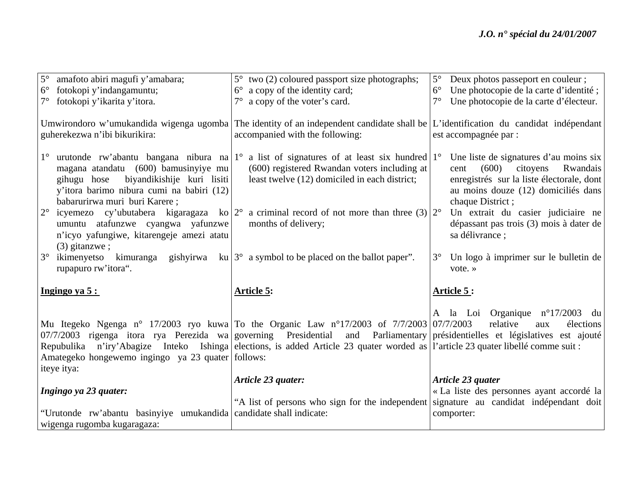| $5^{\circ}$<br>amafoto abiri magufi y'amabara;                                                                                                                                                                                                                                                                                          | $5^{\circ}$ two (2) coloured passport size photographs;                                                                                                                                                                                                                                                                                                                                                                                       | $5^{\circ}$<br>Deux photos passeport en couleur;                                                                                                                                                                                                                                                                                                            |
|-----------------------------------------------------------------------------------------------------------------------------------------------------------------------------------------------------------------------------------------------------------------------------------------------------------------------------------------|-----------------------------------------------------------------------------------------------------------------------------------------------------------------------------------------------------------------------------------------------------------------------------------------------------------------------------------------------------------------------------------------------------------------------------------------------|-------------------------------------------------------------------------------------------------------------------------------------------------------------------------------------------------------------------------------------------------------------------------------------------------------------------------------------------------------------|
| fotokopi y'indangamuntu;<br>$6^{\circ}$                                                                                                                                                                                                                                                                                                 | $6^{\circ}$ a copy of the identity card;                                                                                                                                                                                                                                                                                                                                                                                                      | $6^{\circ}$<br>Une photocopie de la carte d'identité;                                                                                                                                                                                                                                                                                                       |
| fotokopi y'ikarita y'itora.                                                                                                                                                                                                                                                                                                             | $7^\circ$ a copy of the voter's card.                                                                                                                                                                                                                                                                                                                                                                                                         | $7^\circ$<br>Une photocopie de la carte d'électeur.                                                                                                                                                                                                                                                                                                         |
| guherekezwa n'ibi bikurikira:                                                                                                                                                                                                                                                                                                           | Umwirondoro w'umukandida wigenga ugomba The identity of an independent candidate shall be L'identification du candidat indépendant<br>accompanied with the following:                                                                                                                                                                                                                                                                         | est accompagnée par :                                                                                                                                                                                                                                                                                                                                       |
| $1^{\circ}$<br>magana atandatu (600) bamusinyiye mu<br>biyandikishije kuri lisiti<br>gihugu hose<br>y'itora barimo nibura cumi na babiri (12)<br>babarurirwa muri buri Karere;<br>$2^{\circ}$<br>umuntu atafunzwe cyangwa yafunzwe<br>n'icyo yafungiwe, kitarengeje amezi atatu<br>$(3)$ gitanzwe ;<br>$3^\circ$<br>rupapuro rw'itora". | urutonde rw'abantu bangana nibura na $1^{\circ}$ a list of signatures of at least six hundred $1^{\circ}$<br>(600) registered Rwandan voters including at<br>least twelve (12) domiciled in each district;<br>icyemezo cy'ubutabera kigaragaza ko $ 2^{\circ}$ a criminal record of not more than three (3) $ 2^{\circ}$<br>months of delivery;<br>ikimenyetso kimuranga gishyirwa ku $3^{\circ}$ a symbol to be placed on the ballot paper". | Une liste de signatures d'au moins six<br>Rwandais<br>(600)<br>citoyens<br>cent<br>enregistrés sur la liste électorale, dont<br>au moins douze (12) domiciliés dans<br>chaque District;<br>Un extrait du casier judiciaire ne<br>dépassant pas trois (3) mois à dater de<br>sa délivrance ;<br>Un logo à imprimer sur le bulletin de<br>$3^\circ$<br>vote.» |
| Ingingo ya $5:$                                                                                                                                                                                                                                                                                                                         | <b>Article 5:</b>                                                                                                                                                                                                                                                                                                                                                                                                                             | Article 5:                                                                                                                                                                                                                                                                                                                                                  |
| $07/7/2003$ rigenga itora rya Perezida wa governing Presidential<br>Amategeko hongewemo ingingo ya 23 quater follows:<br>iteye itya:                                                                                                                                                                                                    | Mu Itegeko Ngenga n° 17/2003 ryo kuwa To the Organic Law n°17/2003 of 7/7/2003 07/7/2003<br>Repubulika n'iry'Abagize Inteko Ishinga elections, is added Article 23 quater worded as l'article 23 quater libellé comme suit :                                                                                                                                                                                                                  | A la Loi Organique $n^{\circ}17/2003$<br>du<br>relative<br>élections<br>aux<br>and Parliamentary présidentielles et législatives est ajouté                                                                                                                                                                                                                 |
|                                                                                                                                                                                                                                                                                                                                         | Article 23 quater:                                                                                                                                                                                                                                                                                                                                                                                                                            | Article 23 quater                                                                                                                                                                                                                                                                                                                                           |
| Ingingo ya 23 quater:                                                                                                                                                                                                                                                                                                                   |                                                                                                                                                                                                                                                                                                                                                                                                                                               | « La liste des personnes ayant accordé la                                                                                                                                                                                                                                                                                                                   |
|                                                                                                                                                                                                                                                                                                                                         | "A list of persons who sign for the independent signature au candidat indépendant doit                                                                                                                                                                                                                                                                                                                                                        |                                                                                                                                                                                                                                                                                                                                                             |
| "Urutonde rw'abantu basinyiye umukandida candidate shall indicate:                                                                                                                                                                                                                                                                      |                                                                                                                                                                                                                                                                                                                                                                                                                                               | comporter:                                                                                                                                                                                                                                                                                                                                                  |
| wigenga rugomba kugaragaza:                                                                                                                                                                                                                                                                                                             |                                                                                                                                                                                                                                                                                                                                                                                                                                               |                                                                                                                                                                                                                                                                                                                                                             |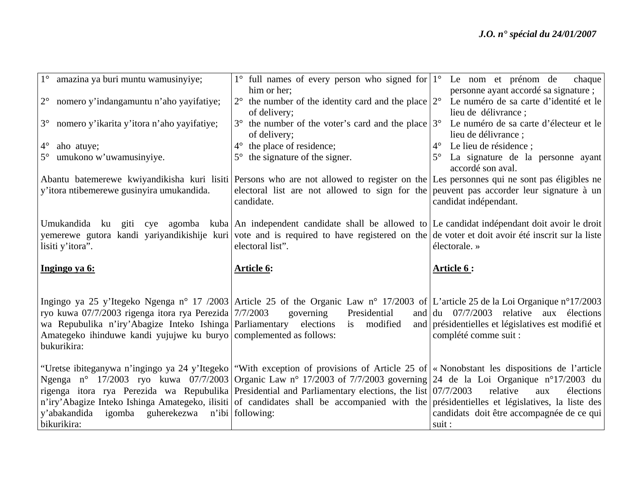| 1° amazina ya buri muntu wamusinyiye;                                                                                                                                                                   | $1^{\circ}$ full names of every person who signed for $1^{\circ}$ Le nom et prénom de<br>him or her;                                                                                                                                                                                          | chaque<br>personne ayant accordé sa signature ;                                                                      |
|---------------------------------------------------------------------------------------------------------------------------------------------------------------------------------------------------------|-----------------------------------------------------------------------------------------------------------------------------------------------------------------------------------------------------------------------------------------------------------------------------------------------|----------------------------------------------------------------------------------------------------------------------|
| 2° nomero y'indangamuntu n'aho yayifatiye;                                                                                                                                                              | the number of the identity card and the place $ 2^{\circ} $<br>of delivery;                                                                                                                                                                                                                   | Le numéro de sa carte d'identité et le<br>lieu de délivrance;                                                        |
| 3° nomero y'ikarita y'itora n'aho yayifatiye;                                                                                                                                                           | $3^{\circ}$ the number of the voter's card and the place $3^{\circ}$ Le numéro de sa carte d'électeur et le<br>of delivery;                                                                                                                                                                   | lieu de délivrance ;                                                                                                 |
| $4^{\circ}$<br>aho atuye;                                                                                                                                                                               | the place of residence;<br>$4^\circ$                                                                                                                                                                                                                                                          | $4^{\circ}$ Le lieu de résidence ;                                                                                   |
| umukono w'uwamusinyiye.                                                                                                                                                                                 | $5^{\circ}$ the signature of the signer.                                                                                                                                                                                                                                                      | 5° La signature de la personne ayant<br>accordé son aval.                                                            |
|                                                                                                                                                                                                         | Abantu batemerewe kwiyandikisha kuri lisiti Persons who are not allowed to register on the Les personnes qui ne sont pas éligibles ne                                                                                                                                                         |                                                                                                                      |
| y'itora ntibemerewe gusinyira umukandida.                                                                                                                                                               | electoral list are not allowed to sign for the peuvent pas accorder leur signature à un<br>candidate.                                                                                                                                                                                         | candidat indépendant.                                                                                                |
| lisiti y'itora".                                                                                                                                                                                        | Umukandida ku giti cye agomba kuba An independent candidate shall be allowed to Le candidat indépendant doit avoir le droit<br>yemerewe gutora kandi yariyandikishije kuri vote and is required to have registered on the de voter et doit avoir été inscrit sur la liste<br>electoral list". | électorale. »                                                                                                        |
|                                                                                                                                                                                                         |                                                                                                                                                                                                                                                                                               |                                                                                                                      |
| Ingingo ya 6:                                                                                                                                                                                           | <b>Article 6:</b>                                                                                                                                                                                                                                                                             | Article 6:                                                                                                           |
| ryo kuwa 07/7/2003 rigenga itora rya Perezida 7/7/2003<br>wa Repubulika n'iry'Abagize Inteko Ishinga Parliamentary<br>Amategeko ihinduwe kandi yujujwe ku buryo complemented as follows:<br>bukurikira: | Ingingo ya 25 y'Itegeko Ngenga n° 17/2003 Article 25 of the Organic Law n° 17/2003 of L'article 25 de la Loi Organique n°17/2003<br>Presidential<br>governing<br>is modified<br>elections<br>and                                                                                              | and $du$ 07/7/2003 relative aux élections<br>présidentielles et législatives est modifié et<br>complété comme suit : |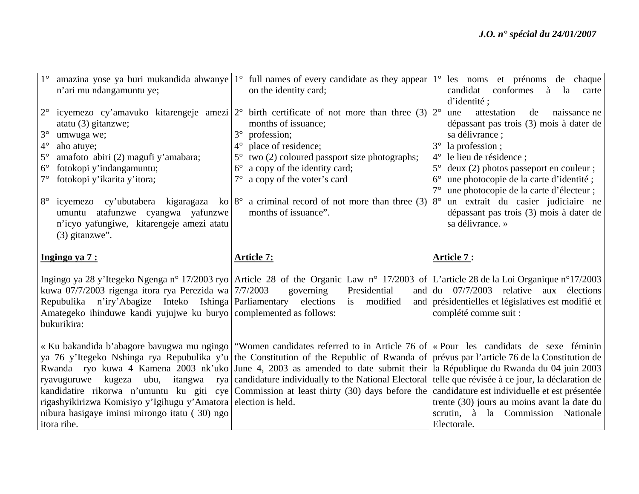| $1^{\circ}$                                                                      | n'ari mu ndangamuntu ye;                                                                                                                                                                                                                                                                                                                                            | amazina yose ya buri mukandida ahwanye $1^{\circ}$ full names of every candidate as they appear $1^{\circ}$ les noms et prénoms de chaque<br>on the identity card;                                                                                                                                                                                                       | candidat conformes à la<br>carte<br>d'identité;                                                                                                                                                                                                                                                                                                                                                                                                                            |
|----------------------------------------------------------------------------------|---------------------------------------------------------------------------------------------------------------------------------------------------------------------------------------------------------------------------------------------------------------------------------------------------------------------------------------------------------------------|--------------------------------------------------------------------------------------------------------------------------------------------------------------------------------------------------------------------------------------------------------------------------------------------------------------------------------------------------------------------------|----------------------------------------------------------------------------------------------------------------------------------------------------------------------------------------------------------------------------------------------------------------------------------------------------------------------------------------------------------------------------------------------------------------------------------------------------------------------------|
| $2^{\circ}$<br>$3^\circ$<br>$4^\circ$<br>$5^\circ$<br>$6^{\circ}$<br>$8^{\circ}$ | icyemezo cy'amavuko kitarengeje amezi $ 2^{\circ} $<br>atatu (3) gitanzwe;<br>umwuga we;<br>aho atuye;<br>amafoto abiri (2) magufi y'amabara;<br>fotokopi y'indangamuntu;<br>fotokopi y'ikarita y'itora;<br>icyemezo cy'ubutabera kigaragaza ko $ 8^{\circ} $<br>umuntu atafunzwe cyangwa yafunzwe<br>n'icyo yafungiwe, kitarengeje amezi atatu<br>$(3)$ gitanzwe". | birth certificate of not more than three $(3)$   $2^{\circ}$<br>months of issuance;<br>profession;<br>$3^\circ$<br>place of residence;<br>$4^\circ$<br>two (2) coloured passport size photographs;<br>$5^{\circ}$<br>a copy of the identity card;<br>$6^{\circ}$<br>a copy of the voter's card<br>a criminal record of not more than three $(3)$<br>months of issuance". | attestation<br>de<br>naissance ne<br>une<br>dépassant pas trois (3) mois à dater de<br>sa délivrance ;<br>$3^\circ$<br>la profession;<br>le lieu de résidence ;<br>$4^{\circ}$<br>$5^{\circ}$<br>deux (2) photos passeport en couleur;<br>une photocopie de la carte d'identité;<br>$6^{\circ}$<br>$7^\circ$<br>une photocopie de la carte d'électeur;<br>un extrait du casier judiciaire ne<br>$8^{\circ}$<br>dépassant pas trois (3) mois à dater de<br>sa délivrance. » |
|                                                                                  | Ingingo ya 7 :                                                                                                                                                                                                                                                                                                                                                      | <b>Article 7:</b>                                                                                                                                                                                                                                                                                                                                                        | <b>Article 7:</b>                                                                                                                                                                                                                                                                                                                                                                                                                                                          |
|                                                                                  | kuwa 07/7/2003 rigenga itora rya Perezida wa 7/7/2003<br>Repubulika n'iry'Abagize Inteko Ishinga Parliamentary elections is modified<br>Amategeko ihinduwe kandi yujujwe ku buryo complemented as follows:                                                                                                                                                          | Ingingo ya 28 y'Itegeko Ngenga n° 17/2003 ryo Article 28 of the Organic Law n° 17/2003 of L'article 28 de la Loi Organique n°17/2003<br>governing<br>Presidential                                                                                                                                                                                                        | and $\left  \frac{du}{dt} \right $ 07/7/2003 relative aux élections<br>and présidentielles et législatives est modifié et<br>complété comme suit :                                                                                                                                                                                                                                                                                                                         |
|                                                                                  | bukurikira:                                                                                                                                                                                                                                                                                                                                                         |                                                                                                                                                                                                                                                                                                                                                                          |                                                                                                                                                                                                                                                                                                                                                                                                                                                                            |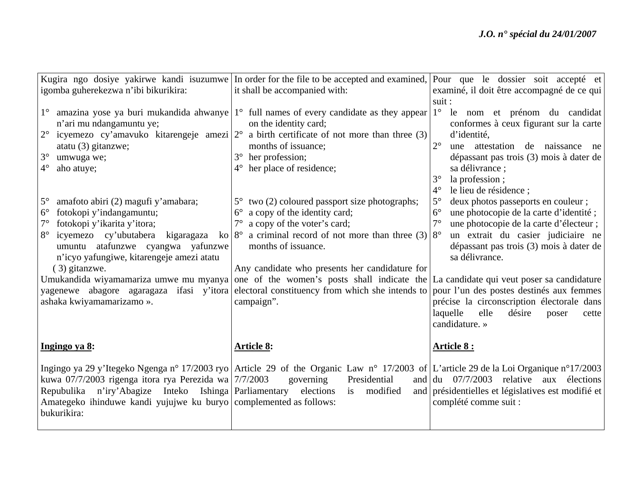|                                                                    | Kugira ngo dosiye yakirwe kandi isuzumwe In order for the file to be accepted and examined,                                          | Pour que le dossier soit accepté et                                 |
|--------------------------------------------------------------------|--------------------------------------------------------------------------------------------------------------------------------------|---------------------------------------------------------------------|
| igomba guherekezwa n'ibi bikurikira:                               | it shall be accompanied with:                                                                                                        | examiné, il doit être accompagné de ce qui                          |
|                                                                    |                                                                                                                                      | suit :                                                              |
| $1^{\circ}$                                                        | amazina yose ya buri mukandida ahwanye $1^{\circ}$ full names of every candidate as they appear                                      | 1° le nom et prénom du candidat                                     |
| n'ari mu ndangamuntu ye;                                           | on the identity card;                                                                                                                | conformes à ceux figurant sur la carte                              |
| $2^{\circ}$<br>icyemezo cy'amavuko kitarengeje amezi $ 2^{\circ} $ | a birth certificate of not more than three (3)                                                                                       | d'identité,                                                         |
| atatu $(3)$ gitanzwe;                                              | months of issuance;                                                                                                                  | $2^{\circ}$<br>une attestation de naissance ne                      |
| $3^\circ$<br>umwuga we;                                            | her profession;                                                                                                                      | dépassant pas trois (3) mois à dater de                             |
| $4^\circ$<br>aho atuye;                                            | her place of residence;<br>$4^\circ$                                                                                                 | sa délivrance;                                                      |
|                                                                    |                                                                                                                                      | $3^\circ$<br>la profession;                                         |
|                                                                    |                                                                                                                                      | $4^{\circ}$<br>le lieu de résidence;                                |
| $5^\circ$<br>amafoto abiri (2) magufi y'amabara;                   | two (2) coloured passport size photographs;<br>$5^{\circ}$                                                                           | $5^\circ$<br>deux photos passeports en couleur;                     |
| fotokopi y'indangamuntu;<br>$6^{\circ}$                            | a copy of the identity card;<br>$6^{\circ}$                                                                                          | $6^{\circ}$<br>une photocopie de la carte d'identité;               |
| fotokopi y'ikarita y'itora;                                        | a copy of the voter's card;                                                                                                          | $7^\circ$<br>une photocopie de la carte d'électeur ;                |
| icyemezo cy'ubutabera kigaragaza<br>$8^{\circ}$<br>ko $8^\circ$    | a criminal record of not more than three (3) $8^{\circ}$                                                                             | un extrait du casier judiciaire ne                                  |
| umuntu atafunzwe cyangwa yafunzwe                                  | months of issuance.                                                                                                                  | dépassant pas trois (3) mois à dater de                             |
| n'icyo yafungiwe, kitarengeje amezi atatu                          |                                                                                                                                      | sa délivrance.                                                      |
| (3) gitanzwe.                                                      | Any candidate who presents her candidature for                                                                                       |                                                                     |
|                                                                    | Umukandida wiyamamariza umwe mu myanya one of the women's posts shall indicate the La candidate qui veut poser sa candidature        |                                                                     |
|                                                                    | yagenewe abagore agaragaza ifasi y'itora electoral constituency from which she intends to pour l'un des postes destinés aux femmes   |                                                                     |
| ashaka kwiyamamarizamo ».                                          | campaign".                                                                                                                           | précise la circonscription électorale dans                          |
|                                                                    |                                                                                                                                      | laquelle<br>elle<br>désire<br>poser<br>cette                        |
|                                                                    |                                                                                                                                      | candidature. »                                                      |
| Ingingo ya 8:                                                      | <b>Article 8:</b>                                                                                                                    | Article 8 :                                                         |
|                                                                    |                                                                                                                                      |                                                                     |
|                                                                    | Ingingo ya 29 y'Itegeko Ngenga n° 17/2003 ryo Article 29 of the Organic Law n° 17/2003 of L'article 29 de la Loi Organique n°17/2003 |                                                                     |
| kuwa 07/7/2003 rigenga itora rya Perezida wa $7/7/2003$            | Presidential<br>governing                                                                                                            | and $\left  \frac{du}{dx} \right $ 07/7/2003 relative aux élections |
| Repubulika n'iry'Abagize Inteko Ishinga Parliamentary elections    | modified<br>is                                                                                                                       | and présidentielles et législatives est modifié et                  |
| Amategeko ihinduwe kandi yujujwe ku buryo complemented as follows: |                                                                                                                                      | complété comme suit :                                               |
| bukurikira:                                                        |                                                                                                                                      |                                                                     |
|                                                                    |                                                                                                                                      |                                                                     |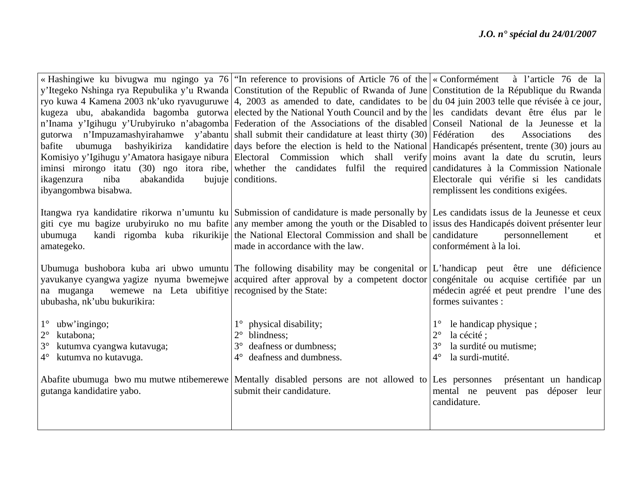|                                                                | « Hashingiwe ku bivugwa mu ngingo ya 76   "In reference to provisions of Article 76 of the $\alpha$ Conformément à l'article 76 de la  |                                                     |
|----------------------------------------------------------------|----------------------------------------------------------------------------------------------------------------------------------------|-----------------------------------------------------|
|                                                                | y'Itegeko Nshinga rya Repubulika y'u Rwanda Constitution of the Republic of Rwanda of June Constitution de la République du Rwanda     |                                                     |
|                                                                | ryo kuwa 4 Kamena 2003 nk'uko ryavuguruwe 4, 2003 as amended to date, candidates to be du 04 juin 2003 telle que révisée à ce jour,    |                                                     |
|                                                                | kugeza ubu, abakandida bagomba gutorwa elected by the National Youth Council and by the les candidats devant être élus par le          |                                                     |
|                                                                | n'Inama y'Igihugu y'Urubyiruko n'abagomba Federation of the Associations of the disabled Conseil National de la Jeunesse et la         |                                                     |
|                                                                | gutorwa n'Impuzamashyirahamwe y'abantu shall submit their candidature at least thirty (30) Fédération                                  | des<br>Associations<br>des                          |
| bafite                                                         | ubumuga bashyikiriza kandidatire days before the election is held to the National Handicapés présentent, trente (30) jours au          |                                                     |
|                                                                | Komisiyo y'Igihugu y'Amatora hasigaye nibura Electoral Commission which shall verify moins avant la date du scrutin, leurs             |                                                     |
|                                                                | iminsi mirongo itatu (30) ngo itora ribe, whether the candidates fulfil the required candidatures à la Commission Nationale            |                                                     |
| abakandida<br>ikagenzura<br>niba                               | bujuje conditions.                                                                                                                     | Electorale qui vérifie si les candidats             |
| ibyangombwa bisabwa.                                           |                                                                                                                                        | remplissent les conditions exigées.                 |
|                                                                |                                                                                                                                        |                                                     |
|                                                                | Itangwa rya kandidatire rikorwa n'umuntu ku Submission of candidature is made personally by Les candidats issus de la Jeunesse et ceux |                                                     |
|                                                                | giti cye mu bagize urubyiruko no mu bafite any member among the youth or the Disabled to issus des Handicapés doivent présenter leur   |                                                     |
| ubumuga                                                        | kandi rigomba kuba rikurikije the National Electoral Commission and shall be candidature                                               | personnellement<br>et                               |
| amategeko.                                                     | made in accordance with the law.                                                                                                       | conformément à la loi.                              |
|                                                                |                                                                                                                                        |                                                     |
|                                                                | Ubumuga bushobora kuba ari ubwo umuntu The following disability may be congenital or L'handicap peut être une déficience               |                                                     |
|                                                                | yavukanye cyangwa yagize nyuma bwemejwe acquired after approval by a competent doctor                                                  | congénitale ou acquise certifiée par un             |
| we we na Leta ubifitive recognised by the State:<br>na muganga |                                                                                                                                        | médecin agréé et peut prendre l'une des             |
| ububasha, nk'ubu bukurikira:                                   |                                                                                                                                        | formes suivantes :                                  |
|                                                                |                                                                                                                                        |                                                     |
| $1^\circ$ ubw'ingingo;<br>$2^{\circ}$<br>kutabona;             | physical disability;<br>blindness:                                                                                                     | le handicap physique;<br>$2^{\circ}$<br>la cécité ; |
| $3^\circ$<br>kutumva cyangwa kutavuga;                         | deafness or dumbness;<br>$3^\circ$                                                                                                     | $3^{\circ}$<br>la surdité ou mutisme;               |
| 4° kutumva no kutavuga.                                        | 4° deafness and dumbness.                                                                                                              | la surdi-mutité.<br>$4^\circ$                       |
|                                                                |                                                                                                                                        |                                                     |
|                                                                | Abafite ubumuga bwo mu mutwe ntibemerewe Mentally disabled persons are not allowed to Les personnes présentant un handicap             |                                                     |
| gutanga kandidatire yabo.                                      | submit their candidature.                                                                                                              | mental ne peuvent pas déposer leur                  |
|                                                                |                                                                                                                                        | candidature.                                        |
|                                                                |                                                                                                                                        |                                                     |
|                                                                |                                                                                                                                        |                                                     |
|                                                                |                                                                                                                                        |                                                     |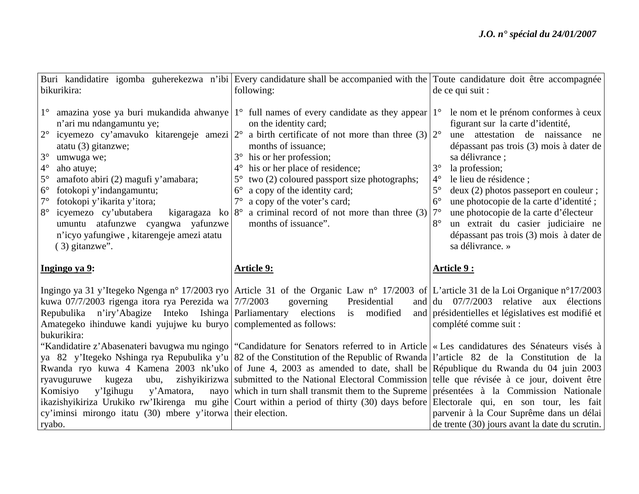|                                                                                                                                                                                                                                                                                                                                                                                                                                                                   | Buri kandidatire igomba guherekezwa n'ibi Every candidature shall be accompanied with the Toute candidature doit être accompagnée                                                                                                                                                                                                                                                                                                                                                                                                                                                           |                                                                                                                                                                                                                                                                                                                                                                                                                                                                                                                                         |
|-------------------------------------------------------------------------------------------------------------------------------------------------------------------------------------------------------------------------------------------------------------------------------------------------------------------------------------------------------------------------------------------------------------------------------------------------------------------|---------------------------------------------------------------------------------------------------------------------------------------------------------------------------------------------------------------------------------------------------------------------------------------------------------------------------------------------------------------------------------------------------------------------------------------------------------------------------------------------------------------------------------------------------------------------------------------------|-----------------------------------------------------------------------------------------------------------------------------------------------------------------------------------------------------------------------------------------------------------------------------------------------------------------------------------------------------------------------------------------------------------------------------------------------------------------------------------------------------------------------------------------|
| bikurikira:                                                                                                                                                                                                                                                                                                                                                                                                                                                       | following:                                                                                                                                                                                                                                                                                                                                                                                                                                                                                                                                                                                  | de ce qui suit :                                                                                                                                                                                                                                                                                                                                                                                                                                                                                                                        |
| $1^{\circ}$<br>n'ari mu ndangamuntu ye;<br>$2^{\circ}$<br>atatu $(3)$ gitanzwe;<br>$3^\circ$<br>umwuga we;<br>$4^{\circ}$<br>aho atuye;<br>$5^{\circ}$<br>amafoto abiri (2) magufi y'amabara;<br>$6^{\circ}$<br>fotokopi y'indangamuntu;<br>$7^\circ$<br>fotokopi y'ikarita y'itora;<br>$8^{\circ}$<br>icyemezo cy'ubutabera<br>kigaragaza ko $ 8^{\circ} $<br>umuntu atafunzwe cyangwa yafunzwe<br>n'icyo yafungiwe, kitarengeje amezi atatu<br>$(3)$ gitanzwe". | amazina yose ya buri mukandida ahwanye $1^{\circ}$ full names of every candidate as they appear $1^{\circ}$<br>on the identity card;<br>icyemezo cy'amavuko kitarengeje amezi $ 2^{\circ} $ a birth certificate of not more than three (3) $ 2^{\circ} $<br>months of issuance;<br>his or her profession;<br>his or her place of residence;<br>$4^{\circ}$<br>two (2) coloured passport size photographs;<br>$5^{\circ}$<br>a copy of the identity card;<br>$6^{\circ}$<br>$7^\circ$<br>a copy of the voter's card;<br>a criminal record of not more than three (3)<br>months of issuance". | le nom et le prénom conformes à ceux<br>figurant sur la carte d'identité,<br>une attestation de naissance ne<br>dépassant pas trois (3) mois à dater de<br>sa délivrance ;<br>$3^\circ$<br>la profession;<br>$4^\circ$<br>le lieu de résidence ;<br>$5^\circ$<br>deux (2) photos passeport en couleur;<br>$6^\circ$<br>une photocopie de la carte d'identité;<br>$7^\circ$<br>une photocopie de la carte d'électeur<br>$8^{\circ}$<br>un extrait du casier judiciaire ne<br>dépassant pas trois (3) mois à dater de<br>sa délivrance. » |
|                                                                                                                                                                                                                                                                                                                                                                                                                                                                   |                                                                                                                                                                                                                                                                                                                                                                                                                                                                                                                                                                                             |                                                                                                                                                                                                                                                                                                                                                                                                                                                                                                                                         |
| Ingingo ya 9:                                                                                                                                                                                                                                                                                                                                                                                                                                                     | <b>Article 9:</b>                                                                                                                                                                                                                                                                                                                                                                                                                                                                                                                                                                           | Article 9:                                                                                                                                                                                                                                                                                                                                                                                                                                                                                                                              |
| kuwa 07/7/2003 rigenga itora rya Perezida wa 7/7/2003<br>Repubulika n'iry'Abagize Inteko Ishinga Parliamentary elections is modified<br>Amategeko ihinduwe kandi yujujwe ku buryo complemented as follows:                                                                                                                                                                                                                                                        | Ingingo ya 31 y'Itegeko Ngenga n° 17/2003 ryo Article 31 of the Organic Law n° 17/2003 of L'article 31 de la Loi Organique n°17/2003<br>Presidential<br>governing                                                                                                                                                                                                                                                                                                                                                                                                                           | and $\left  \frac{du}{dt} \right $ 07/7/2003 relative aux élections<br>and présidentielles et législatives est modifié et<br>complété comme suit :                                                                                                                                                                                                                                                                                                                                                                                      |
| bukurikira:                                                                                                                                                                                                                                                                                                                                                                                                                                                       | "Kandidatire z'Abasenateri bavugwa mu ngingo   "Candidature for Senators referred to in Article   « Les candidatures des Sénateurs visés à<br>ya 82 y'Itegeko Nshinga rya Repubulika y'u 82 of the Constitution of the Republic of Rwanda l'article 82 de la Constitution de la<br>Rwanda ryo kuwa 4 Kamena 2003 nk'uko of June 4, 2003 as amended to date, shall be République du Rwanda du 04 juin 2003                                                                                                                                                                                   |                                                                                                                                                                                                                                                                                                                                                                                                                                                                                                                                         |
| ryavuguruwe<br>kugeza<br>ubu,<br>y'Amatora,<br>Komisiyo<br>y'Igihugu<br>cy'iminsi mirongo itatu (30) mbere y'itorwa their election.                                                                                                                                                                                                                                                                                                                               | zishyikirizwa submitted to the National Electoral Commission telle que révisée à ce jour, doivent être<br>nayo which in turn shall transmit them to the Supreme présentées à la Commission Nationale<br>ikazishyikiriza Urukiko rw'Ikirenga mu gihe Court within a period of thirty (30) days before Electorale qui, en son tour, les fait                                                                                                                                                                                                                                                  | parvenir à la Cour Suprême dans un délai                                                                                                                                                                                                                                                                                                                                                                                                                                                                                                |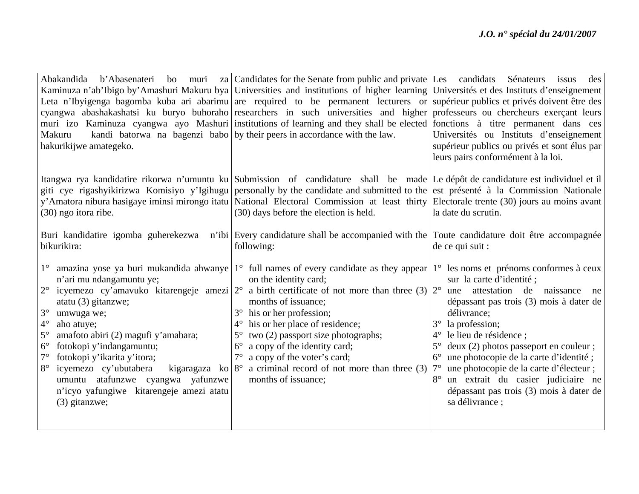| Kaminuza n'ab'Ibigo by'Amashuri Makuru bya Universities and institutions of higher learning Universités et des Instituts d'enseignement                                    |    |
|----------------------------------------------------------------------------------------------------------------------------------------------------------------------------|----|
|                                                                                                                                                                            |    |
| Leta n'Ibyigenga bagomba kuba ari abarimu are required to be permanent lecturers or supérieur publics et privés doivent être des                                           |    |
| cyangwa abashakashatsi ku buryo buhoraho researchers in such universities and higher professeurs ou chercheurs exerçant leurs                                              |    |
| muri izo Kaminuza cyangwa ayo Mashuri institutions of learning and they shall be elected fonctions à titre permanent dans ces                                              |    |
| kandi batorwa na bagenzi babo by their peers in accordance with the law.<br>Universités ou Instituts d'enseignement<br>Makuru                                              |    |
| hakurikijwe amategeko.<br>supérieur publics ou privés et sont élus par                                                                                                     |    |
| leurs pairs conformément à la loi.                                                                                                                                         |    |
|                                                                                                                                                                            |    |
| Itangwa rya kandidatire rikorwa n'umuntu ku Submission of candidature shall be made Le dépôt de candidature est individuel et il                                           |    |
| giti cye rigashyikirizwa Komisiyo y'Igihugu personally by the candidate and submitted to the est présenté à la Commission Nationale                                        |    |
| y'Amatora nibura hasigaye iminsi mirongo itatu National Electoral Commission at least thirty Electorale trente (30) jours au moins avant                                   |    |
| (30) ngo itora ribe.<br>(30) days before the election is held.<br>la date du scrutin.                                                                                      |    |
| Buri kandidatire igomba guherekezwa n'ibi Every candidature shall be accompanied with the Toute candidature doit être accompagnée                                          |    |
| bikurikira:<br>following:<br>de ce qui suit :                                                                                                                              |    |
|                                                                                                                                                                            |    |
| amazina yose ya buri mukandida ahwanye $1^{\circ}$ full names of every candidate as they appear<br>1 <sup>°</sup> les noms et prénoms conformes à ceux<br>$1^{\circ}$      |    |
| n'ari mu ndangamuntu ye;<br>on the identity card;<br>sur la carte d'identité;                                                                                              |    |
| $2^{\circ}$<br>$2^{\circ}$<br>icyemezo cy'amavuko kitarengeje amezi $ 2^{\circ} $<br>a birth certificate of not more than three (3)<br>attestation de naissance<br>une     | ne |
| atatu $(3)$ gitanzwe;<br>months of issuance;<br>dépassant pas trois (3) mois à dater de                                                                                    |    |
| $3^\circ$<br>his or her profession;<br>umwuga we;<br>délivrance;                                                                                                           |    |
| $4^{\circ}$<br>his or her place of residence;<br>la profession;<br>$3^\circ$<br>aho atuye;<br>$4^{\circ}$                                                                  |    |
| $5^{\circ}$<br>two (2) passport size photographs;<br>le lieu de résidence;<br>amafoto abiri (2) magufi y'amabara;<br>$5^{\circ}$<br>$4^{\circ}$                            |    |
| a copy of the identity card;<br>deux (2) photos passeport en couleur;<br>$6^{\circ}$<br>fotokopi y'indangamuntu;<br>$5^{\circ}$<br>$6^{\circ}$                             |    |
| a copy of the voter's card;<br>$7^\circ$<br>fotokopi y'ikarita y'itora;<br>$7^{\circ}$<br>une photocopie de la carte d'identité;<br>$6^{\circ}$                            |    |
| a criminal record of not more than three (3)<br>une photocopie de la carte d'électeur;<br>$8^{\circ}$<br>icyemezo cy'ubutabera<br>$7^\circ$<br>kigaragaza ko $ 8^{\circ} $ |    |
| un extrait du casier judiciaire ne<br>umuntu atafunzwe cyangwa yafunzwe<br>months of issuance;                                                                             |    |
| dépassant pas trois (3) mois à dater de<br>n'icyo yafungiwe kitarengeje amezi atatu                                                                                        |    |
| sa délivrance;<br>(3) gitanzwe;                                                                                                                                            |    |
|                                                                                                                                                                            |    |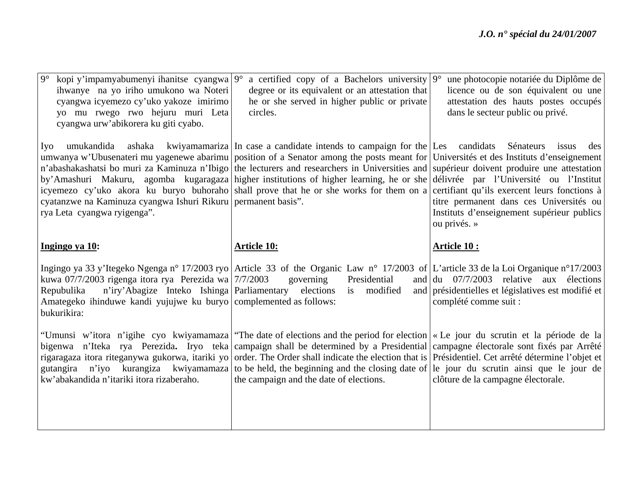| $9^\circ$<br>kopi y'impamyabumenyi ihanitse cyangwa $9^{\circ}$<br>ihwanye na yo iriho umukono wa Noteri<br>cyangwa icyemezo cy'uko yakoze imirimo<br>yo mu rwego rwo hejuru muri Leta<br>cyangwa urw'abikorera ku giti cyabo. | a certified copy of a Bachelors university $9^{\circ}$<br>degree or its equivalent or an attestation that<br>he or she served in higher public or private<br>circles.                                                                                                                                                                                                                                                                                                                                                                                                                                                                              | une photocopie notariée du Diplôme de<br>licence ou de son équivalent ou une<br>attestation des hauts postes occupés<br>dans le secteur public ou privé. |
|--------------------------------------------------------------------------------------------------------------------------------------------------------------------------------------------------------------------------------|----------------------------------------------------------------------------------------------------------------------------------------------------------------------------------------------------------------------------------------------------------------------------------------------------------------------------------------------------------------------------------------------------------------------------------------------------------------------------------------------------------------------------------------------------------------------------------------------------------------------------------------------------|----------------------------------------------------------------------------------------------------------------------------------------------------------|
| Iyo<br>umukandida<br>cyatanzwe na Kaminuza cyangwa Ishuri Rikuru permanent basis".<br>rya Leta cyangwa ryigenga".                                                                                                              | ashaka kwiyamamariza In case a candidate intends to campaign for the Les candidats<br>umwanya w'Ubusenateri mu yagenewe abarimu position of a Senator among the posts meant for Universités et des Instituts d'enseignement<br>n'abashakashatsi bo muri za Kaminuza n'Ibigo the lecturers and researchers in Universities and supérieur doivent produire une attestation<br>by'Amashuri Makuru, agomba kugaragaza higher institutions of higher learning, he or she délivrée par l'Université ou l'Institut<br>icyemezo cy'uko akora ku buryo buhoraho shall prove that he or she works for them on a certifiant qu'ils exercent leurs fonctions à | Sénateurs<br>issus<br>des<br>titre permanent dans ces Universités ou<br>Instituts d'enseignement supérieur publics<br>ou privés. »                       |
| Ingingo ya 10:                                                                                                                                                                                                                 | <b>Article 10:</b>                                                                                                                                                                                                                                                                                                                                                                                                                                                                                                                                                                                                                                 | <b>Article 10:</b>                                                                                                                                       |
| kuwa 07/7/2003 rigenga itora rya Perezida wa $7/7/2003$<br>Repubulika<br>Amategeko ihinduwe kandi yujujwe ku buryo complemented as follows:<br>bukurikira:                                                                     | Ingingo ya 33 y'Itegeko Ngenga nº 17/2003 ryo Article 33 of the Organic Law nº 17/2003 of L'article 33 de la Loi Organique nº17/2003<br>governing<br>Presidential<br>n'iry'Abagize Inteko Ishinga Parliamentary elections is modified                                                                                                                                                                                                                                                                                                                                                                                                              | and $\left  \frac{du}{dt} \right $ 07/7/2003 relative aux élections<br>and présidentielles et législatives est modifié et<br>complété comme suit :       |
|                                                                                                                                                                                                                                | "Umunsi w'itora n'igihe cyo kwiyamamaza "The date of elections and the period for election « Le jour du scrutin et la période de la<br>bigenwa n'Iteka rya Perezida. Iryo teka campaign shall be determined by a Presidential campagne électorale sont fixés par Arrêté<br>rigaragaza itora riteganywa gukorwa, itariki yo order. The Order shall indicate the election that is Présidentiel. Cet arrêté détermine l'objet et                                                                                                                                                                                                                      | gutangira n'iyo kurangiza kwiyamamaza to be held, the beginning and the closing date of le jour du scrutin ainsi que le jour de                          |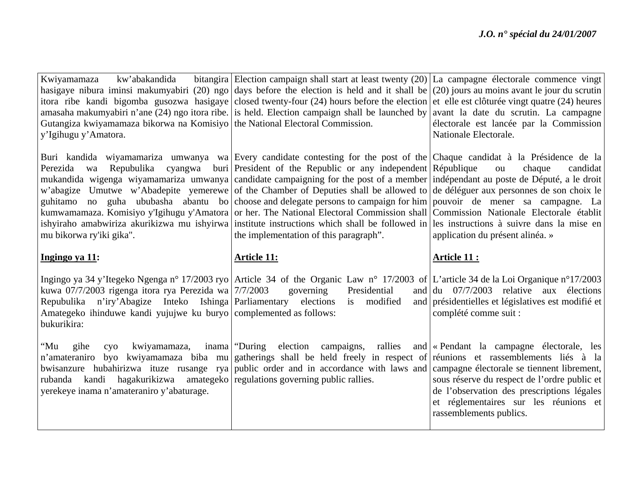| kw'abakandida<br>Kwiyamamaza<br>Gutangiza kwiyamamaza bikorwa na Komisiyo the National Electoral Commission.<br>y'Igihugu y'Amatora.                                                                                      | bitangira Election campaign shall start at least twenty $(20)$ La campagne électorale commence vingt<br>hasigaye nibura iminsi makumyabiri (20) ngo days before the election is held and it shall be (20) jours au moins avant le jour du scrutin<br>itora ribe kandi bigomba gusozwa hasigaye closed twenty-four (24) hours before the election et elle est clôturée vingt quatre (24) heures<br>amasaha makumyabiri n'ane (24) ngo itora ribe. is held. Election campaign shall be launched by avant la date du scrutin. La campagne                                                                                                                                                                                                                                                                                                                                                                                               | électorale est lancée par la Commission<br>Nationale Electorale.                                                                                   |
|---------------------------------------------------------------------------------------------------------------------------------------------------------------------------------------------------------------------------|--------------------------------------------------------------------------------------------------------------------------------------------------------------------------------------------------------------------------------------------------------------------------------------------------------------------------------------------------------------------------------------------------------------------------------------------------------------------------------------------------------------------------------------------------------------------------------------------------------------------------------------------------------------------------------------------------------------------------------------------------------------------------------------------------------------------------------------------------------------------------------------------------------------------------------------|----------------------------------------------------------------------------------------------------------------------------------------------------|
| Perezida<br>wa<br>mu bikorwa ry'iki gika".                                                                                                                                                                                | Buri kandida wiyamamariza umwanya wa Every candidate contesting for the post of the Chaque candidat à la Présidence de la<br>Repubulika cyangwa buri President of the Republic or any independent République<br>mukandida wigenga wiyamamariza umwanya candidate campaigning for the post of a member indépendant au poste de Député, a le droit<br>w'abagize Umutwe w'Abadepite yemerewe of the Chamber of Deputies shall be allowed to de déléguer aux personnes de son choix le<br>guhitamo no guha ububasha abantu bo choose and delegate persons to campaign for him pouvoir de mener sa campagne. La<br>kumwamamaza. Komisiyo y'Igihugu y'Amatora or her. The National Electoral Commission shall Commission Nationale Electorale établit<br>ishyiraho amabwiriza akurikizwa mu ishyirwa institute instructions which shall be followed in les instructions à suivre dans la mise en<br>the implementation of this paragraph". | chaque<br>candidat<br>ou<br>application du présent alinéa. »                                                                                       |
| Ingingo ya 11:                                                                                                                                                                                                            | <b>Article 11:</b>                                                                                                                                                                                                                                                                                                                                                                                                                                                                                                                                                                                                                                                                                                                                                                                                                                                                                                                   | Article 11 :                                                                                                                                       |
|                                                                                                                                                                                                                           |                                                                                                                                                                                                                                                                                                                                                                                                                                                                                                                                                                                                                                                                                                                                                                                                                                                                                                                                      |                                                                                                                                                    |
| kuwa 07/7/2003 rigenga itora rya Perezida wa 7/7/2003<br>Repubulika n'iry'Abagize Inteko Ishinga Parliamentary elections is modified<br>Amategeko ihinduwe kandi yujujwe ku buryo complemented as follows:<br>bukurikira: | Ingingo ya 34 y'Itegeko Ngenga n° 17/2003 ryo Article 34 of the Organic Law n° 17/2003 of L'article 34 de la Loi Organique n°17/2003<br>governing<br>Presidential                                                                                                                                                                                                                                                                                                                                                                                                                                                                                                                                                                                                                                                                                                                                                                    | and $\left  \frac{du}{dt} \right $ 07/7/2003 relative aux élections<br>and présidentielles et législatives est modifié et<br>complété comme suit : |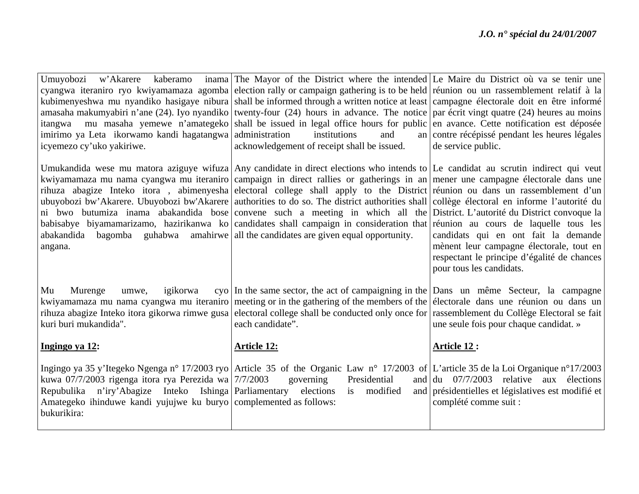| Umuyobozi<br>imirimo ya Leta ikorwamo kandi hagatangwa administration<br>icyemezo cy'uko yakiriwe.                                                                                                    | w'Akarere kaberamo inama The Mayor of the District where the intended Le Maire du District où va se tenir une<br>cyangwa iteraniro ryo kwiyamamaza agomba election rally or campaign gathering is to be held réunion ou un rassemblement relatif à la<br>kubimenyeshwa mu nyandiko hasigaye nibura shall be informed through a written notice at least campagne électorale doit en être informé<br>amasaha makumyabiri n'ane (24). Iyo nyandiko twenty-four (24) hours in advance. The notice par écrit vingt quatre (24) heures au moins<br>itangwa mu masaha yemewe n'amategeko shall be issued in legal office hours for public en avance. Cette notification est déposée<br>institutions<br>and<br>acknowledgement of receipt shall be issued.                                                                 | an contre récépissé pendant les heures légales<br>de service public.                                                                                        |
|-------------------------------------------------------------------------------------------------------------------------------------------------------------------------------------------------------|--------------------------------------------------------------------------------------------------------------------------------------------------------------------------------------------------------------------------------------------------------------------------------------------------------------------------------------------------------------------------------------------------------------------------------------------------------------------------------------------------------------------------------------------------------------------------------------------------------------------------------------------------------------------------------------------------------------------------------------------------------------------------------------------------------------------|-------------------------------------------------------------------------------------------------------------------------------------------------------------|
| abakandida bagomba guhabwa amahirwe all the candidates are given equal opportunity.<br>angana.                                                                                                        | Umukandida wese mu matora aziguye wifuza Any candidate in direct elections who intends to Le candidat au scrutin indirect qui veut<br>kwiyamamaza mu nama cyangwa mu iteraniro campaign in direct rallies or gatherings in an mener une campagne électorale dans une<br>rihuza abagize Inteko itora, abimenyesha electoral college shall apply to the District réunion ou dans un rassemblement d'un<br>ubuyobozi bw'Akarere. Ubuyobozi bw'Akarere authorities to do so. The district authorities shall collège électoral en informe l'autorité du<br>ni bwo butumiza inama abakandida bose convene such a meeting in which all the District. L'autorité du District convoque la<br>babisabye biyamamarizamo, hazirikanwa ko candidates shall campaign in consideration that réunion au cours de laquelle tous les | candidats qui en ont fait la demande<br>mènent leur campagne électorale, tout en<br>respectant le principe d'égalité de chances<br>pour tous les candidats. |
| Mu<br>igikorwa<br>Murenge<br>umwe,<br>kuri buri mukandida".                                                                                                                                           | cyo In the same sector, the act of campaigning in the Dans un même Secteur, la campagne<br>kwiyamamaza mu nama cyangwa mu iteraniro meeting or in the gathering of the members of the electorale dans une réunion ou dans un<br>rihuza abagize Inteko itora gikorwa rimwe gusa ellectoral college shall be conducted only once for rassemblement du Collège Electoral se fait<br>each candidate".                                                                                                                                                                                                                                                                                                                                                                                                                  | une seule fois pour chaque candidat. »                                                                                                                      |
| Ingingo ya 12:                                                                                                                                                                                        | <b>Article 12:</b>                                                                                                                                                                                                                                                                                                                                                                                                                                                                                                                                                                                                                                                                                                                                                                                                 | Article 12:                                                                                                                                                 |
| kuwa 07/7/2003 rigenga itora rya Perezida wa $7/7/2003$<br>Repubulika n'iry'Abagize Inteko Ishinga Parliamentary<br>Amategeko ihinduwe kandi yujujwe ku buryo complemented as follows:<br>bukurikira: | Ingingo ya 35 y'Itegeko Ngenga n° 17/2003 ryo Article 35 of the Organic Law n° 17/2003 of L'article 35 de la Loi Organique n° 17/2003<br>governing<br>Presidential<br>elections<br>modified<br>is                                                                                                                                                                                                                                                                                                                                                                                                                                                                                                                                                                                                                  | and $du$ 07/7/2003 relative aux<br>élections<br>and présidentielles et législatives est modifié et<br>complété comme suit :                                 |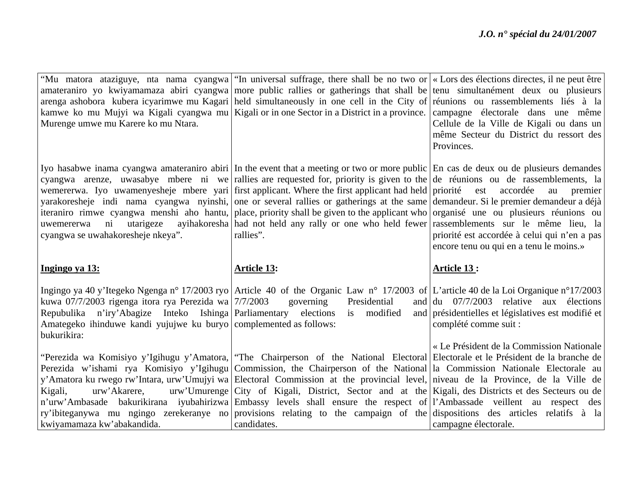|                                                                                   | "Mu matora ataziguye, nta nama cyangwa "In universal suffrage, there shall be no two or «Lors des élections directes, il ne peut être                                                                                                       |                                                                     |
|-----------------------------------------------------------------------------------|---------------------------------------------------------------------------------------------------------------------------------------------------------------------------------------------------------------------------------------------|---------------------------------------------------------------------|
|                                                                                   | amateraniro yo kwiyamamaza abiri cyangwa more public rallies or gatherings that shall be tenu simultanément deux ou plusieurs                                                                                                               |                                                                     |
|                                                                                   | arenga ashobora kubera icyarimwe mu Kagari held simultaneously in one cell in the City of réunions ou rassemblements liés à la                                                                                                              |                                                                     |
|                                                                                   | kamwe ko mu Mujyi wa Kigali cyangwa mu Kigali or in one Sector in a District in a province.                                                                                                                                                 | campagne électorale dans une même                                   |
| Murenge umwe mu Karere ko mu Ntara.                                               |                                                                                                                                                                                                                                             | Cellule de la Ville de Kigali ou dans un                            |
|                                                                                   |                                                                                                                                                                                                                                             | même Secteur du District du ressort des                             |
|                                                                                   |                                                                                                                                                                                                                                             | Provinces.                                                          |
|                                                                                   |                                                                                                                                                                                                                                             |                                                                     |
|                                                                                   | Iyo hasabwe inama cyangwa amateraniro abiri In the event that a meeting or two or more public En cas de deux ou de plusieurs demandes                                                                                                       |                                                                     |
|                                                                                   | cyangwa arenze, uwasabye mbere ni we rallies are requested for, priority is given to the $\alpha$ de réunions ou de rassemblements, la                                                                                                      |                                                                     |
|                                                                                   | wemererwa. Iyo uwamenyesheje mbere yari first applicant. Where the first applicant had held priorité<br>yarakoresheje indi nama cyangwa nyinshi, one or several rallies or gatherings at the same demandeur. Si le premier demandeur a déjà | accordée<br>est<br>au<br>premier                                    |
|                                                                                   | iteraniro rimwe cyangwa menshi aho hantu, place, priority shall be given to the applicant who organisé une ou plusieurs réunions ou                                                                                                         |                                                                     |
| $\overline{\text{ni}}$<br>utarigeze<br>uwemererwa                                 | ayihakoresha had not held any rally or one who held fewer rassemblements sur le même lieu, la                                                                                                                                               |                                                                     |
| cyangwa se uwahakoresheje nkeya".                                                 | rallies".                                                                                                                                                                                                                                   | priorité est accordée à celui qui n'en a pas                        |
|                                                                                   |                                                                                                                                                                                                                                             | encore tenu ou qui en a tenu le moins.»                             |
|                                                                                   |                                                                                                                                                                                                                                             |                                                                     |
|                                                                                   |                                                                                                                                                                                                                                             |                                                                     |
| Ingingo ya 13:                                                                    | <b>Article 13:</b>                                                                                                                                                                                                                          | Article 13:                                                         |
|                                                                                   |                                                                                                                                                                                                                                             |                                                                     |
|                                                                                   | Ingingo ya 40 y'Itegeko Ngenga n° 17/2003 ryo Article 40 of the Organic Law n° 17/2003 of L'article 40 de la Loi Organique n° 17/2003                                                                                                       |                                                                     |
| kuwa 07/7/2003 rigenga itora rya Perezida wa 7/7/2003                             | Presidential<br>governing                                                                                                                                                                                                                   | and $\left  \frac{du}{dt} \right $ 07/7/2003 relative aux élections |
| n'iry'Abagize Inteko Ishinga Parliamentary elections<br>Repubulika                | is modified                                                                                                                                                                                                                                 | and présidentielles et législatives est modifié et                  |
| Amategeko ihinduwe kandi yujujwe ku buryo complemented as follows:<br>bukurikira: |                                                                                                                                                                                                                                             | complété comme suit :                                               |
|                                                                                   |                                                                                                                                                                                                                                             | « Le Président de la Commission Nationale                           |
|                                                                                   | "Perezida wa Komisiyo y'Igihugu y'Amatora,   "The Chairperson of the National Electoral Electorale et le Président de la branche de                                                                                                         |                                                                     |
|                                                                                   | Perezida w'ishami rya Komisiyo y'Igihugu Commission, the Chairperson of the National la Commission Nationale Electorale au                                                                                                                  |                                                                     |
|                                                                                   | y'Amatora ku rwego rw'Intara, urw'Umujyi wa Electoral Commission at the provincial level, niveau de la Province, de la Ville de                                                                                                             |                                                                     |
| Kigali,<br>urw'Akarere,                                                           | urw'Umurenge City of Kigali, District, Sector and at the Kigali, des Districts et des Secteurs ou de                                                                                                                                        |                                                                     |
|                                                                                   | n'urw'Ambasade bakurikirana iyubahirizwa Embassy levels shall ensure the respect of l'Ambassade veillent au respect des                                                                                                                     |                                                                     |
| kwiyamamaza kw'abakandida.                                                        | ry'ibiteganywa mu ngingo zerekeranye no provisions relating to the campaign of the dispositions des articles relatifs à la<br>candidates.                                                                                                   | campagne électorale.                                                |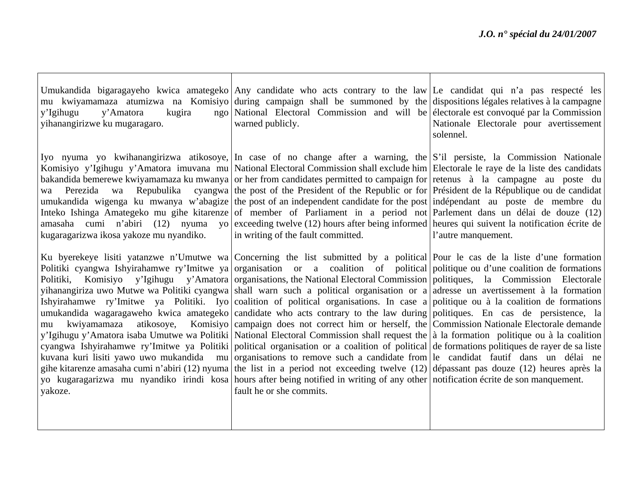| y'Amatora<br>kugira<br>y'Igihugu<br>yihanangirizwe ku mugaragaro. | Umukandida bigaragayeho kwica amategeko Any candidate who acts contrary to the law Le candidat qui n'a pas respecté les<br>mu kwiyamamaza atumizwa na Komisiyo during campaign shall be summoned by the dispositions légales relatives à la campagne<br>ngo National Electoral Commission and will be electorale est convoqué par la Commission<br>warned publicly.                                                                                                                                                                                                                                                                                                                                                                                                                                                                                                                                                                                                                                                                                                                                                                                                                                                                                                                                                                                                                                                                                                                                                                                                                                                                              | Nationale Electorale pour avertissement<br>solennel. |
|-------------------------------------------------------------------|--------------------------------------------------------------------------------------------------------------------------------------------------------------------------------------------------------------------------------------------------------------------------------------------------------------------------------------------------------------------------------------------------------------------------------------------------------------------------------------------------------------------------------------------------------------------------------------------------------------------------------------------------------------------------------------------------------------------------------------------------------------------------------------------------------------------------------------------------------------------------------------------------------------------------------------------------------------------------------------------------------------------------------------------------------------------------------------------------------------------------------------------------------------------------------------------------------------------------------------------------------------------------------------------------------------------------------------------------------------------------------------------------------------------------------------------------------------------------------------------------------------------------------------------------------------------------------------------------------------------------------------------------|------------------------------------------------------|
| wa Perezida wa<br>kugaragarizwa ikosa yakoze mu nyandiko.         | Iyo nyuma yo kwihanangirizwa atikosoye, In case of no change after a warning, the S'il persiste, la Commission Nationale<br>Komisiyo y'Igihugu y'Amatora imuvana mu National Electoral Commission shall exclude him Electorale le raye de la liste des candidats<br>bakandida bemerewe kwiyamamaza ku mwanya or her from candidates permitted to campaign for retenus à la campagne au poste du<br>Repubulika cyangwa the post of the President of the Republic or for Président de la République ou de candidat<br>umukandida wigenga ku mwanya w'abagize the post of an independent candidate for the post indépendant au poste de membre du<br>Inteko Ishinga Amategeko mu gihe kitarenze of member of Parliament in a period not Parlement dans un délai de douze (12)<br>amasaha cumi n'abiri (12) nyuma yo exceeding twelve (12) hours after being informed heures qui suivent la notification écrite de<br>in writing of the fault committed.                                                                                                                                                                                                                                                                                                                                                                                                                                                                                                                                                                                                                                                                                             | l'autre manquement.                                  |
| atikosoye,<br>kwiyamamaza<br>mu<br>yakoze.                        | Ku byerekeye lisiti yatanzwe n'Umutwe wa Concerning the list submitted by a political Pour le cas de la liste d'une formation<br>Politiki cyangwa Ishyirahamwe ry'Imitwe ya organisation or a coalition of political politique ou d'une coalition de formations<br>Politiki, Komisiyo y'Igihugu y'Amatora organisations, the National Electoral Commission   politiques, la Commission Electorale<br>yihanangiriza uwo Mutwe wa Politiki cyangwa shall warn such a political organisation or a adresse un avertissement à la formation<br>Ishyirahamwe ry'Imitwe ya Politiki. Iyo coalition of political organisations. In case a politique ou à la coalition de formations<br>umukandida wagaragaweho kwica amategeko candidate who acts contrary to the law during politiques. En cas de persistence, la<br>Komisiyo campaign does not correct him or herself, the Commission Nationale Electorale demande<br>y'Igihugu y'Amatora isaba Umutwe wa Politiki National Electoral Commission shall request the à la formation politique ou à la coalition<br>cyangwa Ishyirahamwe ry'Imitwe ya Politiki political organisation or a coalition of political de formations politiques de rayer de sa liste<br>kuvana kuri lisiti yawo uwo mukandida mu organisations to remove such a candidate from le candidat fautif dans un délai ne<br>gihe kitarenze amasaha cumi n'abiri (12) nyuma the list in a period not exceeding twelve (12) dépassant pas douze (12) heures après la<br>yo kugaragarizwa mu nyandiko irindi kosa hours after being notified in writing of any other notification écrite de son manquement.<br>fault he or she commits. |                                                      |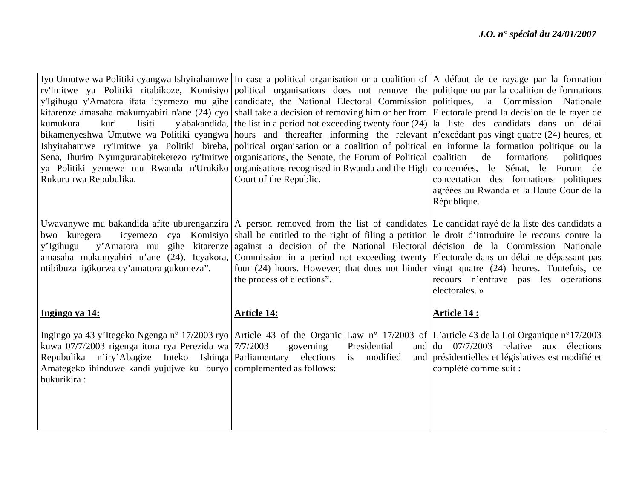| ry'Imitwe ya Politiki ritabikoze, Komisiyo political organisations does not remove the politique ou par la coalition de formations<br>y'Igihugu y'Amatora ifata icyemezo mu gihe candidate, the National Electoral Commission politiques, la Commission Nationale<br>kitarenze amasaha makumyabiri n'ane (24) cyo shall take a decision of removing him or her from Electorale prend la décision de le rayer de<br>kumukura<br>y'abakandida, the list in a period not exceeding twenty four $(24)$   la liste des candidats dans un délai<br>kuri<br>lisiti<br>bikamenyeshwa Umutwe wa Politiki cyangwa hours and thereafter informing the relevant n'excédant pas vingt quatre (24) heures, et<br>Ishyirahamwe ry'Imitwe ya Politiki bireba, political organisation or a coalition of political en informe la formation politique ou la |
|------------------------------------------------------------------------------------------------------------------------------------------------------------------------------------------------------------------------------------------------------------------------------------------------------------------------------------------------------------------------------------------------------------------------------------------------------------------------------------------------------------------------------------------------------------------------------------------------------------------------------------------------------------------------------------------------------------------------------------------------------------------------------------------------------------------------------------------|
|                                                                                                                                                                                                                                                                                                                                                                                                                                                                                                                                                                                                                                                                                                                                                                                                                                          |
|                                                                                                                                                                                                                                                                                                                                                                                                                                                                                                                                                                                                                                                                                                                                                                                                                                          |
|                                                                                                                                                                                                                                                                                                                                                                                                                                                                                                                                                                                                                                                                                                                                                                                                                                          |
|                                                                                                                                                                                                                                                                                                                                                                                                                                                                                                                                                                                                                                                                                                                                                                                                                                          |
|                                                                                                                                                                                                                                                                                                                                                                                                                                                                                                                                                                                                                                                                                                                                                                                                                                          |
|                                                                                                                                                                                                                                                                                                                                                                                                                                                                                                                                                                                                                                                                                                                                                                                                                                          |
| Sena, Ihuriro Nyunguranabitekerezo ry'Imitwe organisations, the Senate, the Forum of Political coalition<br>de<br>formations<br>politiques                                                                                                                                                                                                                                                                                                                                                                                                                                                                                                                                                                                                                                                                                               |
| ya Politiki yemewe mu Rwanda n'Urukiko organisations recognised in Rwanda and the High concernées, le Sénat, le Forum de                                                                                                                                                                                                                                                                                                                                                                                                                                                                                                                                                                                                                                                                                                                 |
| Court of the Republic.<br>Rukuru rwa Repubulika.<br>concertation des formations politiques                                                                                                                                                                                                                                                                                                                                                                                                                                                                                                                                                                                                                                                                                                                                               |
| agréées au Rwanda et la Haute Cour de la                                                                                                                                                                                                                                                                                                                                                                                                                                                                                                                                                                                                                                                                                                                                                                                                 |
| République.                                                                                                                                                                                                                                                                                                                                                                                                                                                                                                                                                                                                                                                                                                                                                                                                                              |
|                                                                                                                                                                                                                                                                                                                                                                                                                                                                                                                                                                                                                                                                                                                                                                                                                                          |
| Uwavanywe mu bakandida afite uburenganzira   A person removed from the list of candidates   Le candidat rayé de la liste des candidats a                                                                                                                                                                                                                                                                                                                                                                                                                                                                                                                                                                                                                                                                                                 |
| icyemezo cya Komisiyo shall be entitled to the right of filing a petition le droit d'introduire le recours contre la<br>bwo kuregera                                                                                                                                                                                                                                                                                                                                                                                                                                                                                                                                                                                                                                                                                                     |
| y'Amatora mu gihe kitarenze against a decision of the National Electoral décision de la Commission Nationale<br>y'Igihugu                                                                                                                                                                                                                                                                                                                                                                                                                                                                                                                                                                                                                                                                                                                |
| amasaha makumyabiri n'ane (24). Icyakora, Commission in a period not exceeding twenty Electorale dans un délai ne dépassant pas                                                                                                                                                                                                                                                                                                                                                                                                                                                                                                                                                                                                                                                                                                          |
| ntibibuza igikorwa cy'amatora gukomeza".<br>four $(24)$ hours. However, that does not hinder vingt quatre $(24)$ heures. Toutefois, ce                                                                                                                                                                                                                                                                                                                                                                                                                                                                                                                                                                                                                                                                                                   |
| the process of elections".<br>recours n'entrave pas les opérations                                                                                                                                                                                                                                                                                                                                                                                                                                                                                                                                                                                                                                                                                                                                                                       |
| électorales. »                                                                                                                                                                                                                                                                                                                                                                                                                                                                                                                                                                                                                                                                                                                                                                                                                           |
|                                                                                                                                                                                                                                                                                                                                                                                                                                                                                                                                                                                                                                                                                                                                                                                                                                          |
| Ingingo ya 14:<br><b>Article 14:</b><br><b>Article 14:</b>                                                                                                                                                                                                                                                                                                                                                                                                                                                                                                                                                                                                                                                                                                                                                                               |
| Ingingo ya 43 y'Itegeko Ngenga nº 17/2003 ryo Article 43 of the Organic Law nº 17/2003 of L'article 43 de la Loi Organique nº17/2003                                                                                                                                                                                                                                                                                                                                                                                                                                                                                                                                                                                                                                                                                                     |
| kuwa 07/7/2003 rigenga itora rya Perezida wa 7/7/2003<br>Presidential<br>and $\left  \frac{du}{dx} \right $ 07/7/2003 relative aux élections<br>governing                                                                                                                                                                                                                                                                                                                                                                                                                                                                                                                                                                                                                                                                                |
| Repubulika n'iry'Abagize Inteko Ishinga Parliamentary elections is modified                                                                                                                                                                                                                                                                                                                                                                                                                                                                                                                                                                                                                                                                                                                                                              |
| and présidentielles et législatives est modifié et<br>Amategeko ihinduwe kandi yujujwe ku buryo complemented as follows:                                                                                                                                                                                                                                                                                                                                                                                                                                                                                                                                                                                                                                                                                                                 |
| complété comme suit :<br>bukurikira:                                                                                                                                                                                                                                                                                                                                                                                                                                                                                                                                                                                                                                                                                                                                                                                                     |
|                                                                                                                                                                                                                                                                                                                                                                                                                                                                                                                                                                                                                                                                                                                                                                                                                                          |
|                                                                                                                                                                                                                                                                                                                                                                                                                                                                                                                                                                                                                                                                                                                                                                                                                                          |
|                                                                                                                                                                                                                                                                                                                                                                                                                                                                                                                                                                                                                                                                                                                                                                                                                                          |
|                                                                                                                                                                                                                                                                                                                                                                                                                                                                                                                                                                                                                                                                                                                                                                                                                                          |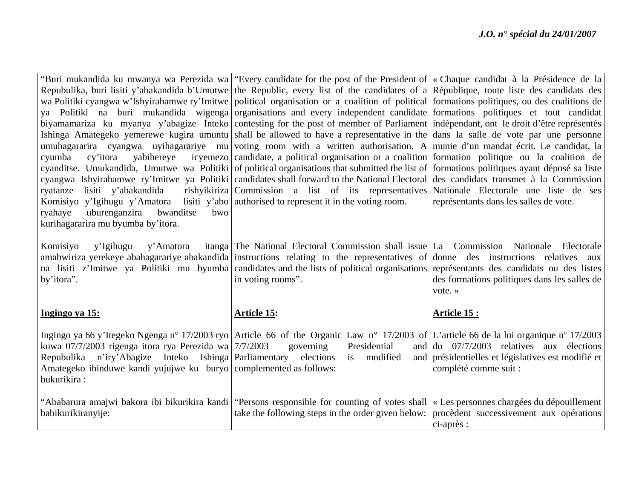|                                                                                            | "Buri mukandida ku mwanya wa Perezida wa "Every candidate for the post of the President of   « Chaque candidat à la Présidence de la         |                                                                      |
|--------------------------------------------------------------------------------------------|----------------------------------------------------------------------------------------------------------------------------------------------|----------------------------------------------------------------------|
|                                                                                            | Repubulika, buri lisiti y'abakandida b'Umutwe the Republic, every list of the candidates of a République, toute liste des candidats des      |                                                                      |
|                                                                                            | wa Politiki cyangwa w'Ishyirahamwe ry'Imitwe political organisation or a coalition of political formations politiques, ou des coalitions de  |                                                                      |
|                                                                                            | ya Politiki na buri mukandida wigenga organisations and every independent candidate formations politiques et tout candidat                   |                                                                      |
|                                                                                            | biyamamariza ku myanya y'abagize Inteko contesting for the post of member of Parliament indépendant, ont le droit d'être représentés         |                                                                      |
|                                                                                            | Ishinga Amategeko yemerewe kugira umuntu shall be allowed to have a representative in the dans la salle de vote par une personne             |                                                                      |
|                                                                                            | umuhagararira cyangwa uyihagarariye mu voting room with a written authorisation. A munie d'un mandat écrit. Le candidat, la                  |                                                                      |
| yabihereye<br>cyumba<br>cy'itora                                                           | icyemezo candidate, a political organisation or a coalition formation politique ou la coalition de                                           |                                                                      |
|                                                                                            | cyanditse. Umukandida, Umutwe wa Politiki of political organisations that submitted the list of formations politiques ayant déposé sa liste  |                                                                      |
|                                                                                            | cyangwa Ishyirahamwe ry'Imitwe ya Politiki candidates shall forward to the National Electoral des candidats transmet à la Commission         |                                                                      |
| ryatanze<br>lisiti y'abakandida                                                            | rishyikiriza   Commission a list of its representatives   Nationale Electorale une liste de ses                                              |                                                                      |
| Komisiyo y'Igihugu y'Amatora lisiti y'abo   authorised to represent it in the voting room. |                                                                                                                                              | représentants dans les salles de vote.                               |
| bwanditse<br>uburenganzira<br>bwo<br>ryahaye                                               |                                                                                                                                              |                                                                      |
| kurihagararira mu byumba by'itora.                                                         |                                                                                                                                              |                                                                      |
|                                                                                            |                                                                                                                                              |                                                                      |
| Komisiyo<br>y'Igihugu<br>y'Amatora                                                         | itanga The National Electoral Commission shall issue La Commission Nationale Electorale                                                      |                                                                      |
|                                                                                            | amabwiriza yerekeye abahagarariye abakandida instructions relating to the representatives of donne des instructions relatives aux            |                                                                      |
|                                                                                            | na lisiti z'Imitwe ya Politiki mu byumba candidates and the lists of political organisations représentants des candidats ou des listes       |                                                                      |
| by'itora".                                                                                 | in voting rooms".                                                                                                                            | des formations politiques dans les salles de                         |
|                                                                                            |                                                                                                                                              | vote.»                                                               |
|                                                                                            |                                                                                                                                              |                                                                      |
| Ingingo ya 15:                                                                             | <b>Article 15:</b>                                                                                                                           | Article 15 :                                                         |
|                                                                                            | Ingingo ya 66 y'Itegeko Ngenga n° 17/2003 ryo Article 66 of the Organic Law n° 17/2003 of L'article 66 de la loi organique n° 17/2003        |                                                                      |
| kuwa 07/7/2003 rigenga itora rya Perezida wa 7/7/2003                                      | Presidential<br>governing                                                                                                                    | and $\left  \frac{du}{dt} \right $ 07/7/2003 relatives aux élections |
| Repubulika                                                                                 | n'iry'Abagize Inteko Ishinga Parliamentary elections is modified                                                                             | and présidentielles et législatives est modifié et                   |
| Amategeko ihinduwe kandi yujujwe ku buryo complemented as follows:                         |                                                                                                                                              | complété comme suit :                                                |
| bukurikira:                                                                                |                                                                                                                                              |                                                                      |
|                                                                                            |                                                                                                                                              |                                                                      |
|                                                                                            | "Ababarura amajwi bakora ibi bikurikira kandi   "Persons responsible for counting of votes shall   « Les personnes chargées du dépouillement |                                                                      |
| babikurikiranyije:                                                                         | take the following steps in the order given below:                                                                                           | procèdent successivement aux opérations                              |
|                                                                                            |                                                                                                                                              |                                                                      |
|                                                                                            |                                                                                                                                              | ci-après :                                                           |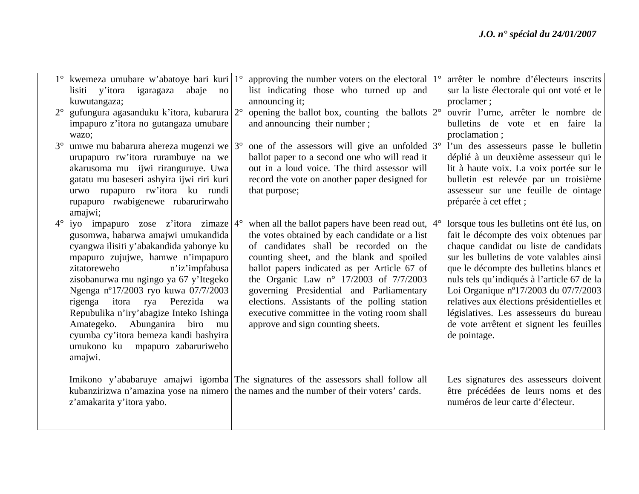|             | 1° kwemeza umubare w'abatoye bari kuri   1°        | approving the number voters on the electoral $1^{\circ}$ arrêter le nombre d'électeurs inscrits |                                            |
|-------------|----------------------------------------------------|-------------------------------------------------------------------------------------------------|--------------------------------------------|
|             | lisiti y'itora igaragaza abaje<br>$\overline{p}$   | list indicating those who turned up and                                                         | sur la liste électorale qui ont voté et le |
|             | kuwutangaza;                                       | announcing it;                                                                                  | proclamer;                                 |
| $2^{\circ}$ | gufungura agasanduku k'itora, kubarura $2^{\circ}$ | opening the ballot box, counting the ballots $2^{\circ}$ ouvrir l'urne, arrêter le nombre de    |                                            |
|             | impapuro z'itora no gutangaza umubare              | and announcing their number;                                                                    | bulletins de vote et en faire la           |
|             | wazo;                                              |                                                                                                 | proclamation;                              |
| $3^\circ$   | umwe mu babarura ahereza mugenzi we $3^{\circ}$    | one of the assessors will give an unfolded $3^{\circ}$ l'un des assesseurs passe le bulletin    |                                            |
|             | urupapuro rw'itora rurambuye na we                 | ballot paper to a second one who will read it                                                   | déplié à un deuxième assesseur qui le      |
|             | akarusoma mu ijwi riranguruye. Uwa                 | out in a loud voice. The third assessor will                                                    | lit à haute voix. La voix portée sur le    |
|             | gatatu mu baseseri ashyira ijwi riri kuri          | record the vote on another paper designed for                                                   | bulletin est relevée par un troisième      |
|             | urwo rupapuro rw'itora ku rundi                    | that purpose;                                                                                   | assesseur sur une feuille de ointage       |
|             | rupapuro rwabigenewe rubarurirwaho                 |                                                                                                 | préparée à cet effet;                      |
|             | amajwi;                                            |                                                                                                 |                                            |
| $4^{\circ}$ | iyo impapuro zose z'itora zimaze $4^{\circ}$       | when all the ballot papers have been read out, $4^{\circ}$                                      | lorsque tous les bulletins ont été lus, on |
|             | gusomwa, habarwa amajwi umukandida                 | the votes obtained by each candidate or a list                                                  | fait le décompte des voix obtenues par     |
|             | cyangwa ilisiti y'abakandida yabonye ku            | of candidates shall be recorded on the                                                          | chaque candidat ou liste de candidats      |
|             | mpapuro zujujwe, hamwe n'impapuro                  | counting sheet, and the blank and spoiled                                                       | sur les bulletins de vote valables ainsi   |
|             | n'iz'impfabusa<br>zitatoreweho                     | ballot papers indicated as per Article 67 of                                                    | que le décompte des bulletins blancs et    |
|             | zisobanurwa mu ngingo ya 67 y'Itegeko              | the Organic Law $n^{\circ}$ 17/2003 of 7/7/2003                                                 | nuls tels qu'indiqués à l'article 67 de la |
|             | Ngenga n°17/2003 ryo kuwa 07/7/2003                | governing Presidential and Parliamentary                                                        | Loi Organique nº17/2003 du 07/7/2003       |
|             | Perezida<br>itora<br>rya<br>rigenga<br>wa          | elections. Assistants of the polling station                                                    | relatives aux élections présidentielles et |
|             | Repubulika n'iry'abagize Inteko Ishinga            | executive committee in the voting room shall                                                    | législatives. Les assesseurs du bureau     |
|             | Amategeko. Abunganira biro mu                      | approve and sign counting sheets.                                                               | de vote arrêtent et signent les feuilles   |
|             | cyumba cy'itora bemeza kandi bashyira              |                                                                                                 | de pointage.                               |
|             | umukono ku mpapuro zabaruriweho                    |                                                                                                 |                                            |
|             | amajwi.                                            |                                                                                                 |                                            |
|             |                                                    |                                                                                                 |                                            |
|             |                                                    | Imikono y'ababaruye amajwi igomba The signatures of the assessors shall follow all              | Les signatures des assesseurs doivent      |
|             |                                                    | kubanzirizwa n'amazina yose na nimero the names and the number of their voters' cards.          | être précédées de leurs noms et des        |
|             | z'amakarita y'itora yabo.                          |                                                                                                 | numéros de leur carte d'électeur.          |
|             |                                                    |                                                                                                 |                                            |
|             |                                                    |                                                                                                 |                                            |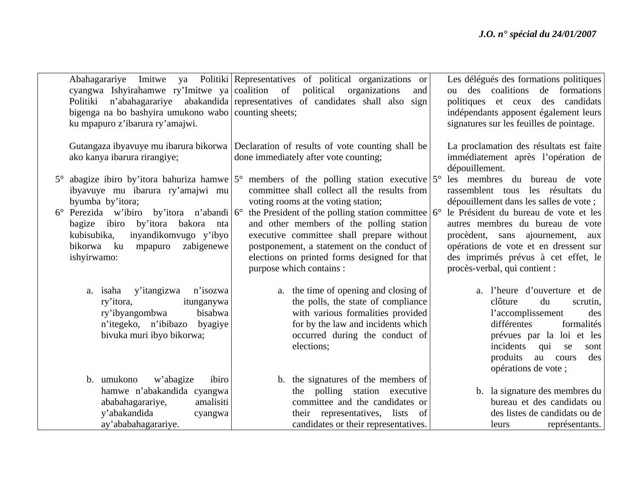| n'abahagarariye<br>Politiki<br>bigenga na bo bashyira umukono wabo counting sheets;<br>ku mpapuro z'ibarura ry'amajwi.                                                                                                                                                                                                 | Abahagarariye Imitwe ya Politiki Representatives of political organizations or<br>cyangwa Ishyirahamwe ry'Imitwe ya coalition of political organizations<br>and<br>abakandida representatives of candidates shall also sign                                                                                                                                                                                                   | Les délégués des formations politiques<br>ou des coalitions de formations<br>politiques et ceux des candidats<br>indépendants apposent également leurs<br>signatures sur les feuilles de pointage.                                                                                                                                              |
|------------------------------------------------------------------------------------------------------------------------------------------------------------------------------------------------------------------------------------------------------------------------------------------------------------------------|-------------------------------------------------------------------------------------------------------------------------------------------------------------------------------------------------------------------------------------------------------------------------------------------------------------------------------------------------------------------------------------------------------------------------------|-------------------------------------------------------------------------------------------------------------------------------------------------------------------------------------------------------------------------------------------------------------------------------------------------------------------------------------------------|
| ako kanya ibarura rirangiye;                                                                                                                                                                                                                                                                                           | Gutangaza ibyavuye mu ibarura bikorwa Declaration of results of vote counting shall be<br>done immediately after vote counting;                                                                                                                                                                                                                                                                                               | La proclamation des résultats est faite<br>immédiatement après l'opération de<br>dépouillement.                                                                                                                                                                                                                                                 |
| abagize ibiro by'itora bahuriza hamwe $5^{\circ}$<br>$5^\circ$<br>ibyavuye mu ibarura ry'amajwi mu<br>byumba by'itora;<br>$6^{\circ}$ Perezida w'ibiro by'itora n'abandi $6^{\circ}$<br>bagize ibiro by'itora bakora nta<br>kubisubika,<br>inyandikomvugo y'ibyo<br>zabigenewe<br>bikorwa<br>ku mpapuro<br>ishyirwamo: | members of the polling station executive $5^{\circ}$<br>committee shall collect all the results from<br>voting rooms at the voting station;<br>the President of the polling station committee $6^{\circ}$<br>and other members of the polling station<br>executive committee shall prepare without<br>postponement, a statement on the conduct of<br>elections on printed forms designed for that<br>purpose which contains : | les membres du bureau de vote<br>rassemblent tous les résultats du<br>dépouillement dans les salles de vote ;<br>le Président du bureau de vote et les<br>autres membres du bureau de vote<br>procèdent, sans ajournement, aux<br>opérations de vote et en dressent sur<br>des imprimés prévus à cet effet, le<br>procès-verbal, qui contient : |
| y'itangizwa n'isozwa<br>a. isaha<br>itunganywa<br>ry'itora,<br>ry'ibyangombwa<br>bisabwa<br>n'itegeko, n'ibibazo<br>byagiye<br>bivuka muri ibyo bikorwa;                                                                                                                                                               | a. the time of opening and closing of<br>the polls, the state of compliance<br>with various formalities provided<br>for by the law and incidents which<br>occurred during the conduct of<br>elections;                                                                                                                                                                                                                        | a. l'heure d'ouverture et de<br>clôture<br>du<br>scrutin,<br>l'accomplissement<br>des<br>différentes<br>formalités<br>prévues par la loi et les<br>incidents<br>qui<br>se<br>sont<br>produits<br>au cours<br>des<br>opérations de vote ;                                                                                                        |
| b. umukono<br>w'abagize<br>ibiro<br>hamwe n'abakandida cyangwa<br>amalisiti<br>ababahagarariye,<br>y'abakandida<br>cyangwa<br>ay'ababahagarariye.                                                                                                                                                                      | b. the signatures of the members of<br>the polling station executive<br>committee and the candidates or<br>their representatives, lists of<br>candidates or their representatives.                                                                                                                                                                                                                                            | b. la signature des membres du<br>bureau et des candidats ou<br>des listes de candidats ou de<br>représentants.<br>leurs                                                                                                                                                                                                                        |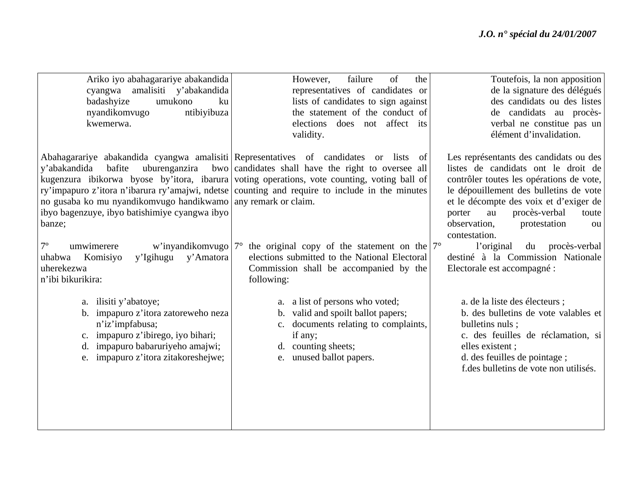| Ariko iyo abahagarariye abakandida<br>amalisiti y'abakandida<br>cyangwa<br>badashyize<br>umukono<br>ku<br>ntibiyibuza<br>nyandikomvugo                                                              | failure<br>of<br>However,<br>the<br>representatives of candidates or<br>lists of candidates to sign against<br>the statement of the conduct of                                                                                                                                                                                              | Toutefois, la non apposition<br>de la signature des délégués<br>des candidats ou des listes<br>de candidats au procès-                                                                                                                                                                                         |
|-----------------------------------------------------------------------------------------------------------------------------------------------------------------------------------------------------|---------------------------------------------------------------------------------------------------------------------------------------------------------------------------------------------------------------------------------------------------------------------------------------------------------------------------------------------|----------------------------------------------------------------------------------------------------------------------------------------------------------------------------------------------------------------------------------------------------------------------------------------------------------------|
| kwemerwa.                                                                                                                                                                                           | elections does not affect its<br>validity.                                                                                                                                                                                                                                                                                                  | verbal ne constitue pas un<br>élément d'invalidation.                                                                                                                                                                                                                                                          |
| uburenganzira<br>y'abakandida<br>bafite<br>no gusaba ko mu nyandikomvugo handikwamo any remark or claim.<br>ibyo bagenzuye, ibyo batishimiye cyangwa ibyo<br>banze;                                 | Abahagarariye abakandida cyangwa amalisiti Representatives of candidates or lists of<br>bwo candidates shall have the right to oversee all<br>kugenzura ibikorwa byose by'itora, ibarura voting operations, vote counting, voting ball of<br>ry'impapuro z'itora n'ibarura ry'amajwi, ndetse counting and require to include in the minutes | Les représentants des candidats ou des<br>listes de candidats ont le droit de<br>contrôler toutes les opérations de vote,<br>le dépouillement des bulletins de vote<br>et le décompte des voix et d'exiger de<br>procès-verbal<br>porter<br>au<br>toute<br>observation,<br>protestation<br>ou<br>contestation. |
| $7^{\circ}$<br>umwimerere<br>w'inyandikomvugo   $7^{\circ}$<br>y'Amatora<br>y'Igihugu<br>Komisiyo<br>uhabwa<br>uherekezwa<br>n'ibi bikurikira:                                                      | the original copy of the statement on the $7^{\circ}$<br>elections submitted to the National Electoral<br>Commission shall be accompanied by the<br>following:                                                                                                                                                                              | l'original<br>du<br>procès-verbal<br>destiné à la Commission Nationale<br>Electorale est accompagné :                                                                                                                                                                                                          |
| a. ilisiti y'abatoye;<br>b. impapuro z'itora zatoreweho neza<br>n'iz'impfabusa;<br>c. impapuro z'ibirego, iyo bihari;<br>impapuro babaruriyeho amajwi;<br>d.<br>e. impapuro z'itora zitakoreshejwe; | a. a list of persons who voted;<br>b. valid and spoilt ballot papers;<br>c. documents relating to complaints,<br>if any;<br>d. counting sheets;<br>unused ballot papers.<br>e.                                                                                                                                                              | a. de la liste des électeurs ;<br>b. des bulletins de vote valables et<br>bulletins nuls;<br>c. des feuilles de réclamation, si<br>elles existent;<br>d. des feuilles de pointage;<br>f.des bulletins de vote non utilisés.                                                                                    |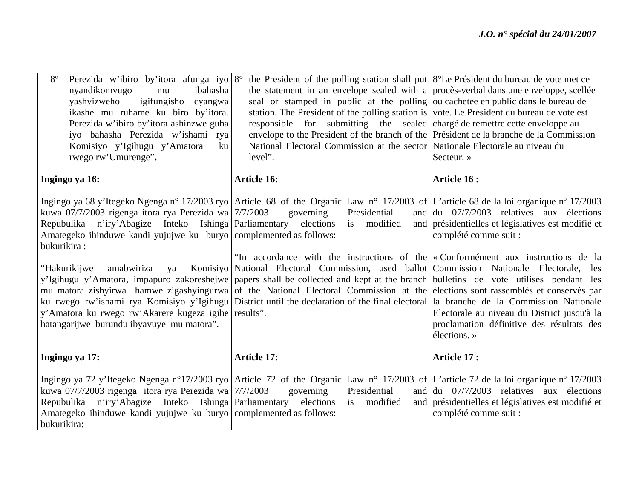| $8^{\circ}$<br>Perezida w'ibiro by'itora afunga iyo 8°<br>nyandikomvugo<br>ibahasha<br>mu<br>igifungisho cyangwa<br>yashyizweho<br>ikashe mu ruhame ku biro by'itora.<br>Perezida w'ibiro by'itora ashinzwe guha<br>iyo bahasha Perezida w'ishami rya<br>Komisiyo y'Igihugu y'Amatora<br>ku<br>rwego rw'Umurenge".                             | the President of the polling station shall put $8^{\circ}$ Le Président du bureau de vote met ce<br>the statement in an envelope sealed with a proces-verbal dans une enveloppe, scelled<br>seal or stamped in public at the polling ou cachetée en public dans le bureau de<br>station. The President of the polling station is vote. Le Président du bureau de vote est<br>responsible for submitting the sealed charge de remettre cette enveloppe au<br>envelope to the President of the branch of the Président de la branche de la Commission<br>National Electoral Commission at the sector Nationale Electorale au niveau du<br>level".                                                                                                                                            | Secteur. »                                                                                                                                                                                                                                                     |
|------------------------------------------------------------------------------------------------------------------------------------------------------------------------------------------------------------------------------------------------------------------------------------------------------------------------------------------------|--------------------------------------------------------------------------------------------------------------------------------------------------------------------------------------------------------------------------------------------------------------------------------------------------------------------------------------------------------------------------------------------------------------------------------------------------------------------------------------------------------------------------------------------------------------------------------------------------------------------------------------------------------------------------------------------------------------------------------------------------------------------------------------------|----------------------------------------------------------------------------------------------------------------------------------------------------------------------------------------------------------------------------------------------------------------|
| Ingingo ya 16:                                                                                                                                                                                                                                                                                                                                 | <b>Article 16:</b>                                                                                                                                                                                                                                                                                                                                                                                                                                                                                                                                                                                                                                                                                                                                                                         | <u>Article 16:</u>                                                                                                                                                                                                                                             |
| kuwa 07/7/2003 rigenga itora rya Perezida wa 7/7/2003<br>Repubulika n'iry'Abagize Inteko Ishinga Parliamentary elections is modified<br>Amategeko ihinduwe kandi yujujwe ku buryo complemented as follows:<br>bukurikira:<br>"Hakurikijwe<br>y'Amatora ku rwego rw'Akarere kugeza igihe results".<br>hatangarijwe burundu ibyavuye mu matora". | Ingingo ya 68 y'Itegeko Ngenga nº 17/2003 ryo Article 68 of the Organic Law nº 17/2003 of L'article 68 de la loi organique nº 17/2003<br>governing<br>Presidential<br>"In accordance with the instructions of the $\alpha$ Conformement aux instructions de la<br>amabwiriza ya Komisiyo National Electoral Commission, used ballot Commission Nationale Electorale, les<br>y'Igihugu y'Amatora, impapuro zakoreshejwe papers shall be collected and kept at the branch bulletins de vote utilisés pendant les<br>mu matora zishyirwa hamwe zigashyingurwa of the National Electoral Commission at the élections sont rassemblés et conservés par<br>ku rwego rw'ishami rya Komisiyo y'Igihugu District until the declaration of the final electoral la branche de la Commission Nationale | and $\left  \frac{du}{dt} \right $ 07/7/2003 relatives aux élections<br>and présidentielles et législatives est modifié et<br>complété comme suit :<br>Electorale au niveau du District jusqu'à la<br>proclamation définitive des résultats des<br>élections.» |
| Ingingo ya 17:                                                                                                                                                                                                                                                                                                                                 | <b>Article 17:</b>                                                                                                                                                                                                                                                                                                                                                                                                                                                                                                                                                                                                                                                                                                                                                                         | <b>Article 17:</b>                                                                                                                                                                                                                                             |
| kuwa 07/7/2003 rigenga itora rya Perezida wa 7/7/2003<br>Repubulika n'iry'Abagize Inteko Ishinga Parliamentary elections is modified<br>Amategeko ihinduwe kandi yujujwe ku buryo complemented as follows:<br>bukurikira:                                                                                                                      | Ingingo ya 72 y'Itegeko Ngenga n°17/2003 ryo Article 72 of the Organic Law n° 17/2003 of L'article 72 de la loi organique n° 17/2003<br>Presidential<br>governing                                                                                                                                                                                                                                                                                                                                                                                                                                                                                                                                                                                                                          | and $\left  \frac{du}{27/7/2003} \right $ relatives aux élections<br>and présidentielles et législatives est modifié et<br>complété comme suit :                                                                                                               |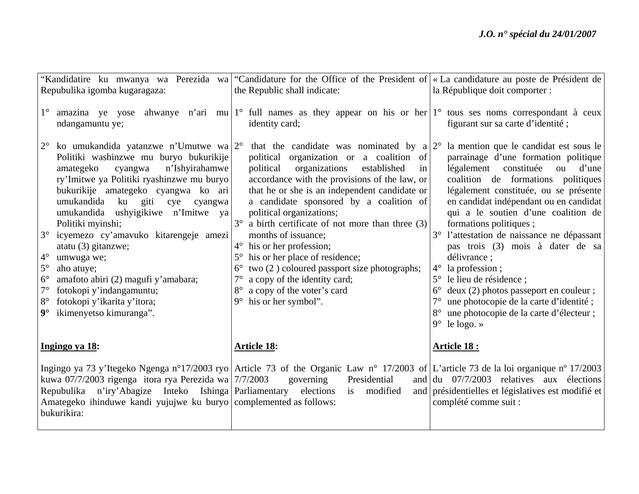|                                                                                                                                                                                                                                                                                                                                                                                                                                                                                                                                                                                                                                                                        | "Kandidatire ku mwanya wa Perezida wa "Candidature for the Office of the President of   « La candidature au poste de Président de                                                                                                                                                                                                                                                                                                                                                                                                                                                                                                                                           |                                                                                                                                                                                                                                                                                                                                                                                                                                                                                                                                                                                                                                                             |
|------------------------------------------------------------------------------------------------------------------------------------------------------------------------------------------------------------------------------------------------------------------------------------------------------------------------------------------------------------------------------------------------------------------------------------------------------------------------------------------------------------------------------------------------------------------------------------------------------------------------------------------------------------------------|-----------------------------------------------------------------------------------------------------------------------------------------------------------------------------------------------------------------------------------------------------------------------------------------------------------------------------------------------------------------------------------------------------------------------------------------------------------------------------------------------------------------------------------------------------------------------------------------------------------------------------------------------------------------------------|-------------------------------------------------------------------------------------------------------------------------------------------------------------------------------------------------------------------------------------------------------------------------------------------------------------------------------------------------------------------------------------------------------------------------------------------------------------------------------------------------------------------------------------------------------------------------------------------------------------------------------------------------------------|
| Repubulika igomba kugaragaza:                                                                                                                                                                                                                                                                                                                                                                                                                                                                                                                                                                                                                                          | the Republic shall indicate:                                                                                                                                                                                                                                                                                                                                                                                                                                                                                                                                                                                                                                                | la République doit comporter :                                                                                                                                                                                                                                                                                                                                                                                                                                                                                                                                                                                                                              |
| $1^{\circ}$<br>ndangamuntu ye;                                                                                                                                                                                                                                                                                                                                                                                                                                                                                                                                                                                                                                         | amazina ye yose ahwanye n'ari mu 1° full names as they appear on his or her 1° tous ses noms correspondant à ceux<br>identity card;                                                                                                                                                                                                                                                                                                                                                                                                                                                                                                                                         | figurant sur sa carte d'identité;                                                                                                                                                                                                                                                                                                                                                                                                                                                                                                                                                                                                                           |
| $2^{\circ}$<br>ko umukandida yatanzwe n'Umutwe wa $2^{\circ}$<br>Politiki washinzwe mu buryo bukurikije<br>n'Ishyirahamwe<br>amategeko<br>cyangwa<br>ry'Imitwe ya Politiki ryashinzwe mu buryo<br>bukurikije amategeko cyangwa ko ari<br>umukandida<br>ku giti<br>cye<br>cyangwa<br>umukandida<br>ushyigikiwe n'Imitwe ya<br>Politiki myinshi;<br>$3^\circ$<br>icyemezo cy'amavuko kitarengeje amezi<br>atatu (3) gitanzwe;<br>$4^\circ$<br>umwuga we;<br>$5^\circ$<br>aho atuye;<br>$6^{\circ}$<br>amafoto abiri (2) magufi y'amabara;<br>$7^\circ$<br>fotokopi y'indangamuntu;<br>fotokopi y'ikarita y'itora;<br>$8^{\circ}$<br>$9^\circ$<br>ikimenyetso kimuranga". | that the candidate was nominated by $a 2^{\circ}$<br>political organization or a coalition of<br>organizations<br>established<br>political<br>in<br>accordance with the provisions of the law, or<br>that he or she is an independent candidate or<br>a candidate sponsored by a coalition of<br>political organizations;<br>a birth certificate of not more than three (3)<br>months of issuance;<br>his or her profession;<br>$4^{\circ}$<br>his or her place of residence;<br>$5^{\circ}$<br>two (2) coloured passport size photographs;<br>$6^{\circ}$<br>a copy of the identity card;<br>$7^\circ$<br>a copy of the voter's card<br>his or her symbol".<br>$9^{\circ}$ | la mention que le candidat est sous le<br>parrainage d'une formation politique<br>constituée<br>légalement<br>ou<br>d'une<br>coalition de formations politiques<br>légalement constituée, ou se présente<br>en candidat indépendant ou en candidat<br>qui a le soutien d'une coalition de<br>formations politiques;<br>l'attestation de naissance ne dépassant<br>$3^\circ$<br>pas trois (3) mois à dater de sa<br>délivrance ;<br>la profession;<br>$4^\circ$<br>le lieu de résidence;<br>$5^\circ$<br>deux (2) photos passeport en couleur;<br>une photocopie de la carte d'identité;<br>une photocopie de la carte d'électeur;<br>$9^{\circ}$ le logo. » |
| Ingingo ya 18:                                                                                                                                                                                                                                                                                                                                                                                                                                                                                                                                                                                                                                                         | <b>Article 18:</b>                                                                                                                                                                                                                                                                                                                                                                                                                                                                                                                                                                                                                                                          | <b>Article 18:</b>                                                                                                                                                                                                                                                                                                                                                                                                                                                                                                                                                                                                                                          |
| kuwa 07/7/2003 rigenga itora rya Perezida wa $7/7/2003$<br>Repubulika n'iry'Abagize Inteko Ishinga Parliamentary elections is modified<br>Amategeko ihinduwe kandi yujujwe ku buryo complemented as follows:<br>bukurikira:                                                                                                                                                                                                                                                                                                                                                                                                                                            | Ingingo ya 73 y'Itegeko Ngenga n°17/2003 ryo Article 73 of the Organic Law n° 17/2003 of L'article 73 de la loi organique n° 17/2003<br>governing<br>Presidential                                                                                                                                                                                                                                                                                                                                                                                                                                                                                                           | and $\left  \frac{du}{dt} \right $ 07/7/2003 relatives aux élections<br>and présidentielles et législatives est modifié et<br>complété comme suit :                                                                                                                                                                                                                                                                                                                                                                                                                                                                                                         |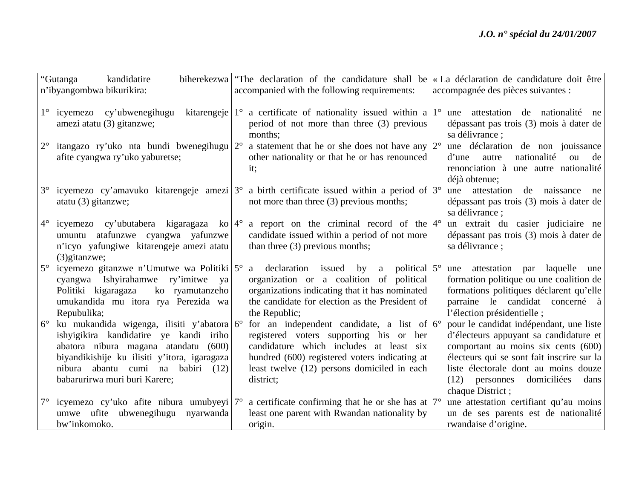|             | "Gutanga<br>kandidatire                                                                                                                                                                                                                                        | biherekezwa "The declaration of the candidature shall be                                                                                                                                                                                               | « La déclaration de candidature doit être                                                                                                                                                                                                                                     |
|-------------|----------------------------------------------------------------------------------------------------------------------------------------------------------------------------------------------------------------------------------------------------------------|--------------------------------------------------------------------------------------------------------------------------------------------------------------------------------------------------------------------------------------------------------|-------------------------------------------------------------------------------------------------------------------------------------------------------------------------------------------------------------------------------------------------------------------------------|
|             | n'ibyangombwa bikurikira:                                                                                                                                                                                                                                      | accompanied with the following requirements:                                                                                                                                                                                                           | accompagnée des pièces suivantes :                                                                                                                                                                                                                                            |
| $1^{\circ}$ | icyemezo cy'ubwenegihugu<br>amezi atatu (3) gitanzwe;                                                                                                                                                                                                          | kitarengeje $1^{\circ}$ a certificate of nationality issued within a $1^{\circ}$<br>period of not more than three (3) previous<br>months;                                                                                                              | une attestation de nationalité ne<br>dépassant pas trois (3) mois à dater de<br>sa délivrance ;                                                                                                                                                                               |
| $2^{\circ}$ | itangazo ry'uko nta bundi bwenegihugu 2°<br>afite cyangwa ry'uko yaburetse;                                                                                                                                                                                    | a statement that he or she does not have any $2^{\circ}$<br>other nationality or that he or has renounced<br>it;                                                                                                                                       | une déclaration de non jouissance<br>nationalité<br>ou<br>autre<br>de<br>d'une<br>renonciation à une autre nationalité<br>déjà obtenue;                                                                                                                                       |
| $3^\circ$   | atatu (3) gitanzwe;                                                                                                                                                                                                                                            | icyemezo cy'amavuko kitarengeje amezi $3^{\circ}$ a birth certificate issued within a period of $3^{\circ}$<br>not more than three (3) previous months;                                                                                                | attestation de naissance<br>une<br>ne<br>dépassant pas trois (3) mois à dater de<br>sa délivrance ;                                                                                                                                                                           |
| $4^{\circ}$ | icyemezo cy'ubutabera kigaragaza ko $ 4^{\circ} $<br>umuntu atafunzwe cyangwa yafunzwe<br>n'icyo yafungiwe kitarengeje amezi atatu<br>$(3)$ gitanzwe;                                                                                                          | a report on the criminal record of the $ 4^{\circ} $<br>candidate issued within a period of not more<br>than three $(3)$ previous months;                                                                                                              | un extrait du casier judiciaire ne<br>dépassant pas trois (3) mois à dater de<br>sa délivrance ;                                                                                                                                                                              |
| $5^\circ$   | icyemezo gitanzwe n'Umutwe wa Politiki $5^{\circ}$<br>cyangwa Ishyirahamwe ry'imitwe<br>ya<br>Politiki kigaragaza<br>ko ryamutanzeho<br>umukandida mu itora rya Perezida wa<br>Repubulika;                                                                     | a declaration issued by a political $5^{\circ}$<br>organization or a coalition of political<br>organizations indicating that it has nominated<br>the candidate for election as the President of<br>the Republic;                                       | une attestation par laquelle<br>une<br>formation politique ou une coalition de<br>formations politiques déclarent qu'elle<br>parraine le candidat concerné à<br>l'élection présidentielle;                                                                                    |
| $6^{\circ}$ | ku mukandida wigenga, ilisiti y'abatora $6^{\circ}$<br>ishyigikira kandidatire ye kandi iriho<br>abatora nibura magana atandatu (600)<br>biyandikishije ku ilisiti y'itora, igaragaza<br>nibura abantu cumi na babiri<br>(12)<br>babarurirwa muri buri Karere; | for an independent candidate, a list of $6^{\circ}$<br>registered voters supporting his or her<br>candidature which includes at least six<br>hundred (600) registered voters indicating at<br>least twelve (12) persons domiciled in each<br>district; | pour le candidat indépendant, une liste<br>d'électeurs appuyant sa candidature et<br>comportant au moins six cents (600)<br>électeurs qui se sont fait inscrire sur la<br>liste électorale dont au moins douze<br>$(12)$ personnes<br>domiciliées<br>dans<br>chaque District; |
| $7^{\circ}$ | icyemezo cy'uko afite nibura umubyeyi 7°<br>umwe ufite ubwenegihugu nyarwanda<br>bw'inkomoko.                                                                                                                                                                  | a certificate confirming that he or she has at $7^{\circ}$<br>least one parent with Rwandan nationality by<br>origin.                                                                                                                                  | une attestation certifiant qu'au moins<br>un de ses parents est de nationalité<br>rwandaise d'origine.                                                                                                                                                                        |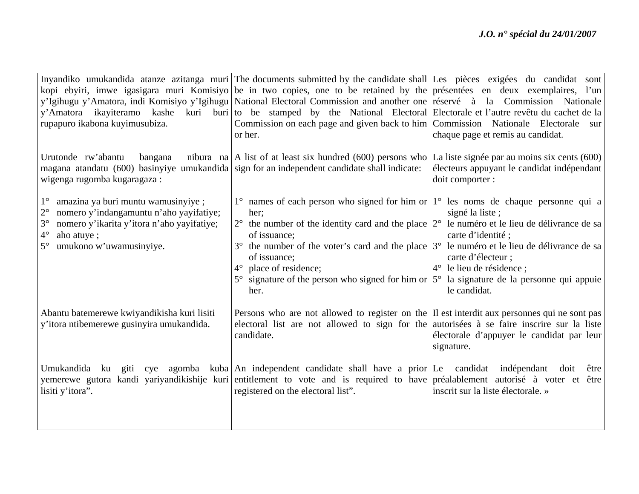|                                                                                                                                                                                                                                           | Inyandiko umukandida atanze azitanga muri The documents submitted by the candidate shall Les pièces exigées du candidat sont                                                                                                                                                                                                                                                                                                          |                                                                                                                                                                                                         |
|-------------------------------------------------------------------------------------------------------------------------------------------------------------------------------------------------------------------------------------------|---------------------------------------------------------------------------------------------------------------------------------------------------------------------------------------------------------------------------------------------------------------------------------------------------------------------------------------------------------------------------------------------------------------------------------------|---------------------------------------------------------------------------------------------------------------------------------------------------------------------------------------------------------|
|                                                                                                                                                                                                                                           | kopi ebyiri, imwe igasigara muri Komisiyo be in two copies, one to be retained by the présentées en deux exemplaires, l'un                                                                                                                                                                                                                                                                                                            |                                                                                                                                                                                                         |
|                                                                                                                                                                                                                                           | y'Igihugu y'Amatora, indi Komisiyo y'Igihugu   National Electoral Commission and another one   réservé à la Commission Nationale                                                                                                                                                                                                                                                                                                      |                                                                                                                                                                                                         |
| y'Amatora ikayiteramo                                                                                                                                                                                                                     | kashe kuri buri to be stamped by the National Electoral Electorale et l'autre revêtu du cachet de la                                                                                                                                                                                                                                                                                                                                  |                                                                                                                                                                                                         |
| rupapuro ikabona kuyimusubiza.                                                                                                                                                                                                            | Commission on each page and given back to him Commission Nationale Electorale                                                                                                                                                                                                                                                                                                                                                         | sur                                                                                                                                                                                                     |
|                                                                                                                                                                                                                                           | or her.                                                                                                                                                                                                                                                                                                                                                                                                                               | chaque page et remis au candidat.                                                                                                                                                                       |
| Urutonde rw'abantu<br>bangana<br>magana atandatu (600) basinyiye umukandida sign for an independent candidate shall indicate:<br>wigenga rugomba kugaragaza:                                                                              | nibura na   A list of at least six hundred (600) persons who   La liste signée par au moins six cents (600)                                                                                                                                                                                                                                                                                                                           | électeurs appuyant le candidat indépendant<br>doit comporter :                                                                                                                                          |
| $1^{\circ}$<br>amazina ya buri muntu wamusinyiye;<br>$2^{\circ}$<br>nomero y'indangamuntu n'aho yayifatiye;<br>$3^\circ$<br>nomero y'ikarita y'itora n'aho yayifatiye;<br>$4^\circ$<br>aho atuye;<br>umukono w'uwamusinyiye.<br>$5^\circ$ | $1^{\circ}$ names of each person who signed for him or $1^{\circ}$ les noms de chaque personne qui a<br>her:<br>$2^{\circ}$ the number of the identity card and the place $ 2^{\circ} $<br>of issuance;<br>the number of the voter's card and the place $3^{\circ}$ le numéro et le lieu de délivrance de sa<br>of issuance;<br>place of residence;<br>$4^\circ$<br>signature of the person who signed for him or $5^{\circ}$<br>her. | signé la liste;<br>le numéro et le lieu de délivrance de sa<br>carte d'identité;<br>carte d'électeur ;<br>le lieu de résidence ;<br>$4^\circ$<br>la signature de la personne qui appuie<br>le candidat. |
| Abantu batemerewe kwiyandikisha kuri lisiti<br>y'itora ntibemerewe gusinyira umukandida.                                                                                                                                                  | Persons who are not allowed to register on the II est interdit aux personnes qui ne sont pas<br>electoral list are not allowed to sign for the autorisées à se faire inscrire sur la liste<br>candidate.                                                                                                                                                                                                                              | électorale d'appuyer le candidat par leur<br>signature.                                                                                                                                                 |
| Umukandida ku giti cye<br>lisiti y'itora".                                                                                                                                                                                                | agomba kuba An independent candidate shall have a prior Le candidat indépendant<br>yemerewe gutora kandi yariyandikishije kuri entitlement to vote and is required to have préalablement autorisé à voter et être<br>registered on the electoral list".                                                                                                                                                                               | doit<br>être<br>inscrit sur la liste électorale. »                                                                                                                                                      |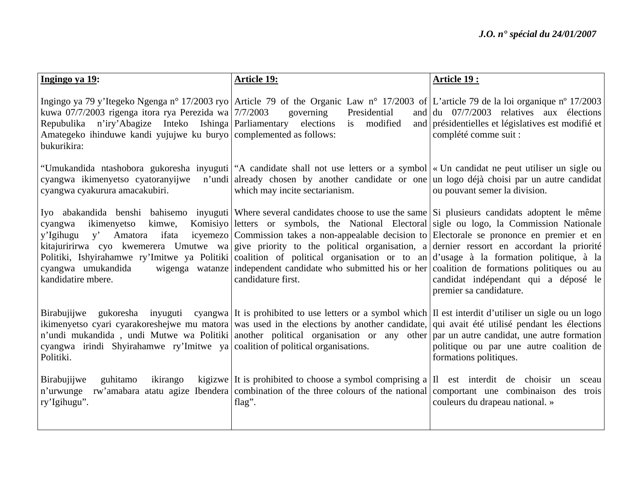| Ingingo ya 19:                                                                                                                                                                                                | <b>Article 19:</b>                                                                                                                                                                                                                                                                                                                                                                                                                                                                                                                                                                                                                                                                                                                    | Article 19:                                                                                                                                         |
|---------------------------------------------------------------------------------------------------------------------------------------------------------------------------------------------------------------|---------------------------------------------------------------------------------------------------------------------------------------------------------------------------------------------------------------------------------------------------------------------------------------------------------------------------------------------------------------------------------------------------------------------------------------------------------------------------------------------------------------------------------------------------------------------------------------------------------------------------------------------------------------------------------------------------------------------------------------|-----------------------------------------------------------------------------------------------------------------------------------------------------|
| kuwa 07/7/2003 rigenga itora rya Perezida wa 7/7/2003<br>Repubulika n'iry'Abagize Inteko Ishinga Parliamentary elections<br>Amategeko ihinduwe kandi yujujwe ku buryo complemented as follows:<br>bukurikira: | Ingingo ya 79 y'Itegeko Ngenga n° 17/2003 ryo Article 79 of the Organic Law n° 17/2003 of L'article 79 de la loi organique n° 17/2003<br>Presidential<br>governing<br>modified<br>is                                                                                                                                                                                                                                                                                                                                                                                                                                                                                                                                                  | and $\left  \frac{du}{dt} \right $ 07/7/2003 relatives aux élections<br>and présidentielles et législatives est modifié et<br>complété comme suit : |
| cyangwa ikimenyetso cyatoranyijwe<br>cyangwa cyakurura amacakubiri.                                                                                                                                           | "Umukandida ntashobora gukoresha inyuguti   "A candidate shall not use letters or a symbol   « Un candidat ne peut utiliser un sigle ou<br>n'undi already chosen by another candidate or one un logo déjà choisi par un autre candidat<br>which may incite sectarianism.                                                                                                                                                                                                                                                                                                                                                                                                                                                              | ou pouvant semer la division.                                                                                                                       |
| kimwe,<br>ikimenyetso<br>cyangwa<br>ifata<br>y'Igihugu<br>V<br>Amatora<br>cyangwa umukandida<br>kandidatire mbere.                                                                                            | Iyo abakandida benshi bahisemo inyuguti Where several candidates choose to use the same Si plusieurs candidats adoptent le même<br>Komisiyo letters or symbols, the National Electoral sigle ou logo, la Commission Nationale<br>icyemezo Commission takes a non-appealable decision to Electorale se prononce en premier et en<br>kitajuririrwa cyo kwemerera Umutwe wa give priority to the political organisation, a dernier ressort en accordant la priorité<br>Politiki, Ishyirahamwe ry'Imitwe ya Politiki coalition of political organisation or to an d'usage à la formation politique, à la<br>wigenga watanze independent candidate who submitted his or her coalition de formations politiques ou au<br>candidature first. | candidat indépendant qui a déposé le<br>premier sa candidature.                                                                                     |
| Birabujijwe<br>cyangwa irindi Shyirahamwe ry'Imitwe ya coalition of political organisations.<br>Politiki.                                                                                                     | gukoresha inyuguti cyangwa It is prohibited to use letters or a symbol which II est interdit d'utiliser un sigle ou un logo<br>ikimenyetso cyari cyarakoreshejwe mu matora was used in the elections by another candidate, qui avait été utilisé pendant les élections<br>n'undi mukandida, undi Mutwe wa Politiki another political organisation or any other par un autre candidat, une autre formation                                                                                                                                                                                                                                                                                                                             | politique ou par une autre coalition de<br>formations politiques.                                                                                   |
| Birabujijwe<br>guhitamo<br>ikirango<br>n'urwunge<br>ry'Igihugu".                                                                                                                                              | kigizwe It is prohibited to choose a symbol comprising a $ I $ est interdit de choisin<br>rw'amabara atatu agize Ibendera combination of the three colours of the national comportant une combinaison des trois<br>flag".                                                                                                                                                                                                                                                                                                                                                                                                                                                                                                             | sceau<br>un<br>couleurs du drapeau national. »                                                                                                      |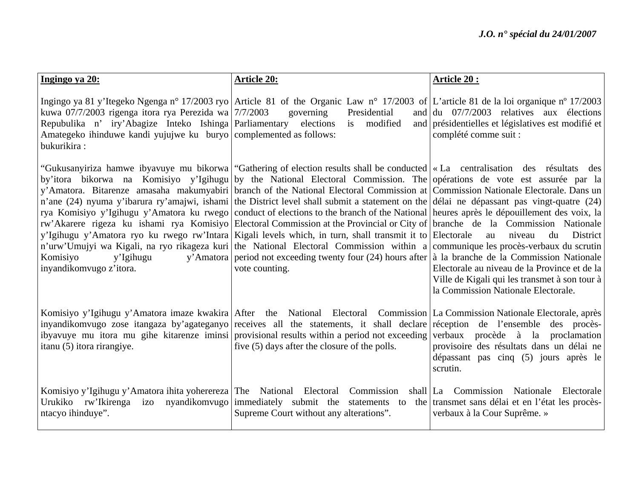| Ingingo ya 20:                                                                                                                                                                                                 | <b>Article 20:</b>                                                                                                                                                                                                                                                                                                                                                                                                                                                                                                                                                                                                                                                                                                                                                                                                                                                                                                                                                                                                                                                                                                                                                                                         | <b>Article 20:</b>                                                                                                                                                     |
|----------------------------------------------------------------------------------------------------------------------------------------------------------------------------------------------------------------|------------------------------------------------------------------------------------------------------------------------------------------------------------------------------------------------------------------------------------------------------------------------------------------------------------------------------------------------------------------------------------------------------------------------------------------------------------------------------------------------------------------------------------------------------------------------------------------------------------------------------------------------------------------------------------------------------------------------------------------------------------------------------------------------------------------------------------------------------------------------------------------------------------------------------------------------------------------------------------------------------------------------------------------------------------------------------------------------------------------------------------------------------------------------------------------------------------|------------------------------------------------------------------------------------------------------------------------------------------------------------------------|
| kuwa 07/7/2003 rigenga itora rya Perezida wa 7/7/2003<br>Repubulika n' iry'Abagize Inteko Ishinga Parliamentary elections<br>Amategeko ihinduwe kandi yujujwe ku buryo complemented as follows:<br>bukurikira: | Ingingo ya 81 y'Itegeko Ngenga n° 17/2003 ryo Article 81 of the Organic Law n° 17/2003 of L'article 81 de la loi organique n° 17/2003<br>Presidential<br>governing<br>and  <br>modified<br>is                                                                                                                                                                                                                                                                                                                                                                                                                                                                                                                                                                                                                                                                                                                                                                                                                                                                                                                                                                                                              | du 07/7/2003 relatives aux élections<br>and présidentielles et législatives est modifié et<br>complété comme suit :                                                    |
| Komisiyo<br>y'Igihugu<br>inyandikomvugo z'itora.                                                                                                                                                               | "Gukusanyiriza hamwe ibyavuye mu bikorwa "Gathering of election results shall be conducted   « La centralisation des résultats des<br>by'itora bikorwa na Komisiyo y'Igihugu by the National Electoral Commission. The opérations de vote est assurée par la<br>y'Amatora. Bitarenze amasaha makumyabiri branch of the National Electoral Commission at Commission Nationale Electorale. Dans un<br>n'ane (24) nyuma y'ibarura ry'amajwi, ishami the District level shall submit a statement on the délai ne dépassant pas vingt-quatre (24)<br>rya Komisiyo y'Igihugu y'Amatora ku rwego conduct of elections to the branch of the National heures après le dépouillement des voix, la<br>rw'Akarere rigeza ku ishami rya Komisiyo Electoral Commission at the Provincial or City of branche de la Commission Nationale<br>y'Igihugu y'Amatora ryo ku rwego rw'Intara Kigali levels which, in turn, shall transmit it to Electorale<br>n'urw'Umujyi wa Kigali, na ryo rikageza kuri the National Electoral Commission within a communique les procès-verbaux du scrutin<br>y'Amatora period not exceeding twenty four $(24)$ hours after $\alpha$ la branche de la Commission Nationale<br>vote counting. | niveau<br>District<br>au<br>du<br>Electorale au niveau de la Province et de la<br>Ville de Kigali qui les transmet à son tour à<br>la Commission Nationale Electorale. |
| itanu (5) itora rirangiye.                                                                                                                                                                                     | Komisiyo y'Igihugu y'Amatora imaze kwakira After the National Electoral Commission La Commission Nationale Electorale, après<br>inyandikomvugo zose itangaza by'agateganyo receives all the statements, it shall declare réception de l'ensemble des procès-<br>iby avuye mu itora mu gihe kitarenze iminsi provisional results within a period not exceeding<br>five (5) days after the closure of the polls.                                                                                                                                                                                                                                                                                                                                                                                                                                                                                                                                                                                                                                                                                                                                                                                             | verbaux procède à la proclamation<br>provisoire des résultats dans un délai ne<br>dépassant pas cinq (5) jours après le<br>scrutin.                                    |
| Komisiyo y'Igihugu y'Amatora ihita yoherereza The National Electoral Commission<br>ntacyo ihinduye".                                                                                                           | Urukiko rw'Ikirenga izo nyandikomvugo immediately submit the statements to the transmet sans délai et en l'état les procès-<br>Supreme Court without any alterations".                                                                                                                                                                                                                                                                                                                                                                                                                                                                                                                                                                                                                                                                                                                                                                                                                                                                                                                                                                                                                                     | shall La Commission Nationale Electorale<br>verbaux à la Cour Suprême. »                                                                                               |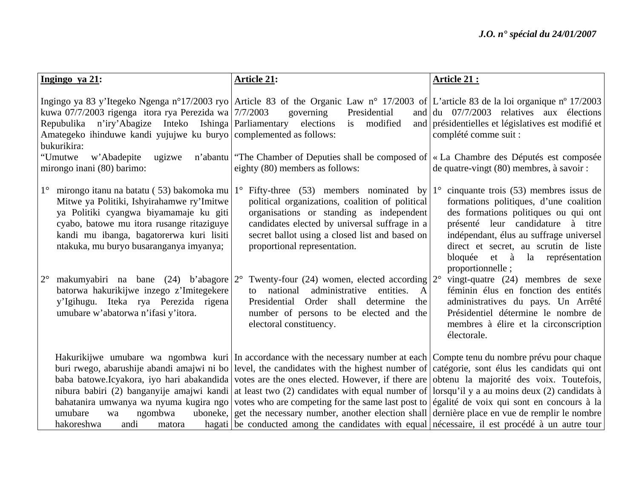| Ingingo ya 21:                                                                                                                                                                                                                                                                                                                                   | <b>Article 21:</b>                                                                                                                                                                                                                                                                                                                                                                                                                                                                                                                                                                                                                                                                                                                                                                                                                                                                                      | Article 21:                                                                                                                                                                                                                                                                                                                                 |
|--------------------------------------------------------------------------------------------------------------------------------------------------------------------------------------------------------------------------------------------------------------------------------------------------------------------------------------------------|---------------------------------------------------------------------------------------------------------------------------------------------------------------------------------------------------------------------------------------------------------------------------------------------------------------------------------------------------------------------------------------------------------------------------------------------------------------------------------------------------------------------------------------------------------------------------------------------------------------------------------------------------------------------------------------------------------------------------------------------------------------------------------------------------------------------------------------------------------------------------------------------------------|---------------------------------------------------------------------------------------------------------------------------------------------------------------------------------------------------------------------------------------------------------------------------------------------------------------------------------------------|
| kuwa 07/7/2003 rigenga itora rya Perezida wa 7/7/2003<br>Repubulika n'iry'Abagize Inteko Ishinga Parliamentary elections<br>Amategeko ihinduwe kandi yujujwe ku buryo complemented as follows:<br>bukurikira:<br>"Umutwe<br>w'Abadepite<br>ugizwe<br>mirongo inani (80) barimo:                                                                  | Ingingo ya 83 y'Itegeko Ngenga n°17/2003 ryo Article 83 of the Organic Law n° 17/2003 of L'article 83 de la loi organique n° 17/2003<br>Presidential<br>governing<br>modified<br>is<br>n'abantu   "The Chamber of Deputies shall be composed of   « La Chambre des Députés est composée<br>eighty (80) members as follows:                                                                                                                                                                                                                                                                                                                                                                                                                                                                                                                                                                              | and $\left  \frac{du}{dt} \right $ 07/7/2003 relatives aux élections<br>and présidentielles et législatives est modifié et<br>complété comme suit :<br>de quatre-vingt (80) membres, à savoir :                                                                                                                                             |
| $1^{\circ}$<br>mirongo itanu na batatu (53) bakomoka mu $1^{\circ}$<br>Mitwe ya Politiki, Ishyirahamwe ry'Imitwe<br>ya Politiki cyangwa biyamamaje ku giti<br>cyabo, batowe mu itora rusange ritaziguye<br>kandi mu ibanga, bagatorerwa kuri lisiti<br>ntakuka, mu buryo busaranganya imyanya;<br>makumyabiri na bane (24) b'abagore $2^{\circ}$ | Fifty-three (53) members nominated by<br>political organizations, coalition of political<br>organisations or standing as independent<br>candidates elected by universal suffrage in a<br>secret ballot using a closed list and based on<br>proportional representation.<br>Twenty-four (24) women, elected according $2^{\circ}$                                                                                                                                                                                                                                                                                                                                                                                                                                                                                                                                                                        | cinquante trois (53) membres issus de<br>formations politiques, d'une coalition<br>des formations politiques ou qui ont<br>présenté leur candidature à titre<br>indépendant, élus au suffrage universel<br>direct et secret, au scrutin de liste<br>bloquée et à la représentation<br>proportionnelle;<br>vingt-quatre (24) membres de sexe |
| batorwa hakurikijwe inzego z'Imitegekere<br>y'Igihugu. Iteka rya Perezida rigena<br>umubare w'abatorwa n'ifasi y'itora.                                                                                                                                                                                                                          | national administrative<br>entities.<br>$\mathbf{A}$<br>to<br>Presidential Order shall determine<br>the<br>number of persons to be elected and the<br>electoral constituency.                                                                                                                                                                                                                                                                                                                                                                                                                                                                                                                                                                                                                                                                                                                           | féminin élus en fonction des entités<br>administratives du pays. Un Arrêté<br>Présidentiel détermine le nombre de<br>membres à élire et la circonscription<br>électorale.                                                                                                                                                                   |
| umubare<br>ngombwa<br>wa<br>hakoreshwa<br>andi<br>matora                                                                                                                                                                                                                                                                                         | Hakurikijwe umubare wa ngombwa kuri In accordance with the necessary number at each Compte tenu du nombre prévu pour chaque<br>buri rwego, abarushije abandi amajwi ni bo level, the candidates with the highest number of catégorie, sont élus les candidats qui ont<br>baba batowe. Icyakora, iyo hari abakandida votes are the ones elected. However, if there are obtenu la majorité des voix. Toutefois,<br>nibura babiri (2) banganyije amajwi kandi at least two (2) candidates with equal number of lorsqu'il y a au moins deux (2) candidats à<br>bahatanira umwanya wa nyuma kugira ngo votes who are competing for the same last post to egalité de voix qui sont en concours à la<br>uboneke, get the necessary number, another election shall dernière place en vue de remplir le nombre<br>hagati be conducted among the candidates with equal nécessaire, il est procédé à un autre tour |                                                                                                                                                                                                                                                                                                                                             |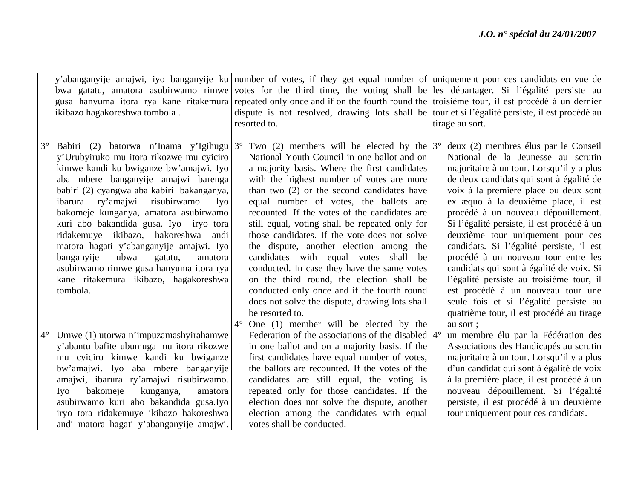|           | ikibazo hagakoreshwa tombola.                                                                                                                                                                                                                                                                                                                                                                                                                                                                                                                                                        |             | y'abanganyije amajwi, iyo banganyije ku number of votes, if they get equal number of uniquement pour ces candidats en vue de<br>bwa gatatu, amatora asubirwamo rimwe votes for the third time, the voting shall be les départager. Si l'égalité persiste au<br>gusa hanyuma itora rya kane ritakemura repeated only once and if on the fourth round the troisième tour, il est procédé à un dernier<br>dispute is not resolved, drawing lots shall be tour et si l'égalité persiste, il est procédé au<br>resorted to.                                                                                                                                                                                                                                                                   | tirage au sort.                                                                                                                                                                                                                                                                                                                                                                                                                                                                                                                                                                                                                                                                                |
|-----------|--------------------------------------------------------------------------------------------------------------------------------------------------------------------------------------------------------------------------------------------------------------------------------------------------------------------------------------------------------------------------------------------------------------------------------------------------------------------------------------------------------------------------------------------------------------------------------------|-------------|------------------------------------------------------------------------------------------------------------------------------------------------------------------------------------------------------------------------------------------------------------------------------------------------------------------------------------------------------------------------------------------------------------------------------------------------------------------------------------------------------------------------------------------------------------------------------------------------------------------------------------------------------------------------------------------------------------------------------------------------------------------------------------------|------------------------------------------------------------------------------------------------------------------------------------------------------------------------------------------------------------------------------------------------------------------------------------------------------------------------------------------------------------------------------------------------------------------------------------------------------------------------------------------------------------------------------------------------------------------------------------------------------------------------------------------------------------------------------------------------|
| $3^\circ$ | Babiri (2) batorwa n'Inama y'Igihugu $3^{\circ}$<br>y'Urubyiruko mu itora rikozwe mu cyiciro<br>kimwe kandi ku bwiganze bw'amajwi. Iyo<br>aba mbere banganyije amajwi barenga<br>babiri (2) cyangwa aba kabiri bakanganya,<br>ibarura ry'amajwi risubirwamo.<br>Iyo<br>bakomeje kunganya, amatora asubirwamo<br>kuri abo bakandida gusa. Iyo iryo tora<br>ridakemuye ikibazo, hakoreshwa andi<br>matora hagati y'abanganyije amajwi. Iyo<br>banganyije<br>ubwa<br>gatatu,<br>amatora<br>asubirwamo rimwe gusa hanyuma itora rya<br>kane ritakemura ikibazo, hagakoreshwa<br>tombola. | $4^{\circ}$ | Two (2) members will be elected by the $3^{\circ}$<br>National Youth Council in one ballot and on<br>a majority basis. Where the first candidates<br>with the highest number of votes are more<br>than two (2) or the second candidates have<br>equal number of votes, the ballots are<br>recounted. If the votes of the candidates are<br>still equal, voting shall be repeated only for<br>those candidates. If the vote does not solve<br>the dispute, another election among the<br>candidates with equal votes shall<br>be<br>conducted. In case they have the same votes<br>on the third round, the election shall be<br>conducted only once and if the fourth round<br>does not solve the dispute, drawing lots shall<br>be resorted to.<br>One (1) member will be elected by the | deux (2) membres élus par le Conseil<br>National de la Jeunesse au scrutin<br>majoritaire à un tour. Lorsqu'il y a plus<br>de deux candidats qui sont à égalité de<br>voix à la première place ou deux sont<br>ex æquo à la deuxième place, il est<br>procédé à un nouveau dépouillement.<br>Si l'égalité persiste, il est procédé à un<br>deuxième tour uniquement pour ces<br>candidats. Si l'égalité persiste, il est<br>procédé à un nouveau tour entre les<br>candidats qui sont à égalité de voix. Si<br>l'égalité persiste au troisième tour, il<br>est procédé à un nouveau tour une<br>seule fois et si l'égalité persiste au<br>quatrième tour, il est procédé au tirage<br>au sort; |
|           | Umwe (1) utorwa n'impuzamashyirahamwe<br>y'abantu bafite ubumuga mu itora rikozwe<br>mu cyiciro kimwe kandi ku bwiganze<br>bw'amajwi. Iyo aba mbere banganyije<br>amajwi, ibarura ry'amajwi risubirwamo.<br>bakomeje<br>kunganya,<br>Iyo<br>amatora<br>asubirwamo kuri abo bakandida gusa.Iyo<br>iryo tora ridakemuye ikibazo hakoreshwa<br>andi matora hagati y'abanganyije amajwi.                                                                                                                                                                                                 |             | Federation of the associations of the disabled $4^{\circ}$<br>in one ballot and on a majority basis. If the<br>first candidates have equal number of votes,<br>the ballots are recounted. If the votes of the<br>candidates are still equal, the voting is<br>repeated only for those candidates. If the<br>election does not solve the dispute, another<br>election among the candidates with equal<br>votes shall be conducted.                                                                                                                                                                                                                                                                                                                                                        | un membre élu par la Fédération des<br>Associations des Handicapés au scrutin<br>majoritaire à un tour. Lorsqu'il y a plus<br>d'un candidat qui sont à égalité de voix<br>à la première place, il est procédé à un<br>nouveau dépouillement. Si l'égalité<br>persiste, il est procédé à un deuxième<br>tour uniquement pour ces candidats.                                                                                                                                                                                                                                                                                                                                                     |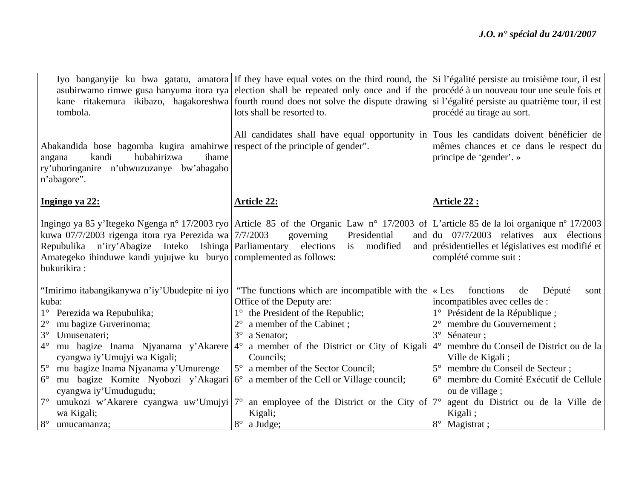| tombola.                                                                                                                                                                                                                                                     | Iyo banganyije ku bwa gatatu, amatora If they have equal votes on the third round, the Si l'égalité persiste au troisième tour, il est<br>asubirwamo rimwe gusa hanyuma itora rya election shall be repeated only once and if the procédé à un nouveau tour une seule fois et<br>kane ritakemura ikibazo, hagakoreshwa fourth round does not solve the dispute drawing si l'égalité persiste au quatrième tour, il est<br>lots shall be resorted to. | procédé au tirage au sort.                                                                                                                                                                                                                                                             |
|--------------------------------------------------------------------------------------------------------------------------------------------------------------------------------------------------------------------------------------------------------------|------------------------------------------------------------------------------------------------------------------------------------------------------------------------------------------------------------------------------------------------------------------------------------------------------------------------------------------------------------------------------------------------------------------------------------------------------|----------------------------------------------------------------------------------------------------------------------------------------------------------------------------------------------------------------------------------------------------------------------------------------|
| Abakandida bose bagomba kugira amahirwe respect of the principle of gender".<br>hubahirizwa<br>kandi<br>ihame<br>angana<br>ry'uburinganire n'ubwuzuzanye bw'abagabo<br>n'abagore".                                                                           | All candidates shall have equal opportunity in Tous les candidats doivent bénéficier de                                                                                                                                                                                                                                                                                                                                                              | mêmes chances et ce dans le respect du<br>principe de 'gender'. »                                                                                                                                                                                                                      |
| Ingingo ya 22:                                                                                                                                                                                                                                               | <b>Article 22:</b>                                                                                                                                                                                                                                                                                                                                                                                                                                   | Article 22 :                                                                                                                                                                                                                                                                           |
| kuwa 07/7/2003 rigenga itora rya Perezida wa 7/7/2003<br>n'iry'Abagize Inteko Ishinga Parliamentary<br>Repubulika<br>Amategeko ihinduwe kandi yujujwe ku buryo complemented as follows:<br>bukurikira:                                                       | Ingingo ya 85 y'Itegeko Ngenga n° 17/2003 ryo Article 85 of the Organic Law n° 17/2003 of L'article 85 de la loi organique n° 17/2003<br>Presidential<br>governing<br>elections<br>modified<br>is                                                                                                                                                                                                                                                    | and $\frac{du}{du}$ 07/7/2003 relatives aux élections<br>and présidentielles et législatives est modifié et<br>complété comme suit :                                                                                                                                                   |
| "Imirimo itabangikanywa n'iy'Ubudepite ni iyo<br>kuba:<br>1° Perezida wa Repubulika;<br>$2^{\circ}$<br>mu bagize Guverinoma;<br>$3^\circ$<br>Umusenateri;<br>$4^\circ$<br>cyangwa iy'Umujyi wa Kigali;<br>$5^{\circ}$<br>mu bagize Inama Njyanama y'Umurenge | "The functions which are incompatible with the<br>Office of the Deputy are:<br>1° the President of the Republic;<br>a member of the Cabinet;<br>$3^\circ$<br>a Senator;<br>mu bagize Inama Njyanama y'Akarere 4° a member of the District or City of Kigali<br>Councils;<br>5° a member of the Sector Council;                                                                                                                                       | fonctions<br>$\ll$ Les<br>de<br>Député<br>sont<br>incompatibles avec celles de :<br>1° Président de la République;<br>membre du Gouvernement;<br>$3^\circ$<br>Sénateur;<br>membre du Conseil de District ou de la<br>$4^\circ$<br>Ville de Kigali;<br>5° membre du Conseil de Secteur; |
| $6^{\circ}$<br>cyangwa iy'Umudugudu;<br>$7^{\circ}$<br>wa Kigali;<br>$8^{\circ}$<br>umucamanza;                                                                                                                                                              | mu bagize Komite Nyobozi y'Akagari 6° a member of the Cell or Village council;<br>umukozi w'Akarere cyangwa uw'Umujyi $7^{\circ}$ an employee of the District or the City of $7^{\circ}$ agent du District ou de la Ville de<br>Kigali;<br>$8^{\circ}$<br>a Judge;                                                                                                                                                                                   | membre du Comité Exécutif de Cellule<br>ou de village;<br>Kigali;<br>8° Magistrat;                                                                                                                                                                                                     |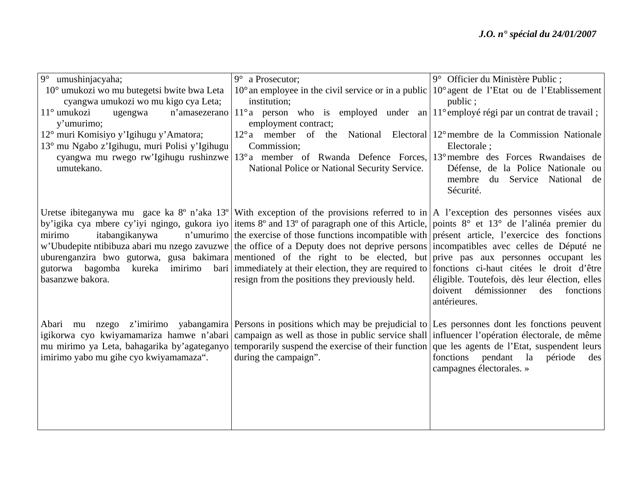| $9^\circ$<br>umushinjacyaha;                  | $9^\circ$ a Prosecutor;                                                                                                                 | 9° Officier du Ministère Public;                         |
|-----------------------------------------------|-----------------------------------------------------------------------------------------------------------------------------------------|----------------------------------------------------------|
| 10° umukozi wo mu butegetsi bwite bwa Leta    | $10^{\circ}$ an employee in the civil service or in a public                                                                            | $10^{\circ}$ agent de l'Etat ou de l'Etablissement       |
| cyangwa umukozi wo mu kigo cya Leta;          | institution;                                                                                                                            | public;                                                  |
| 11° umukozi<br>n'amasezerano<br>ugengwa       | $11^{\circ}$ a person who is employed under an $11^{\circ}$ employé régi par un contrat de travail;                                     |                                                          |
| y'umurimo;                                    | employment contract;                                                                                                                    |                                                          |
| 12° muri Komisiyo y'Igihugu y'Amatora;        | $12^{\circ}$ a member of the                                                                                                            | National Electoral 12° membre de la Commission Nationale |
| 13° mu Ngabo z'Igihugu, muri Polisi y'Igihugu | Commission;                                                                                                                             | Electorale ;                                             |
| cyangwa mu rwego rw'Igihugu rushinzwe         | 13° a member of Rwanda Defence Forces,                                                                                                  | 13° membre des Forces Rwandaises de                      |
| umutekano.                                    | National Police or National Security Service.                                                                                           | Défense, de la Police Nationale ou                       |
|                                               |                                                                                                                                         | membre du Service National<br>de                         |
|                                               |                                                                                                                                         | Sécurité.                                                |
|                                               |                                                                                                                                         |                                                          |
|                                               | Uretse ibiteganywa mu gace ka 8° n'aka 13° With exception of the provisions referred to in A l'exception des personnes visées aux       |                                                          |
|                                               | by'igika cya mbere cy'iyi ngingo, gukora iyo items 8° and 13° of paragraph one of this Article, points 8° et 13° de l'alinéa premier du |                                                          |
| itabangikanywa<br>mirimo                      | n'umurimo the exercise of those functions incompatible with présent article, l'exercice des fonctions                                   |                                                          |
|                                               | w'Ubudepite ntibibuza abari mu nzego zavuzwe the office of a Deputy does not deprive persons incompatibles avec celles de Député ne     |                                                          |
|                                               | uburenganzira bwo gutorwa, gusa bakimara mentioned of the right to be elected, but prive pas aux personnes occupant les                 |                                                          |
| gutorwa bagomba kureka                        | imirimo bari immediately at their election, they are required to fonctions ci-haut citées le droit d'être                               |                                                          |
| basanzwe bakora.                              | resign from the positions they previously held.                                                                                         | éligible. Toutefois, dès leur élection, elles            |
|                                               |                                                                                                                                         | doivent<br>démissionner<br>des<br>fonctions              |
|                                               |                                                                                                                                         | antérieures.                                             |
|                                               |                                                                                                                                         |                                                          |
|                                               | Abari mu nzego z'imirimo yabangamira Persons in positions which may be prejudicial to Les personnes dont les fonctions peuvent          |                                                          |
|                                               | igikorwa cyo kwiyamamariza hamwe n'abari campaign as well as those in public service shall influencer l'opération électorale, de même   |                                                          |
| mu mirimo ya Leta, bahagarika by'agateganyo   | temporarily suspend the exercise of their function que les agents de l'Etat, suspendent leurs                                           |                                                          |
| imirimo yabo mu gihe cyo kwiyamamaza".        | during the campaign".                                                                                                                   | pendant la<br>fonctions<br>période<br>des                |
|                                               |                                                                                                                                         | campagnes électorales. »                                 |
|                                               |                                                                                                                                         |                                                          |
|                                               |                                                                                                                                         |                                                          |
|                                               |                                                                                                                                         |                                                          |
|                                               |                                                                                                                                         |                                                          |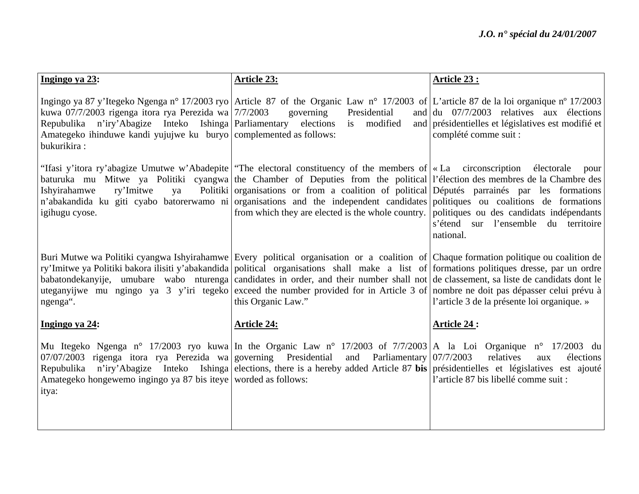| Ingingo ya 23:                                                                                                                                                                                                  | <b>Article 23:</b>                                                                                                                                                                                                                                                                                                                                                                                                                                                                                                                                                                        | Article 23:                                                                                                                                         |
|-----------------------------------------------------------------------------------------------------------------------------------------------------------------------------------------------------------------|-------------------------------------------------------------------------------------------------------------------------------------------------------------------------------------------------------------------------------------------------------------------------------------------------------------------------------------------------------------------------------------------------------------------------------------------------------------------------------------------------------------------------------------------------------------------------------------------|-----------------------------------------------------------------------------------------------------------------------------------------------------|
| kuwa 07/7/2003 rigenga itora rya Perezida wa 7/7/2003<br>Repubulika n'iry'Abagize Inteko Ishinga   Parliamentary elections<br>Amategeko ihinduwe kandi yujujwe ku buryo complemented as follows:<br>bukurikira: | Ingingo ya 87 y'Itegeko Ngenga n° 17/2003 ryo Article 87 of the Organic Law n° 17/2003 of L'article 87 de la loi organique n° 17/2003<br>Presidential<br>governing<br>is modified                                                                                                                                                                                                                                                                                                                                                                                                         | and $\left  \frac{du}{dt} \right $ 07/7/2003 relatives aux élections<br>and présidentielles et législatives est modifié et<br>complété comme suit : |
| ry'Imitwe<br>Ishyirahamwe<br>ya<br>igihugu cyose.                                                                                                                                                               | "Ifasi y'itora ry'abagize Umutwe w'Abadepite   "The electoral constituency of the members of   « La circonscription électorale<br>baturuka mu Mitwe ya Politiki cyangwa the Chamber of Deputies from the political l'élection des membres de la Chambre des<br>Politiki organisations or from a coalition of political Députés parainés par les formations<br>n'abakandida ku giti cyabo batorerwamo ni organisations and the independent candidates politiques ou coalitions de formations<br>from which they are elected is the whole country. politiques ou des candidats indépendants | pour<br>s'étend sur l'ensemble du territoire<br>national.                                                                                           |
| ngenga".                                                                                                                                                                                                        | Buri Mutwe wa Politiki cyangwa Ishyirahamwe Every political organisation or a coalition of Chaque formation politique ou coalition de<br>ry'Imitwe ya Politiki bakora ilisiti y'abakandida political organisations shall make a list of formations politiques dresse, par un ordre<br>babatondekanyije, umubare wabo nturenga candidates in order, and their number shall not de classement, sa liste de candidats dont le<br>uteganyijwe mu ngingo ya 3 y'iri tegeko exceed the number provided for in Article 3 of nombre ne doit pas dépasser celui prévu à<br>this Organic Law."      | l'article 3 de la présente loi organique. »                                                                                                         |
| Ingingo ya 24:                                                                                                                                                                                                  | <b>Article 24:</b>                                                                                                                                                                                                                                                                                                                                                                                                                                                                                                                                                                        | <b>Article 24:</b>                                                                                                                                  |
| $07/07/2003$ rigenga itora rya Perezida wa governing Presidential<br>Repubulika<br>Amategeko hongewemo ingingo ya 87 bis iteye worded as follows:<br>itya:                                                      | Mu Itegeko Ngenga n° 17/2003 ryo kuwa In the Organic Law n° 17/2003 of 7/7/2003 A la Loi Organique n° 17/2003 du<br>and Parliamentary $07/7/2003$<br>n'iry'Abagize Inteko Ishinga elections, there is a hereby added Article 87 bis présidentielles et législatives est ajouté                                                                                                                                                                                                                                                                                                            | relatives<br>élections<br>aux<br>l'article 87 bis libellé comme suit :                                                                              |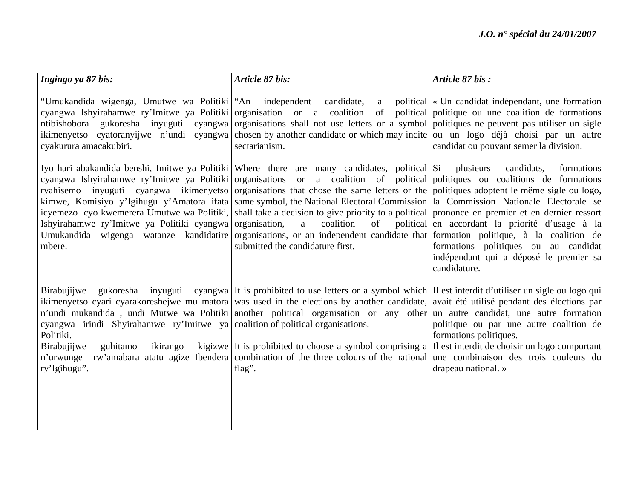| Ingingo ya 87 bis:                                                                                                                                               | Article 87 bis:                                                                                                                                                                                                                                                                                                                                                                                                                                                                                                                                                                                                                                                                                                                                                                                                                                       | Article 87 bis:                                                                                                                                                               |
|------------------------------------------------------------------------------------------------------------------------------------------------------------------|-------------------------------------------------------------------------------------------------------------------------------------------------------------------------------------------------------------------------------------------------------------------------------------------------------------------------------------------------------------------------------------------------------------------------------------------------------------------------------------------------------------------------------------------------------------------------------------------------------------------------------------------------------------------------------------------------------------------------------------------------------------------------------------------------------------------------------------------------------|-------------------------------------------------------------------------------------------------------------------------------------------------------------------------------|
| "Umukandida wigenga, Umutwe wa Politiki   "An independent"<br>cyakurura amacakubiri.                                                                             | cyangwa Ishyirahamwe ry'Imitwe ya Politiki organisation or a coalition of political politique ou une coalition de formations<br>ntibishobora gukoresha inyuguti cyangwa organisations shall not use letters or a symbol politiques ne peuvent pas utiliser un sigle<br>ikimenyetso cyatoranyijwe n'undi cyangwa chosen by another candidate or which may incite ou un logo déjà choisi par un autre<br>sectarianism.                                                                                                                                                                                                                                                                                                                                                                                                                                  | candidate, a political $\vert \cdot \vert$ Un candidat indépendant, une formation<br>candidat ou pouvant semer la division.                                                   |
| Ishyirahamwe ry'Imitwe ya Politiki cyangwa organisation, a<br>mbere.                                                                                             | Iyo hari abakandida benshi, Imitwe ya Politiki Where there are many candidates, political Si plusieurs<br>cyangwa Ishyirahamwe ry'Imitwe ya Politiki organisations or a coalition of political politiques ou coalitions de formations<br>ryahisemo inyuguti cyangwa ikimenyetso organisations that chose the same letters or the politiques adoptent le même sigle ou logo,<br>kimwe, Komisiyo y'Igihugu y'Amatora ifata same symbol, the National Electoral Commission   la Commission Nationale Electorale se<br>icyemezo cyo kwemerera Umutwe wa Politiki, shall take a decision to give priority to a political prononce en premier et en dernier ressort<br>coalition<br>of<br>Umukandida wigenga watanze kandidatire organisations, or an independent candidate that formation politique, à la coalition de<br>submitted the candidature first. | formations<br>candidats,<br>political en accordant la priorité d'usage à la<br>formations politiques ou au candidat<br>indépendant qui a déposé le premier sa<br>candidature. |
| Birabujijwe<br>cyangwa irindi Shyirahamwe ry'Imitwe ya coalition of political organisations.<br>Politiki.<br>Birabujijwe<br>guhitamo<br>ikirango<br>ry'Igihugu". | gukoresha inyuguti cyangwa It is prohibited to use letters or a symbol which II est interdit d'utiliser un sigle ou logo qui<br>ikimenyetso cyari cyarakoreshejwe mu matora was used in the elections by another candidate, avait été utilisé pendant des élections par<br>n'undi mukandida, undi Mutwe wa Politiki another political organisation or any other un autre candidat, une autre formation<br>kigizwe It is prohibited to choose a symbol comprising a II est interdit de choisir un logo comportant<br>n'urwunge rw'amabara atatu agize Ibendera combination of the three colours of the national une combinaison des trois couleurs du<br>flag".                                                                                                                                                                                        | politique ou par une autre coalition de<br>formations politiques.<br>drapeau national. »                                                                                      |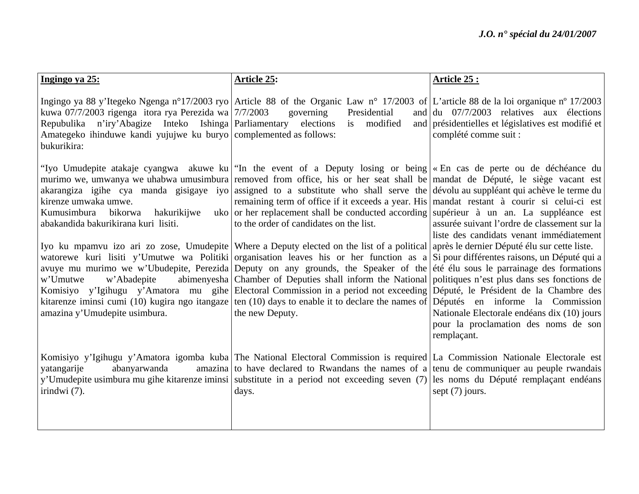| Ingingo ya 25:                                                                                                                                                                                                  | <b>Article 25:</b>                                                                                                                                                                                                                                                                                                                                                                                                                                                                                                                                                                                                                                                                                                                                                                                                                                                                                                                                                                                                                                                                                                                                                                                                                                                                                                                                                                                                                                  | Article 25 :                                                                                                                                                                                   |
|-----------------------------------------------------------------------------------------------------------------------------------------------------------------------------------------------------------------|-----------------------------------------------------------------------------------------------------------------------------------------------------------------------------------------------------------------------------------------------------------------------------------------------------------------------------------------------------------------------------------------------------------------------------------------------------------------------------------------------------------------------------------------------------------------------------------------------------------------------------------------------------------------------------------------------------------------------------------------------------------------------------------------------------------------------------------------------------------------------------------------------------------------------------------------------------------------------------------------------------------------------------------------------------------------------------------------------------------------------------------------------------------------------------------------------------------------------------------------------------------------------------------------------------------------------------------------------------------------------------------------------------------------------------------------------------|------------------------------------------------------------------------------------------------------------------------------------------------------------------------------------------------|
| kuwa 07/7/2003 rigenga itora rya Perezida wa 7/7/2003<br>Repubulika n'iry'Abagize Inteko Ishinga   Parliamentary elections<br>Amategeko ihinduwe kandi yujujwe ku buryo complemented as follows:<br>bukurikira: | Ingingo ya 88 y'Itegeko Ngenga n°17/2003 ryo Article 88 of the Organic Law n° 17/2003 of L'article 88 de la loi organique n° 17/2003<br>Presidential<br>governing<br>is modified                                                                                                                                                                                                                                                                                                                                                                                                                                                                                                                                                                                                                                                                                                                                                                                                                                                                                                                                                                                                                                                                                                                                                                                                                                                                    | and $\left  \frac{du}{dt} \right $ 07/7/2003 relatives aux élections<br>and présidentielles et législatives est modifié et<br>complété comme suit :                                            |
| kirenze umwaka umwe.<br>Kumusimbura bikorwa<br>hakurikijwe<br>abakandida bakurikirana kuri lisiti.<br>w'Abadepite<br>w'Umutwe<br>amazina y'Umudepite usimbura.                                                  | "Iyo Umudepite atakaje cyangwa akuwe ku   "In the event of a Deputy losing or being   « En cas de perte ou de déchéance du<br>murimo we, umwanya we uhabwa umusimbura removed from office, his or her seat shall be mandat de Député, le siège vacant est<br>akarangiza igihe cya manda gisigaye iyo assigned to a substitute who shall serve the dévolu au suppléant qui achève le terme du<br>remaining term of office if it exceeds a year. His mandat restant à courir si celui-ci est<br>uko or her replacement shall be conducted according superieur à un an. La suppléance est<br>to the order of candidates on the list.<br>Iyo ku mpamvu izo ari zo zose, Umudepite Where a Deputy elected on the list of a political après le dernier Député élu sur cette liste.<br>watorewe kuri lisiti y'Umutwe wa Politiki organisation leaves his or her function as a Si pour différentes raisons, un Député qui a<br>avuye mu murimo we w'Ubudepite, Perezida Deputy on any grounds, the Speaker of the eté élu sous le parrainage des formations<br>abimenyesha Chamber of Deputies shall inform the National politiques n'est plus dans ses fonctions de<br>Komisiyo y'Igihugu y'Amatora mu gihe Electoral Commission in a period not exceeding Député, le Président de la Chambre des<br>kitarenze iminsi cumi (10) kugira ngo itangaze ten (10) days to enable it to declare the names of Députés en informe la Commission<br>the new Deputy. | assurée suivant l'ordre de classement sur la<br>liste des candidats venant immédiatement<br>Nationale Electorale endéans dix (10) jours<br>pour la proclamation des noms de son<br>remplaçant. |
| yatangarije<br>abanyarwanda<br>irindwi $(7)$ .                                                                                                                                                                  | Komisiyo y'Igihugu y'Amatora igomba kuba The National Electoral Commission is required La Commission Nationale Electorale est<br>amazina to have declared to Rwandans the names of a tenu de communiquer au peuple rwandais<br>y'Umudepite usimbura mu gihe kitarenze iminsi substitute in a period not exceeding seven (7) les noms du Député remplaçant endéans<br>days.                                                                                                                                                                                                                                                                                                                                                                                                                                                                                                                                                                                                                                                                                                                                                                                                                                                                                                                                                                                                                                                                          | sept $(7)$ jours.                                                                                                                                                                              |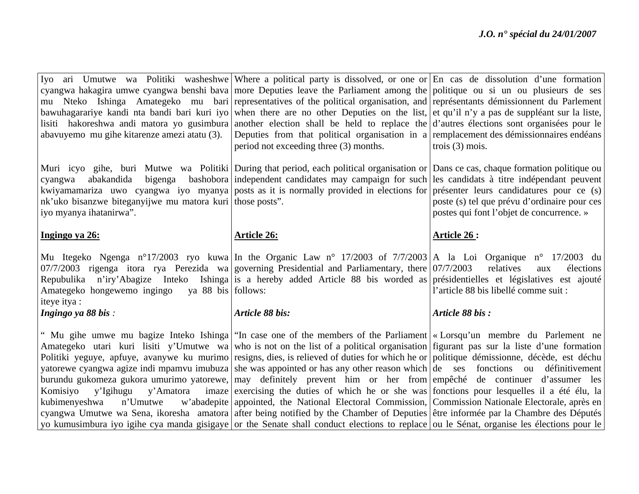| period not exceeding three (3) months.                                                                                                                | bawuhagarariye kandi nta bandi bari kuri iyo when there are no other Deputies on the list, et qu'il n'y a pas de suppléant sur la liste,<br>lisiti hakoreshwa andi matora yo gusimbura another election shall be held to replace the d'autres élections sont organisées pour le<br>Deputies from that political organisation in a remplacement des démissionnaires endéans<br>trois $(3)$ mois.                                                                          |
|-------------------------------------------------------------------------------------------------------------------------------------------------------|--------------------------------------------------------------------------------------------------------------------------------------------------------------------------------------------------------------------------------------------------------------------------------------------------------------------------------------------------------------------------------------------------------------------------------------------------------------------------|
| nk'uko bisanzwe biteganyijwe mu matora kuri those posts".                                                                                             | Muri icyo gihe, buri Mutwe wa Politiki During that period, each political organisation or Dans ce cas, chaque formation politique ou<br>bashobora independent candidates may campaign for such les candidats à titre indépendant peuvent<br>kwiyamamariza uwo cyangwa iyo myanya posts as it is normally provided in elections for présenter leurs candidatures pour ce (s)<br>poste (s) tel que prévu d'ordinaire pour ces<br>postes qui font l'objet de concurrence. » |
| <b>Article 26:</b>                                                                                                                                    | Article 26 :                                                                                                                                                                                                                                                                                                                                                                                                                                                             |
| Mu Itegeko Ngenga n°17/2003 ryo kuwa In the Organic Law n° 17/2003 of 7/7/2003 A la Loi Organique n° 17/2003 du                                       |                                                                                                                                                                                                                                                                                                                                                                                                                                                                          |
| 07/7/2003 rigenga itora rya Perezida wa governing Presidential and Parliamentary, there $07/7/2003$<br>Amategeko hongewemo ingingo ya 88 bis follows: | relatives<br>élections<br>aux<br>Repubulika n'iry'Abagize Inteko Ishinga is a hereby added Article 88 bis worded as présidentielles et législatives est ajouté<br>l'article 88 bis libellé comme suit :                                                                                                                                                                                                                                                                  |
| Article 88 bis:                                                                                                                                       | Article 88 bis:                                                                                                                                                                                                                                                                                                                                                                                                                                                          |
|                                                                                                                                                       |                                                                                                                                                                                                                                                                                                                                                                                                                                                                          |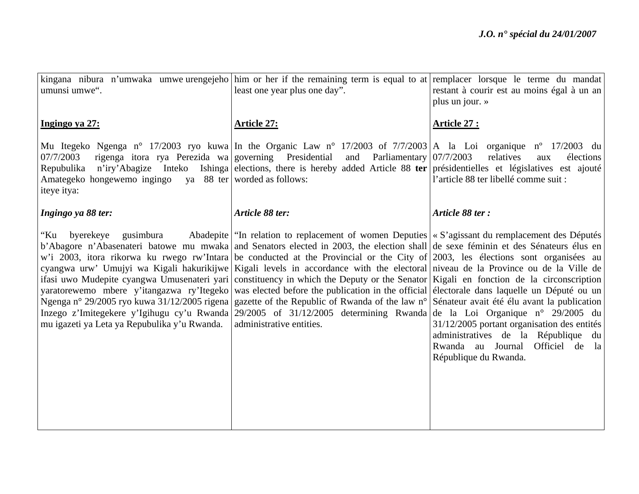| umunsi umwe".                                                                                                                                              | kingana nibura n'umwaka umwe-urengejeho him or her if the remaining term is equal to at remplacer lorsque le terme du mandat<br>least one year plus one day".                                                                                                                                                                                                                                                                                                                                                                                                                                                                                                                                                                                                                                                                                                                                                                                                                                                                                                                                      | restant à courir est au moins égal à un an<br>plus un jour. »                                                                                     |
|------------------------------------------------------------------------------------------------------------------------------------------------------------|----------------------------------------------------------------------------------------------------------------------------------------------------------------------------------------------------------------------------------------------------------------------------------------------------------------------------------------------------------------------------------------------------------------------------------------------------------------------------------------------------------------------------------------------------------------------------------------------------------------------------------------------------------------------------------------------------------------------------------------------------------------------------------------------------------------------------------------------------------------------------------------------------------------------------------------------------------------------------------------------------------------------------------------------------------------------------------------------------|---------------------------------------------------------------------------------------------------------------------------------------------------|
| Ingingo ya 27:                                                                                                                                             | <u>Article 27:</u>                                                                                                                                                                                                                                                                                                                                                                                                                                                                                                                                                                                                                                                                                                                                                                                                                                                                                                                                                                                                                                                                                 | <u>Article 27 :</u>                                                                                                                               |
| rigenga itora rya Perezida wa governing Presidential<br>07/7/2003<br>Repubulika<br>Amategeko hongewemo ingingo ya 88 ter worded as follows:<br>iteye itya: | Mu Itegeko Ngenga n° 17/2003 ryo kuwa In the Organic Law n° 17/2003 of 7/7/2003 A la Loi organique n° 17/2003 du<br>and Parliamentary 07/7/2003<br>n'iry'Abagize Inteko Ishinga elections, there is hereby added Article 88 ter présidentielles et législatives est ajouté                                                                                                                                                                                                                                                                                                                                                                                                                                                                                                                                                                                                                                                                                                                                                                                                                         | relatives<br>élections<br>aux<br>l'article 88 ter libellé comme suit :                                                                            |
| Ingingo ya 88 ter:                                                                                                                                         | Article 88 ter:                                                                                                                                                                                                                                                                                                                                                                                                                                                                                                                                                                                                                                                                                                                                                                                                                                                                                                                                                                                                                                                                                    | Article 88 ter:                                                                                                                                   |
| byerekeye gusimbura<br>"Ku<br>mu igazeti ya Leta ya Repubulika y'u Rwanda.                                                                                 | Abadepite   "In relation to replacement of women Deputies   « S'agissant du remplacement des Députés<br>b'Abagore n'Abasenateri batowe mu mwaka and Senators elected in 2003, the election shall de sexe féminin et des Sénateurs élus en<br>w'i 2003, itora rikorwa ku rwego rw'Intara be conducted at the Provincial or the City of 2003, les élections sont organisées au<br>cyangwa urw' Umujyi wa Kigali hakurikijwe Kigali levels in accordance with the electoral niveau de la Province ou de la Ville de<br>ifasi uwo Mudepite cyangwa Umusenateri yari constituency in which the Deputy or the Senator Kigali en fonction de la circonscription<br>yaratorewemo mbere y'itangazwa ry'Itegeko was elected before the publication in the official electorale dans laquelle un Député ou un<br>Ngenga n° 29/2005 ryo kuwa 31/12/2005 rigena gazette of the Republic of Rwanda of the law n° Sénateur avait été élu avant la publication<br>Inzego z'Imitegekere y'Igihugu cy'u Rwanda 29/2005 of 31/12/2005 determining Rwanda de la Loi Organique n° 29/2005 du<br>administrative entities. | $31/12/2005$ portant organisation des entités<br>administratives de la République du<br>Rwanda au Journal Officiel de la<br>République du Rwanda. |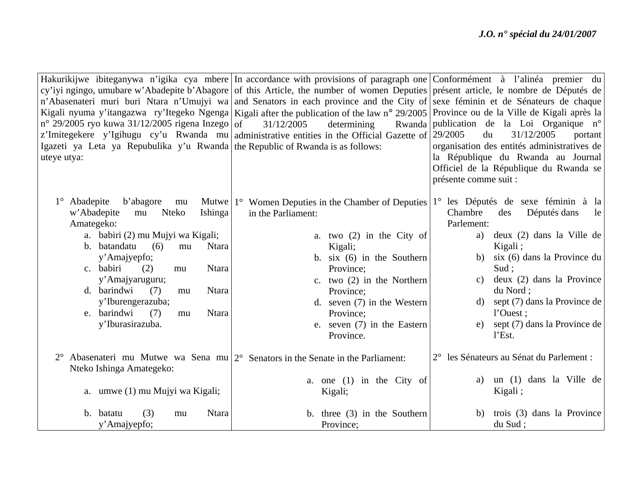|                                                                                | Hakurikijwe ibiteganywa n'igika cya mbere In accordance with provisions of paragraph one Conformément à l'alinéa premier du              |                                                 |
|--------------------------------------------------------------------------------|------------------------------------------------------------------------------------------------------------------------------------------|-------------------------------------------------|
|                                                                                | cy'iyi ngingo, umubare w'Abadepite b'Abagore of this Article, the number of women Deputies présent article, le nombre de Députés de      |                                                 |
|                                                                                | n'Abasenateri muri buri Ntara n'Umujyi wa and Senators in each province and the City of sexe féminin et de Sénateurs de chaque           |                                                 |
|                                                                                | Kigali nyuma y'itangazwa ry'Itegeko Ngenga Kigali after the publication of the law n° 29/2005 Province ou de la Ville de Kigali après la |                                                 |
| $n^{\circ}$ 29/2005 ryo kuwa 31/12/2005 rigena Inzego of                       | determining<br>31/12/2005                                                                                                                | Rwanda publication de la Loi Organique n°       |
|                                                                                | z'Imitegekere y'Igihugu cy'u Rwanda mu administrative entities in the Official Gazette of 29/2005                                        | 31/12/2005<br>du<br>portant                     |
| Igazeti ya Leta ya Repubulika y'u Rwanda the Republic of Rwanda is as follows: |                                                                                                                                          | organisation des entités administratives de     |
| uteye utya:                                                                    |                                                                                                                                          | la République du Rwanda au Journal              |
|                                                                                |                                                                                                                                          | Officiel de la République du Rwanda se          |
|                                                                                |                                                                                                                                          | présente comme suit :                           |
| $1^\circ$ Abadepite<br>b'abagore<br>mu                                         |                                                                                                                                          | 1 <sup>°</sup> les Députés de sexe féminin à la |
| w'Abadepite<br><b>Nteko</b><br>Ishinga<br>mu                                   | Mutwe $ 1^{\circ} $ Women Deputies in the Chamber of Deputies<br>in the Parliament:                                                      | Chambre<br>Députés dans<br>des<br>le            |
| Amategeko:                                                                     |                                                                                                                                          | Parlement:                                      |
| a. babiri (2) mu Mujyi wa Kigali;                                              | a. two $(2)$ in the City of                                                                                                              | deux (2) dans la Ville de<br>a)                 |
| b. batandatu<br>(6)<br><b>Ntara</b><br>mu                                      | Kigali;                                                                                                                                  | Kigali;                                         |
| y'Amajyepfo;                                                                   | b. six $(6)$ in the Southern                                                                                                             | six (6) dans la Province du<br>b)               |
| c. babiri<br>(2)<br><b>Ntara</b><br>mu                                         | Province:                                                                                                                                | Sud:                                            |
| y'Amajyaruguru;                                                                | c. two $(2)$ in the Northern                                                                                                             | deux (2) dans la Province<br>C)                 |
| d. barindwi<br><b>Ntara</b><br>(7)<br>mu                                       | Province;                                                                                                                                | du Nord;                                        |
| y'Iburengerazuba;                                                              | d. seven $(7)$ in the Western                                                                                                            | sept (7) dans la Province de<br>d)              |
| e. barindwi<br>(7)<br><b>Ntara</b><br>mu                                       | Province;                                                                                                                                | l'Ouest ;                                       |
| y'Iburasirazuba.                                                               | e. seven (7) in the Eastern                                                                                                              | sept (7) dans la Province de<br>e)              |
|                                                                                | Province.                                                                                                                                | $l$ Est.                                        |
|                                                                                | Abasenateri mu Mutwe wa Sena mu $ 2^{\circ} $ Senators in the Senate in the Parliament:                                                  | 2° les Sénateurs au Sénat du Parlement :        |
| Nteko Ishinga Amategeko:                                                       |                                                                                                                                          |                                                 |
|                                                                                | a. one $(1)$ in the City of                                                                                                              | un (1) dans la Ville de<br>a)                   |
| a. umwe (1) mu Mujyi wa Kigali;                                                | Kigali;                                                                                                                                  | Kigali;                                         |
|                                                                                |                                                                                                                                          |                                                 |
| (3)<br>b. batatu<br><b>Ntara</b><br>mu                                         | b. three $(3)$ in the Southern                                                                                                           | trois (3) dans la Province<br>b)                |
| y'Amajyepfo;                                                                   | Province;                                                                                                                                | du Sud;                                         |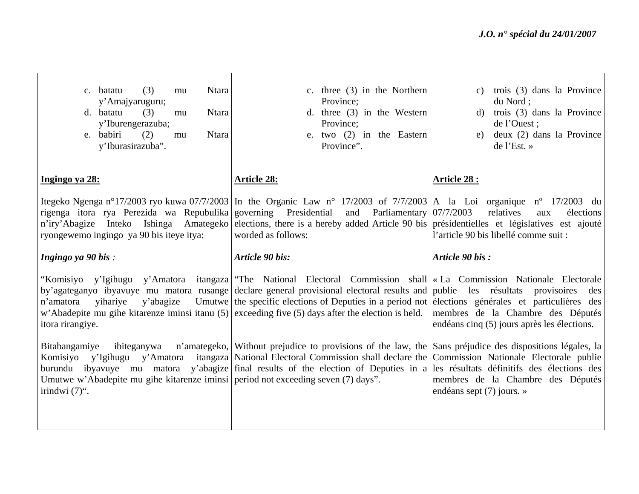| c. batatu<br>(3)<br><b>Ntara</b><br>mu<br>y'Amajyaruguru;<br>d. batatu<br>Ntara<br>(3)<br>mu<br>y'Iburengerazuba;<br>e. babiri<br>Ntara<br>(2)<br>mu<br>y'Iburasirazuba". | c. three $(3)$ in the Northern<br>Province;<br>d. three $(3)$ in the Western<br>Province;<br>e. two (2) in the Eastern<br>Province".                                                                                                                                                                                                                                                                                                                              | trois (3) dans la Province<br>C)<br>du Nord;<br>trois (3) dans la Province<br>d)<br>de l'Ouest ;<br>deux (2) dans la Province<br>e)<br>$de$ l'Est. » |
|---------------------------------------------------------------------------------------------------------------------------------------------------------------------------|-------------------------------------------------------------------------------------------------------------------------------------------------------------------------------------------------------------------------------------------------------------------------------------------------------------------------------------------------------------------------------------------------------------------------------------------------------------------|------------------------------------------------------------------------------------------------------------------------------------------------------|
| Ingingo ya 28:                                                                                                                                                            | <b>Article 28:</b>                                                                                                                                                                                                                                                                                                                                                                                                                                                | <b>Article 28:</b>                                                                                                                                   |
| rigenga itora rya Perezida wa Repubulika governing Presidential<br>ryongewemo ingingo ya 90 bis iteye itya:                                                               | Itegeko Ngenga n°17/2003 ryo kuwa 07/7/2003   In the Organic Law n° 17/2003 of 7/7/2003   A la Loi organique n° 17/2003 du<br>and Parliamentary $07/7/2003$<br>n'iry'Abagize Inteko Ishinga Amategeko elections, there is a hereby added Article 90 bis présidentielles et législatives est ajouté<br>worded as follows:                                                                                                                                          | relatives<br>élections<br>aux<br>l'article 90 bis libellé comme suit :                                                                               |
| Ingingo ya 90 bis:                                                                                                                                                        | Article 90 bis:                                                                                                                                                                                                                                                                                                                                                                                                                                                   | Article 90 bis:                                                                                                                                      |
| y'abagize<br>n'amatora<br>yihariye<br>itora rirangiye.                                                                                                                    | "Komisiyo y'Igihugu y'Amatora itangaza The National Electoral Commission shall «La Commission Nationale Electorale<br>by'agateganyo ibyavuye mu matora rusange declare general provisional electoral results and publie les résultats provisoires<br>Umutwe the specific elections of Deputies in a period not elections générales et particulières des<br>w'Abadepite mu gihe kitarenze iminsi itanu $(5)$ exceeding five $(5)$ days after the election is held. | des<br>membres de la Chambre des Députés<br>endéans cinq (5) jours après les élections.                                                              |
| Bitabangamiye<br>ibiteganywa<br>Umutwe w'Abadepite mu gihe kitarenze iminsi period not exceeding seven (7) days".<br>irindwi $(7)$ ".                                     | n'amategeko, Without prejudice to provisions of the law, the Sans préjudice des dispositions légales, la<br>Komisiyo y'Igihugu y'Amatora itangaza National Electoral Commission shall declare the Commission Nationale Electorale publie<br>burundu ibyavuye mu matora y'abagize final results of the election of Deputies in a les résultats définitifs des élections des                                                                                        | membres de la Chambre des Députés<br>endéans sept $(7)$ jours. »                                                                                     |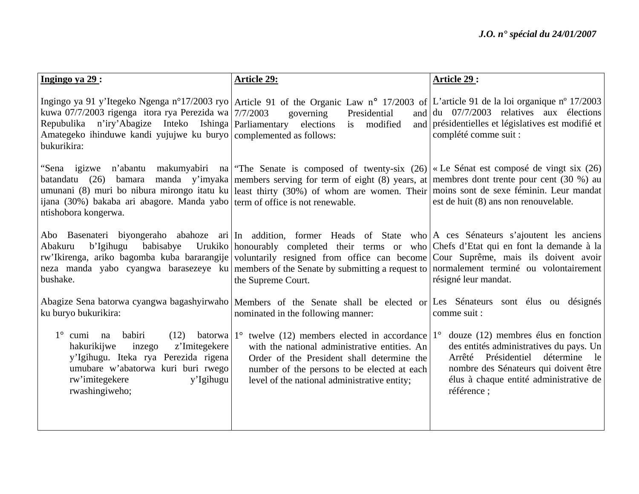| Ingingo ya 29:                                                                                                                                                                                                                    | <b>Article 29:</b>                                                                                                                                                                                                                                                                                                                                                                                                                                                                                     | Article 29:                                                                                                                                                                                                           |
|-----------------------------------------------------------------------------------------------------------------------------------------------------------------------------------------------------------------------------------|--------------------------------------------------------------------------------------------------------------------------------------------------------------------------------------------------------------------------------------------------------------------------------------------------------------------------------------------------------------------------------------------------------------------------------------------------------------------------------------------------------|-----------------------------------------------------------------------------------------------------------------------------------------------------------------------------------------------------------------------|
| kuwa 07/7/2003 rigenga itora rya Perezida wa $\frac{7}{7}/2003$<br>Repubulika n'iry'Abagize Inteko Ishinga Parliamentary<br>Amategeko ihinduwe kandi yujujwe ku buryo complemented as follows:<br>bukurikira:                     | Ingingo ya 91 y'Itegeko Ngenga n°17/2003 ryo Article 91 of the Organic Law n° 17/2003 of L'article 91 de la loi organique n° 17/2003<br>Presidential<br>governing<br>elections<br>modified<br>is                                                                                                                                                                                                                                                                                                       | and $\frac{du}{dx}$ 07/7/2003 relatives aux élections<br>and présidentielles et législatives est modifié et<br>complété comme suit :                                                                                  |
| ijana (30%) bakaba ari abagore. Manda yabo term of office is not renewable.<br>ntishobora kongerwa.                                                                                                                               | "Sena igizwe n'abantu makumyabiri na "The Senate is composed of twenty-six (26) «Le Sénat est composé de vingt six (26)<br>batandatu (26) bamara manda y'imyaka members serving for term of eight (8) years, at membres dont trente pour cent (30 %) au<br>umunani (8) muri bo nibura mirongo itatu ku least thirty (30%) of whom are women. Their moins sont de sexe féminin. Leur mandat                                                                                                             | est de huit (8) ans non renouvelable.                                                                                                                                                                                 |
| Abakuru<br>b'Igihugu<br>babisabye<br>bushake.                                                                                                                                                                                     | Abo Basenateri biyongeraho abahoze ari In addition, former Heads of State who A ces Sénateurs s'ajoutent les anciens<br>Urukiko honourably completed their terms or who Chefs d'Etat qui en font la demande à la<br>rw'Ikirenga, ariko bagomba kuba bararangije voluntarily resigned from office can become Cour Suprême, mais ils doivent avoir<br>neza manda yabo cyangwa barasezeye ku members of the Senate by submitting a request to normalement terminé ou volontairement<br>the Supreme Court. | résigné leur mandat.                                                                                                                                                                                                  |
| ku buryo bukurikira:                                                                                                                                                                                                              | Abagize Sena batorwa cyangwa bagashyirwaho Members of the Senate shall be elected or Les Sénateurs sont élus ou désignés<br>nominated in the following manner:                                                                                                                                                                                                                                                                                                                                         | comme suit :                                                                                                                                                                                                          |
| $1^\circ$ cumi na<br>babiri<br>(12)<br>batorwa $1^\circ$<br>z'Imitegekere<br>hakurikijwe<br>inzego<br>y'Igihugu. Iteka rya Perezida rigena<br>umubare w'abatorwa kuri buri rwego<br>rw'imitegekere<br>y'Igihugu<br>rwashingiweho; | twelve (12) members elected in accordance $1^{\circ}$<br>with the national administrative entities. An<br>Order of the President shall determine the<br>number of the persons to be elected at each<br>level of the national administrative entity;                                                                                                                                                                                                                                                    | douze $(12)$ membres élus en fonction<br>des entités administratives du pays. Un<br>Arrêté Présidentiel détermine le<br>nombre des Sénateurs qui doivent être<br>élus à chaque entité administrative de<br>référence; |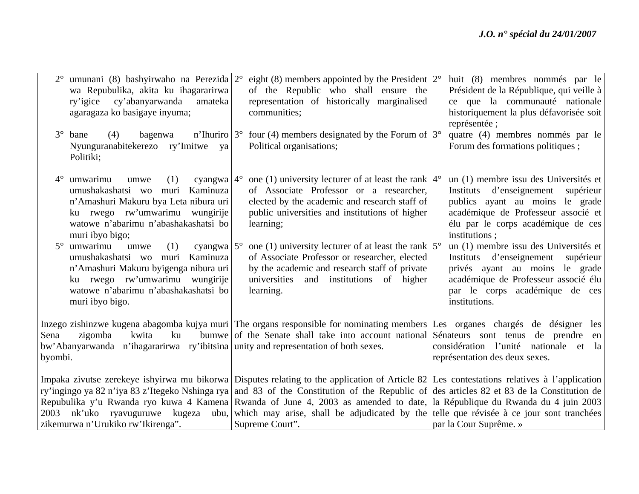| wa Repubulika, akita ku ihagararirwa<br>cy'abanyarwanda<br>amateka<br>ry'igice<br>agaragaza ko basigaye inyuma;<br>$3^\circ$<br>bane<br>(4)<br>bagenwa                                                                               | umunani (8) bashyirwaho na Perezida $2^{\circ}$ eight (8) members appointed by the President $2^{\circ}$<br>of the Republic who shall ensure the<br>representation of historically marginalised<br>communities;<br>n'Ihuriro $3^{\circ}$ four (4) members designated by the Forum of $3^{\circ}$                                                                                                                                                                                                                                                                      | huit (8) membres nommés par le<br>Président de la République, qui veille à<br>ce que la communauté nationale<br>historiquement la plus défavorisée soit<br>représentée;<br>quatre (4) membres nommés par le     |
|--------------------------------------------------------------------------------------------------------------------------------------------------------------------------------------------------------------------------------------|-----------------------------------------------------------------------------------------------------------------------------------------------------------------------------------------------------------------------------------------------------------------------------------------------------------------------------------------------------------------------------------------------------------------------------------------------------------------------------------------------------------------------------------------------------------------------|-----------------------------------------------------------------------------------------------------------------------------------------------------------------------------------------------------------------|
| Nyunguranabitekerezo ry'Imitwe ya<br>Politiki;                                                                                                                                                                                       | Political organisations;                                                                                                                                                                                                                                                                                                                                                                                                                                                                                                                                              | Forum des formations politiques;                                                                                                                                                                                |
| umwarimu<br>$4^\circ$<br>cyangwa $4^{\circ}$<br>(1)<br>umwe<br>umushakashatsi wo muri Kaminuza<br>n'Amashuri Makuru bya Leta nibura uri<br>ku rwego rw'umwarimu wungirije<br>watowe n'abarimu n'abashakashatsi bo<br>muri ibyo bigo; | one (1) university lecturer of at least the rank $4^{\circ}$<br>of Associate Professor or a researcher,<br>elected by the academic and research staff of<br>public universities and institutions of higher<br>learning;                                                                                                                                                                                                                                                                                                                                               | un (1) membre issu des Universités et<br>Instituts d'enseignement<br>supérieur<br>publics ayant au moins le grade<br>académique de Professeur associé et<br>élu par le corps académique de ces<br>institutions; |
| umwarimu<br>(1)<br>cyangwa $5^\circ$<br>umwe<br>umushakashatsi wo muri Kaminuza<br>n'Amashuri Makuru byigenga nibura uri<br>ku rwego rw'umwarimu wungirije<br>watowe n'abarimu n'abashakashatsi bo<br>muri ibyo bigo.                | one (1) university lecturer of at least the rank $5^{\circ}$<br>of Associate Professor or researcher, elected<br>by the academic and research staff of private<br>universities<br>and institutions of higher<br>learning.                                                                                                                                                                                                                                                                                                                                             | un (1) membre issu des Universités et<br>Instituts d'enseignement<br>supérieur<br>privés ayant au moins le grade<br>académique de Professeur associé élu<br>par le corps académique de ces<br>institutions.     |
| Sena<br>kwita<br>ku<br>zigomba<br>bw'Abanyarwanda n'ihagararirwa ry'ibitsina unity and representation of both sexes.<br>byombi.                                                                                                      | Inzego zishinzwe kugena abagomba kujya muri The organs responsible for nominating members Les organes chargés de désigner<br>bumwe of the Senate shall take into account national Sénateurs sont tenus                                                                                                                                                                                                                                                                                                                                                                | les<br>de prendre<br>en<br>considération l'unité nationale et la<br>représentation des deux sexes.                                                                                                              |
| 2003<br>zikemurwa n'Urukiko rw'Ikirenga".                                                                                                                                                                                            | Impaka zivutse zerekeye ishyirwa mu bikorwa Disputes relating to the application of Article 82 Les contestations relatives à l'application<br>ry'ingingo ya 82 n'iya 83 z'Itegeko Nshinga rya   and 83 of the Constitution of the Republic of   des articles 82 et 83 de la Constitution de<br>Repubulika y'u Rwanda ryo kuwa 4 Kamena Rwanda of June 4, 2003 as amended to date, la République du Rwanda du 4 juin 2003<br>nk'uko ryavuguruwe kugeza ubu, which may arise, shall be adjudicated by the telle que révisée à ce jour sont tranchées<br>Supreme Court". | par la Cour Suprême. »                                                                                                                                                                                          |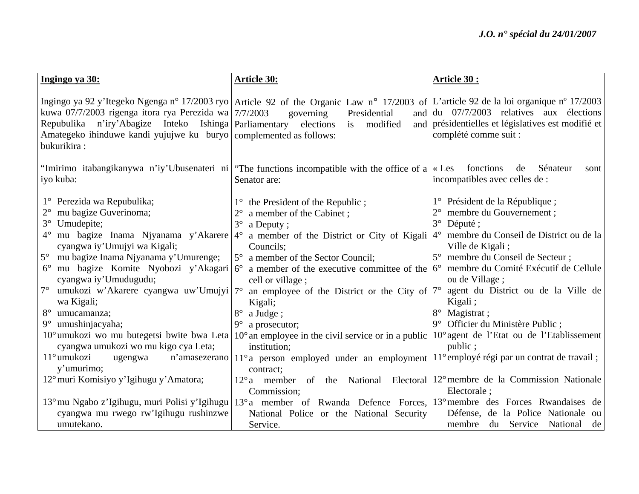| Ingingo ya 30:                                                                                                                                                                                                                                                                                                                                                                                                         | <b>Article 30:</b>                                                                                                                                                                                                                                                                                                                                                                                                                                                                                                                                                                                                                                                                                                                                                                                                                              | Article 30:                                                                                                                                                                                                                                                                                                                          |
|------------------------------------------------------------------------------------------------------------------------------------------------------------------------------------------------------------------------------------------------------------------------------------------------------------------------------------------------------------------------------------------------------------------------|-------------------------------------------------------------------------------------------------------------------------------------------------------------------------------------------------------------------------------------------------------------------------------------------------------------------------------------------------------------------------------------------------------------------------------------------------------------------------------------------------------------------------------------------------------------------------------------------------------------------------------------------------------------------------------------------------------------------------------------------------------------------------------------------------------------------------------------------------|--------------------------------------------------------------------------------------------------------------------------------------------------------------------------------------------------------------------------------------------------------------------------------------------------------------------------------------|
| kuwa 07/7/2003 rigenga itora rya Perezida wa $7/7/2003$<br>Repubulika n'iry'Abagize Inteko Ishinga Parliamentary<br>Amategeko ihinduwe kandi yujujwe ku buryo complemented as follows:<br>bukurikira:                                                                                                                                                                                                                  | Ingingo ya 92 y'Itegeko Ngenga n° 17/2003 ryo Article 92 of the Organic Law n° 17/2003 of L'article 92 de la loi organique n° 17/2003<br>governing<br>Presidential<br>elections<br>modified<br>i <sub>s</sub>                                                                                                                                                                                                                                                                                                                                                                                                                                                                                                                                                                                                                                   | and $\left  \frac{du}{27/7/2003} \right $ relatives aux élections<br>and présidentielles et législatives est modifié et<br>complété comme suit :                                                                                                                                                                                     |
| iyo kuba:                                                                                                                                                                                                                                                                                                                                                                                                              | "Imirimo itabangikanywa n'iy'Ubusenateri ni   "The functions incompatible with the office of a $\kappa$ Les fonctions<br>Senator are:                                                                                                                                                                                                                                                                                                                                                                                                                                                                                                                                                                                                                                                                                                           | de<br>Sénateur<br>sont<br>incompatibles avec celles de :                                                                                                                                                                                                                                                                             |
| 1° Perezida wa Repubulika;<br>mu bagize Guverinoma;<br>$3^\circ$<br>Umudepite;<br>cyangwa iy'Umujyi wa Kigali;<br>5° mu bagize Inama Njyanama y'Umurenge;<br>$6^{\circ}$<br>cyangwa iy'Umudugudu;<br>$7^\circ$<br>umukozi w'Akarere cyangwa uw'Umujyi 7°<br>wa Kigali;<br>$8^{\circ}$<br>umucamanza;<br>umushinjacyaha;<br>$9^{\circ}$<br>cyangwa umukozi wo mu kigo cya Leta;<br>11° umukozi<br>ugengwa<br>y'umurimo; | $1^{\circ}$ the President of the Republic;<br>a member of the Cabinet;<br>$3^\circ$<br>a Deputy;<br>mu bagize Inama Njyanama y'Akarere $ 4^{\circ}$ a member of the District or City of Kigali $ 4^{\circ}$<br>Councils;<br>5° a member of the Sector Council;<br>mu bagize Komite Nyobozi y'Akagari 6° a member of the executive committee of the $6^\circ$ membre du Comité Exécutif de Cellule<br>cell or village;<br>an employee of the District or the City of $7^{\circ}$<br>Kigali;<br>$8^{\circ}$<br>a Judge;<br>$9^{\circ}$ a prosecutor;<br>10° umukozi wo mu butegetsi bwite bwa Leta 10° an employee in the civil service or in a public $10^{\circ}$ agent de l'Etat ou de l'Etablissement<br>institution;<br>n'amasezerano   11° a person employed under an employment   11° employé régi par un contrat de travail;<br>contract; | 1° Président de la République;<br>membre du Gouvernement;<br>$2^{\circ}$<br>$3^\circ$<br>Député ;<br>membre du Conseil de District ou de la<br>Ville de Kigali;<br>5° membre du Conseil de Secteur;<br>ou de Village;<br>agent du District ou de la Ville de<br>Kigali;<br>Magistrat;<br>9° Officier du Ministère Public;<br>public; |
| 12° muri Komisiyo y'Igihugu y'Amatora;<br>cyangwa mu rwego rw'Igihugu rushinzwe                                                                                                                                                                                                                                                                                                                                        | 12° a member of the National Electoral 12° membre de la Commission Nationale<br>Commission;<br>13° mu Ngabo z'Igihugu, muri Polisi y'Igihugu   13° a member of Rwanda Defence Forces,   13° membre des Forces Rwandaises de<br>National Police or the National Security                                                                                                                                                                                                                                                                                                                                                                                                                                                                                                                                                                         | Electorale;<br>Défense, de la Police Nationale<br>ou                                                                                                                                                                                                                                                                                 |
| umutekano.                                                                                                                                                                                                                                                                                                                                                                                                             | Service.                                                                                                                                                                                                                                                                                                                                                                                                                                                                                                                                                                                                                                                                                                                                                                                                                                        | du Service National<br>membre<br>de                                                                                                                                                                                                                                                                                                  |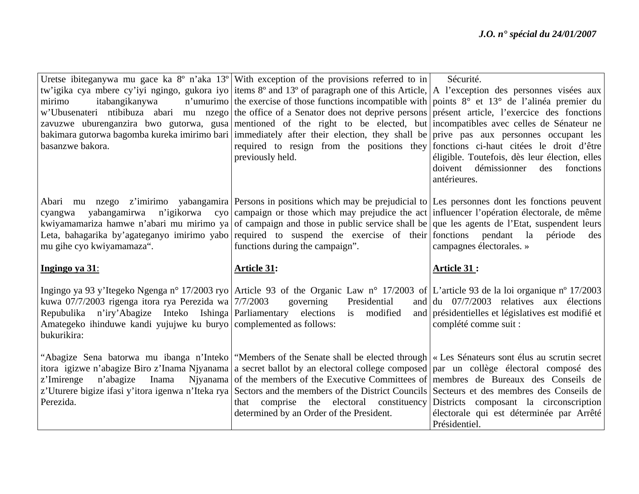|                                                                    | Uretse ibiteganywa mu gace ka $8^{\circ}$ n'aka $13^{\circ}$ With exception of the provisions referred to in                               | Sécurité.                                                                                 |
|--------------------------------------------------------------------|--------------------------------------------------------------------------------------------------------------------------------------------|-------------------------------------------------------------------------------------------|
|                                                                    | tw'igika cya mbere cy'iyi ngingo, gukora iyo items 8° and 13° of paragraph one of this Article, A l'exception des personnes visées aux     |                                                                                           |
| itabangikanywa<br>mirimo                                           | n'umurimo the exercise of those functions incompatible with points $8^{\circ}$ et $13^{\circ}$ de l'alinéa premier du                      |                                                                                           |
|                                                                    | w'Ubusenateri ntibibuza abari mu nzego the office of a Senator does not deprive persons présent article, l'exercice des fonctions          |                                                                                           |
|                                                                    | zavuzwe uburenganzira bwo gutorwa, gusa mentioned of the right to be elected, but incompatibles avec celles de Sénateur ne                 |                                                                                           |
|                                                                    | bakimara gutorwa bagomba kureka imirimo bari immediately after their election, they shall be prive pas aux personnes occupant les          |                                                                                           |
| basanzwe bakora.                                                   | required to resign from the positions they fonctions ci-haut citées le droit d'être                                                        |                                                                                           |
|                                                                    | previously held.                                                                                                                           | éligible. Toutefois, dès leur élection, elles                                             |
|                                                                    |                                                                                                                                            | doivent<br>démissionner<br>des<br>fonctions                                               |
|                                                                    |                                                                                                                                            | antérieures.                                                                              |
|                                                                    |                                                                                                                                            |                                                                                           |
|                                                                    | Abari mu nzego z'imirimo yabangamira Persons in positions which may be prejudicial to Les personnes dont les fonctions peuvent             |                                                                                           |
| yabangamirwa<br>cyangwa                                            | n'igikorwa cyo campaign or those which may prejudice the act influencer l'opération électorale, de même                                    |                                                                                           |
|                                                                    | kwiyamamariza hamwe n'abari mu mirimo ya of campaign and those in public service shall be que les agents de l'Etat, suspendent leurs       |                                                                                           |
|                                                                    | Leta, bahagarika by'agateganyo imirimo yabo required to suspend the exercise of their fonctions pendant la                                 | période<br>des                                                                            |
| mu gihe cyo kwiyamamaza".                                          | functions during the campaign".                                                                                                            | campagnes électorales. »                                                                  |
| Ingingo ya 31:                                                     | <b>Article 31:</b>                                                                                                                         | <b>Article 31:</b>                                                                        |
|                                                                    |                                                                                                                                            |                                                                                           |
|                                                                    | Ingingo ya 93 y'Itegeko Ngenga n° 17/2003 ryo Article 93 of the Organic Law n° 17/2003 of L'article 93 de la loi organique n° 17/2003      |                                                                                           |
| kuwa 07/7/2003 rigenga itora rya Perezida wa 7/7/2003              | governing<br>Presidential                                                                                                                  | and $\left  \frac{du}{dt} \right $ 07/7/2003 relatives aux élections                      |
| Repubulika n'iry'Abagize Inteko Ishinga Parliamentary elections    | is modified                                                                                                                                | and présidentielles et législatives est modifié et                                        |
| Amategeko ihinduwe kandi yujujwe ku buryo complemented as follows: |                                                                                                                                            | complété comme suit :                                                                     |
| bukurikira:                                                        |                                                                                                                                            |                                                                                           |
|                                                                    | "Abagize Sena batorwa mu ibanga n'Inteko   "Members of the Senate shall be elected through   « Les Sénateurs sont élus au scrutin secret   |                                                                                           |
|                                                                    | itora igizwe n'abagize Biro z'Inama Njyanama a secret ballot by an electoral college composed par un collège électoral composé des         |                                                                                           |
| z'Imirenge<br>n'abagize<br>Inama                                   |                                                                                                                                            | Njyanama of the members of the Executive Committees of membres de Bureaux des Conseils de |
|                                                                    |                                                                                                                                            |                                                                                           |
|                                                                    |                                                                                                                                            |                                                                                           |
| Perezida.                                                          | z'Uturere bigize ifasi y'itora igenwa n'Iteka rya Sectors and the members of the District Councils Secteurs et des membres des Conseils de |                                                                                           |
|                                                                    | that comprise the electoral constituency Districts composant la circonscription<br>determined by an Order of the President.                | électorale qui est déterminée par Arrêté                                                  |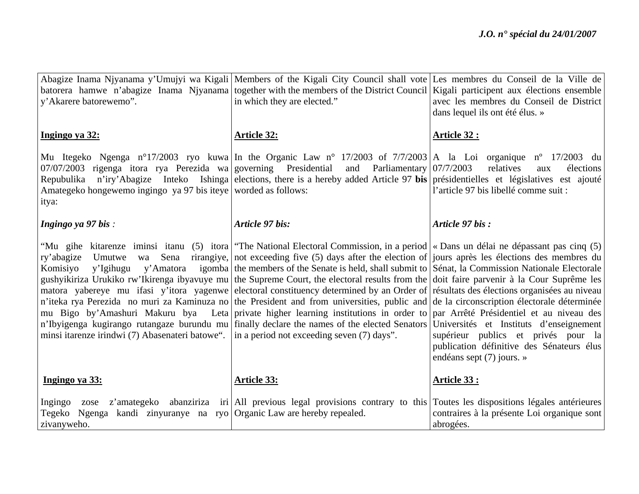| y'Akarere batorewemo".                                                                                                                                                 | Abagize Inama Njyanama y'Umujyi wa Kigali   Members of the Kigali City Council shall vote   Les membres du Conseil de la Ville de<br>batorera hamwe n'abagize Inama Njyanama together with the members of the District Council Kigali participent aux élections ensemble<br>in which they are elected."                                                                                                                                                                                                                                                                                                                                                                                                                                                                                                                                                                                                                                                                                                                                                                     | avec les membres du Conseil de District<br>dans lequel ils ont été élus. »                                    |
|------------------------------------------------------------------------------------------------------------------------------------------------------------------------|-----------------------------------------------------------------------------------------------------------------------------------------------------------------------------------------------------------------------------------------------------------------------------------------------------------------------------------------------------------------------------------------------------------------------------------------------------------------------------------------------------------------------------------------------------------------------------------------------------------------------------------------------------------------------------------------------------------------------------------------------------------------------------------------------------------------------------------------------------------------------------------------------------------------------------------------------------------------------------------------------------------------------------------------------------------------------------|---------------------------------------------------------------------------------------------------------------|
| Ingingo ya 32:                                                                                                                                                         | <b>Article 32:</b>                                                                                                                                                                                                                                                                                                                                                                                                                                                                                                                                                                                                                                                                                                                                                                                                                                                                                                                                                                                                                                                          | <b>Article 32:</b>                                                                                            |
| $\vert 07/07/2003 \vert$ rigenga itora rya Perezida wa governing Presidential<br>Repubulika<br>Amategeko hongewemo ingingo ya 97 bis iteye worded as follows:<br>itya: | Mu Itegeko Ngenga n°17/2003 ryo kuwa In the Organic Law n° 17/2003 of 7/7/2003 A la Loi organique n° 17/2003 du<br>and Parliamentary $07/7/2003$<br>n'iry'Abagize Inteko Ishinga elections, there is a hereby added Article 97 bis présidentielles et législatives est ajouté                                                                                                                                                                                                                                                                                                                                                                                                                                                                                                                                                                                                                                                                                                                                                                                               | relatives<br>élections<br>aux<br>l'article 97 bis libellé comme suit :                                        |
| Ingingo ya 97 bis:                                                                                                                                                     | Article 97 bis:                                                                                                                                                                                                                                                                                                                                                                                                                                                                                                                                                                                                                                                                                                                                                                                                                                                                                                                                                                                                                                                             | Article 97 bis:                                                                                               |
| ry'abagize Umutwe<br>Sena<br>wa<br>Komisiyo<br>y'Igihugu<br>minsi itarenze irindwi (7) Abasenateri batowe".   in a period not exceeding seven (7) days".               | "Mu gihe kitarenze iminsi itanu (5) itora   "The National Electoral Commission, in a period   « Dans un délai ne dépassant pas cinq (5)<br>rirangiye, not exceeding five (5) days after the election of jours après les élections des membres du<br>y'Amatora igomba the members of the Senate is held, shall submit to Sénat, la Commission Nationale Electorale<br>gushyikiriza Urukiko rw'Ikirenga ibyavuye mu the Supreme Court, the electoral results from the doit faire parvenir à la Cour Suprême les<br>matora yabereye mu ifasi y'itora yagenwe electoral constituency determined by an Order of résultats des élections organisées au niveau<br>n'iteka rya Perezida no muri za Kaminuza no the President and from universities, public and de la circonscription électorale déterminée<br>mu Bigo by'Amashuri Makuru bya Leta private higher learning institutions in order to par Arrêté Présidentiel et au niveau des<br>n'Ibyigenga kugirango rutangaze burundu mu finally declare the names of the elected Senators Universités et Instituts d'enseignement | supérieur publics et privés pour la<br>publication définitive des Sénateurs élus<br>endéans sept (7) jours. » |
| Ingingo ya 33:                                                                                                                                                         | <b>Article 33:</b>                                                                                                                                                                                                                                                                                                                                                                                                                                                                                                                                                                                                                                                                                                                                                                                                                                                                                                                                                                                                                                                          | Article 33:                                                                                                   |
| Ingingo<br>Tegeko Ngenga kandi zinyuranye na ryo Organic Law are hereby repealed.<br>zivanyweho.                                                                       | zose z'amategeko abanziriza iri All previous legal provisions contrary to this Toutes les dispositions légales antérieures                                                                                                                                                                                                                                                                                                                                                                                                                                                                                                                                                                                                                                                                                                                                                                                                                                                                                                                                                  | contraires à la présente Loi organique sont<br>abrogées.                                                      |